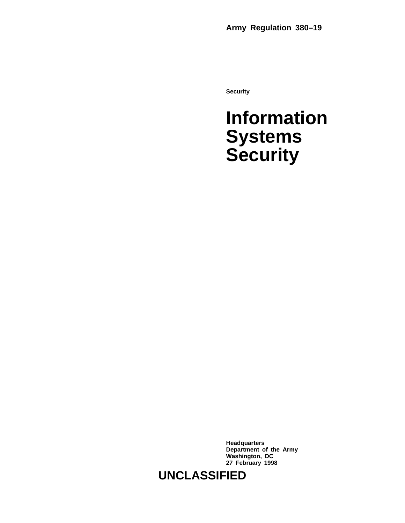**Security**

### **Information Systems Security**

**Headquarters Department of the Army Washington, DC 27 February 1998**

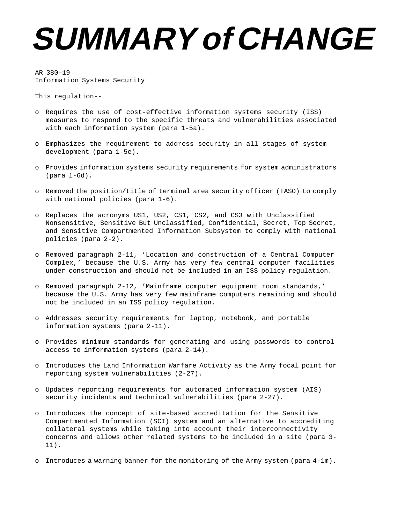## **SUMMARY of CHANGE**

AR 380–19 Information Systems Security

This regulation--

- o Requires the use of cost-effective information systems security (ISS) measures to respond to the specific threats and vulnerabilities associated with each information system (para 1-5a).
- o Emphasizes the requirement to address security in all stages of system development (para 1-5e).
- o Provides information systems security requirements for system administrators (para 1-6d).
- o Removed the position/title of terminal area security officer (TASO) to comply with national policies (para 1-6).
- o Replaces the acronyms US1, US2, CS1, CS2, and CS3 with Unclassified Nonsensitive, Sensitive But Unclassified, Confidential, Secret, Top Secret, and Sensitive Compartmented Information Subsystem to comply with national policies (para 2-2).
- o Removed paragraph 2-11, 'Location and construction of a Central Computer Complex,' because the U.S. Army has very few central computer facilities under construction and should not be included in an ISS policy regulation.
- o Removed paragraph 2-12, 'Mainframe computer equipment room standards,' because the U.S. Army has very few mainframe computers remaining and should not be included in an ISS policy regulation.
- o Addresses security requirements for laptop, notebook, and portable information systems (para 2-11).
- o Provides minimum standards for generating and using passwords to control access to information systems (para 2-14).
- o Introduces the Land Information Warfare Activity as the Army focal point for reporting system vulnerabilities (2-27).
- o Updates reporting requirements for automated information system (AIS) security incidents and technical vulnerabilities (para 2-27).
- o Introduces the concept of site-based accreditation for the Sensitive Compartmented Information (SCI) system and an alternative to accrediting collateral systems while taking into account their interconnectivity concerns and allows other related systems to be included in a site (para 3- 11).
- o Introduces a warning banner for the monitoring of the Army system (para 4-1m).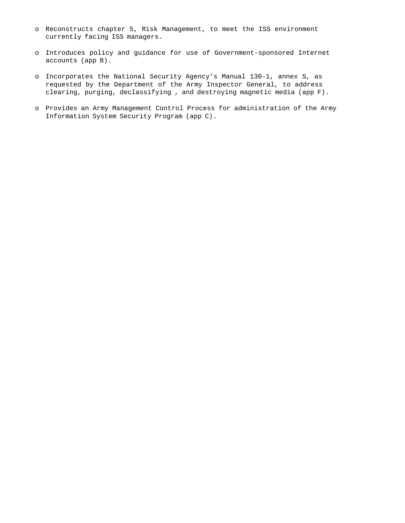- o Reconstructs chapter 5, Risk Management, to meet the ISS environment currently facing ISS managers.
- o Introduces policy and guidance for use of Government-sponsored Internet accounts (app B).
- o Incorporates the National Security Agency's Manual 130-1, annex S, as requested by the Department of the Army Inspector General, to address clearing, purging, declassifying , and destroying magnetic media (app F).
- o Provides an Army Management Control Process for administration of the Army Information System Security Program (app C).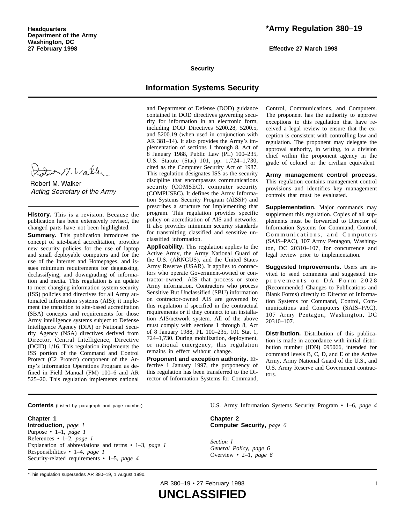due 17. Walk

Robert M. Walker Acting Secretary of the Army

**History.** This is a revision. Because the publication has been extensively revised, the changed parts have not been highlighted.

**Summary.** This publication introduces the concept of site-based accreditation, provides new security policies for the use of laptop and small deployable computers and for the use of the Internet and Homepages, and issues minimum requirements for degaussing, declassifying, and downgrading of information and media. This regulation is an update to meet changing information system security (ISS) policies and directives for all Army automated information systems (AIS); it implement the transition to site-based accreditation (SBA) concepts and requirements for those Army intelligence systems subject to Defense Intelligence Agency (DIA) or National Security Agency (NSA) directives derived from Director, Central Intelligence, Directive (DCID) 1/16. This regulation implements the ISS portion of the Command and Control Protect (C2 Protect) component of the Army's Information Operations Program as defined in Field Manual (FM) 100–6 and AR 525–20. This regulation implements national

#### **\*Army Regulation 380–19**

**Effective 27 March 1998**

#### **Security**

#### **Information Systems Security**

and Department of Defense (DOD) guidance contained in DOD directives governing security for information in an electronic form, including DOD Directives 5200.28, 5200.5, and 5200.19 (when used in conjunction with AR 381–14). It also provides the Army's implementation of sections 1 through 8, Act of 8 January 1988, Public Law (PL) 100–235, U.S. Statute (Stat) 101, pp. 1,724-1,730, cited as the Computer Security Act of 1987. This regulation designates ISS as the security discipline that encompasses communications security (COMSEC), computer security (COMPUSEC). It defines the Army Information Systems Security Program (AISSP) and prescribes a structure for implementing that program. This regulation provides specific policy on accreditation of AIS and networks. It also provides minimum security standards for transmitting classified and sensitive unclassified information.

**Applicability.** This regulation applies to the Active Army, the Army National Guard of the U.S. (ARNGUS), and the United States Army Reserve (USAR). It applies to contractors who operate Government-owned or contractor-owned, AIS that process or store Army information. Contractors who process Sensitive But Unclassified (SBU) information on contractor-owned AIS are governed by this regulation if specified in the contractual requirements or if they connect to an installation AIS/network system. All of the above must comply with sections 1 through 8, Act of 8 January 1988, PL 100–235, 101 Stat 1, 724–1,730. During mobilization, deployment, or national emergency, this regulation remains in effect without change.

**Proponent and exception authority.** Effective 1 January 1997, the proponency of this regulation has been transferred to the Director of Information Systems for Command,

Control, Communications, and Computers. The proponent has the authority to approve exceptions to this regulation that have received a legal review to ensure that the exception is consistent with controlling law and regulation. The proponent may delegate the approval authority, in writing, to a division chief within the proponent agency in the grade of colonel or the civilian equivalent.

Army management control process. This regulation contains management control provisions and identifies key management controls that must be evaluated.

**Supplementation.** Major commands may supplement this regulation. Copies of all supplements must be forwarded to Director of Information Systems for Command, Control, Communications, and Computers (SAIS–PAC), 107 Army Pentagon, Washington, DC 20310-107, for concurrence and legal review prior to implementation.

**Suggested Improvements.** Users are invited to send comments and suggested improvements on DA Form 2028 (Recommended Changes to Publications and Blank Forms) directly to Director of Information Systems for Command, Control, Communications and Computers (SAIS-PAC), 107 Army Pentagon, Washington, DC 20310–107.

**Distribution.** Distribution of this publication is made in accordance with initial distribution number (IDN) 095066, intended for command levels B, C, D, and E of the Active Army, Army National Guard of the U.S., and U.S. Army Reserve and Government contractors.

**Contents** (Listed by paragraph and page number)

#### **Chapter 1**

**Introduction,** *page 1* Purpose • 1–1, *page 1* References • 1–2, *page 1* Explanation of abbreviations and terms • 1–3, *page 1* Responsibilities • 1–4, *page 1* Security-related requirements • 1–5, *page 4*

U.S. Army Information Systems Security Program • 1–6, *page 4*

**Chapter 2 Computer Security,** *page 6*

*Section I General Policy, page 6* Overview • 2–1, *page 6*

\*This regulation supersedes AR 380–19, 1 August 1990.

AR 380–19 • 27 February 1998 i

**UNCLASSIFIED**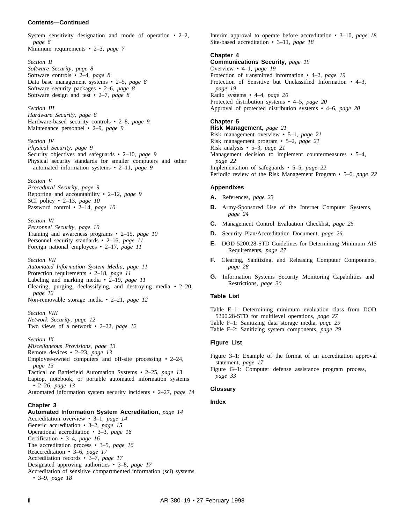#### **Contents—Continued**

System sensitivity designation and mode of operation  $\cdot$  2–2, *page 6*

Minimum requirements • 2–3, *page 7*

*Section II*

*Software Security, page 8* Software controls • 2–4, *page 8* Data base management systems • 2–5, *page 8* Software security packages • 2–6, *page 8* Software design and test • 2–7, *page 8*

*Section III Hardware Security, page 8* Hardware-based security controls • 2–8, *page 9* Maintenance personnel • 2–9, *page 9*

#### *Section IV*

*Physical Security, page 9* Security objectives and safeguards • 2–10, *page 9* Physical security standards for smaller computers and other automated information systems • 2–11, *page 9*

#### *Section V*

*Procedural Security, page 9* Reporting and accountability • 2–12, *page 9* SCI policy • 2–13, *page 10* Password control • 2–14, *page 10*

*Section VI Personnel Security, page 10* Training and awareness programs • 2–15, *page 10* Personnel security standards • 2–16, *page 11* Foreign national employees • 2–17, *page 11*

#### *Section VII*

*Automated Information System Media, page 11* Protection requirements • 2–18, *page 11* Labeling and marking media • 2–19, *page 11* Clearing, purging, declassifying, and destroying media  $\cdot$  2–20, *page 12* Non-removable storage media • 2–21, *page 12*

*Section VIII Network Security, page 12* Two views of a network • 2–22, *page 12*

#### *Section IX*

*Miscellaneous Provisions, page 13* Remote devices • 2–23, *page 13* Employee-owned computers and off-site processing • 2–24, *page 13* Tactical or Battlefield Automation Systems • 2–25, *page 13* Laptop, notebook, or portable automated information systems • 2–26, *page 13* Automated information system security incidents • 2–27, *page 14*

#### **Chapter 3**

**Automated Information System Accreditation,** *page 14* Accreditation overview • 3–1, *page 14* Generic accreditation • 3–2, *page 15* Operational accreditation • 3–3, *page 16* Certification • 3–4, *page 16* The accreditation process • 3–5, *page 16* Reaccreditation • 3–6, *page 17* Accreditation records • 3–7, *page 17* Designated approving authorities • 3–8, *page 17* Accreditation of sensitive compartmented information (sci) systems • 3–9, *page 18*

Interim approval to operate before accreditation • 3–10, *page 18* Site-based accreditation • 3–11, *page 18*

#### **Chapter 4**

**Communications Security,** *page 19* Overview • 4–1, *page 19* Protection of transmitted information • 4–2, *page 19* Protection of Sensitive but Unclassified Information • 4–3, *page 19* Radio systems • 4–4, *page 20* Protected distribution systems • 4–5, *page 20* Approval of protected distribution systems • 4–6, *page 20* **Chapter 5**

**Risk Management,** *page 21* Risk management overview • 5–1, *page 21* Risk management program • 5–2, *page 21* Risk analysis • 5–3, *page 21* Management decision to implement countermeasures • 5–4, *page 22* Implementation of safeguards • 5–5, *page 22* Periodic review of the Risk Management Program • 5–6, *page 22*

#### **Appendixes**

- **A.** References, *page 23*
- **B.** Army-Sponsored Use of the Internet Computer Systems, *page 24*
- **C.** Management Control Evaluation Checklist, *page 25*
- **D.** Security Plan/Accreditation Document, *page 26*
- **E.** DOD 5200.28-STD Guidelines for Determining Minimum AIS Requirements, *page 27*
- **F.** Clearing, Sanitizing, and Releasing Computer Components, *page 28*
- **G.** Information Systems Security Monitoring Capabilities and Restrictions, *page 30*

#### **Table List**

Table E–1: Determining minimum evaluation class from DOD 5200.28-STD for multilevel operations, *page 27* Table F–1: Sanitizing data storage media, *page 29* Table F–2: Sanitizing system components, *page 29*

#### **Figure List**

Figure 3–1: Example of the format of an accreditation approval statement, *page 17*

Figure G–1: Computer defense assistance program process, *page 33*

#### **Glossary**

#### **Index**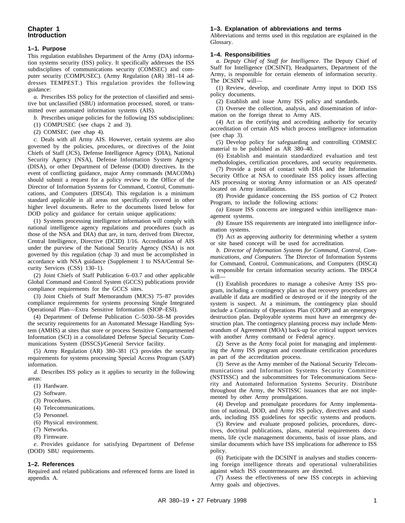#### **1–1. Purpose**

This regulation establishes Department of the Army (DA) information systems security (ISS) policy. It specifically addresses the ISS subdisciplines of communications security (COMSEC) and computer security (COMPUSEC). (Army Regulation (AR) 381–14 addresses TEMPEST.) This regulation provides the following guidance:

*a.* Prescribes ISS policy for the protection of classified and sensitive but unclassified (SBU) information processed, stored, or transmitted over automated information systems (AIS).

*b.* Prescribes unique policies for the following ISS subdisciplines:

(1) COMPUSEC (see chaps 2 and 3).

(2) COMSEC (see chap 4).

*c.* Deals with all Army AIS. However, certain systems are also governed by the policies, procedures, or directives of the Joint Chiefs of Staff (JCS), Defense Intelligence Agency (DIA), National Security Agency (NSA), Defense Information System Agency (DISA), or other Department of Defense (DOD) directives. In the event of conflicting guidance, major Army commands (MACOMs) should submit a request for a policy review to the Office of the Director of Information Systems for Command, Control, Communications, and Computers (DISC4). This regulation is a minimum standard applicable in all areas not specifically covered in other higher level documents. Refer to the documents listed below for DOD policy and guidance for certain unique applications:

(1) Systems processing intelligence information will comply with national intelligence agency regulations and procedures (such as those of the NSA and DIA) that are, in turn, derived from Director, Central Intelligence, Directive (DCID) 1/16. Accreditation of AIS under the purview of the National Security Agency (NSA) is not governed by this regulation (chap 3) and must be accomplished in accordance with NSA guidance (Supplement 1 to NSA/Central Security Services (CSS) 130–1).

(2) Joint Chiefs of Staff Publication 6–03.7 and other applicable Global Command and Control System (GCCS) publications provide compliance requirements for the GCCS sites.

(3) Joint Chiefs of Staff Memorandum (MJCS) 75–87 provides compliance requirements for systems processing Single Integrated Operational Plan—Extra Sensitive Information (SIOP–ESI).

(4) Department of Defense Publication C–5030–58–M provides the security requirements for an Automated Message Handling System (AMHS) at sites that store or process Sensitive Compartmented Information (SCI) in a consolidated Defense Special Security Communications System (DSSCS)/General Service facility.

(5) Army Regulation (AR) 380–381 (C) provides the security requirements for systems processing Special Access Program (SAP) information.

*d.* Describes ISS policy as it applies to security in the following areas:

(1) Hardware.

(2) Software.

(3) Procedures.

(4) Telecommunications.

(5) Personnel.

(6) Physical environment.

- (7) Networks.
- (8) Firmware.

*e*. Provides guidance for satisfying Department of Defense (DOD) SBU requirements.

#### **1–2. References**

Required and related publications and referenced forms are listed in appendix A.

#### **1–3. Explanation of abbreviations and terms**

Abbreviations and terms used in this regulation are explained in the Glossary.

#### **1–4. Responsibilities**

*a. Deputy Chief of Staff for Intelligence.* The Deputy Chief of Staff for Intelligence (DCSINT), Headquarters, Department of the Army, is responsible for certain elements of information security. The DCSINT will—

(1) Review, develop, and coordinate Army input to DOD ISS policy documents.

(2) Establish and issue Army ISS policy and standards.

(3) Oversee the collection, analysis, and dissemination of information on the foreign threat to Army AIS.

(4) Act as the certifying and accrediting authority for security accreditation of certain AIS which process intelligence information (see chap 3).

(5) Develop policy for safeguarding and controlling COMSEC material to be published as AR 380–40.

(6) Establish and maintain standardized evaluation and test methodologies, certification procedures, and security requirements.

(7) Provide a point of contact with DIA and the Information Security Office at NSA to coordinate ISS policy issues affecting AIS processing or storing Army information or an AIS operated/ located on Army installations.

(8) Provide guidance concerning the ISS portion of C2 Protect Program, to include the following actions:

*(a)* Ensure ISS concerns are integrated within intelligence management systems.

*(b)* Ensure ISS requirements are integrated into intelligence information systems.

(9) Act as approving authority for determining whether a system or site based concept will be used for accreditation.

*b. Director of Information Systems for Command, Control, Communications, and Computers.* The Director of Information Systems for Command, Control, Communications, and Computers (DISC4) is responsible for certain information security actions. The DISC4 will—

(1) Establish procedures to manage a cohesive Army ISS program, including a contingency plan so that recovery procedures are available if data are modified or destroyed or if the integrity of the system is suspect. At a minimum, the contingency plan should include a Continuity of Operations Plan (COOP) and an emergency destruction plan. Deployable systems must have an emergency destruction plan. The contingency planning process may include Memorandum of Agreement (MOA) back-up for critical support services with another Army command or Federal agency.

(2) Serve as the Army focal point for managing and implementing the Army ISS program and coordinate certification procedures as part of the accreditation process.

(3) Serve as the Army member of the National Security Telecommunications and Information Systems Security Committee (NSTISSC) and the subcommittees for Telecommunications Security and Automated Information Systems Security. Distribute throughout the Army, the NSTISSC issuances that are not implemented by other Army promulgations.

(4) Develop and promulgate procedures for Army implementation of national, DOD, and Army ISS policy, directives and standards, including ISS guidelines for specific systems and products.

(5) Review and evaluate proposed policies, procedures, directives, doctrinal publications, plans, material requirements documents, life cycle management documents, basis of issue plans, and similar documents which have ISS implications for adherence to ISS policy.

(6) Participate with the DCSINT in analyses and studies concerning foreign intelligence threats and operational vulnerabilities against which ISS countermeasures are directed.

(7) Assess the effectiveness of new ISS concepts in achieving Army goals and objectives.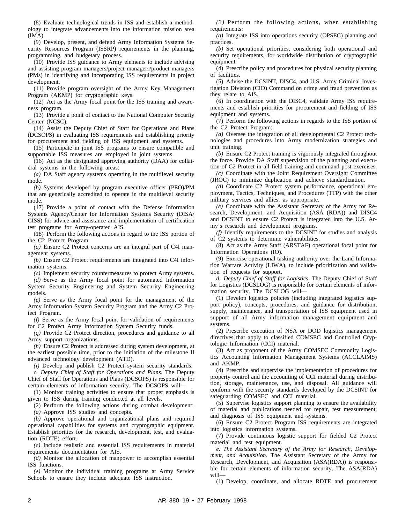(8) Evaluate technological trends in ISS and establish a methodology to integrate advancements into the information mission area (IMA).

(9) Develop, present, and defend Army Information Systems Security Resources Program (ISSRP) requirements in the planning, programming, and budgetary process.

(10) Provide ISS guidance to Army elements to include advising and assisting program managers/project managers/product managers (PMs) in identifying and incorporating ISS requirements in project development.

(11) Provide program oversight of the Army Key Management Program (AKMP) for cryptographic keys.

(12) Act as the Army focal point for the ISS training and awareness program.

(13) Provide a point of contact to the National Computer Security Center (NCSC).

(14) Assist the Deputy Chief of Staff for Operations and Plans (DCSOPS) in evaluating ISS requirements and establishing priority for procurement and fielding of ISS equipment and systems.

(15) Participate in joint ISS programs to ensure compatible and supportable ISS measures are employed in joint systems.

(16) Act as the designated approving authority (DAA) for collateral systems in the following areas:

*(a)* DA Staff agency systems operating in the multilevel security mode.

*(b)* Systems developed by program executive officer (PEO)/PM that are generically accredited to operate in the multilevel security mode.

(17) Provide a point of contact with the Defense Information Systems Agency/Center for Information Systems Security (DISA/ CISS) for advice and assistance and implementation of certification test programs for Army-operated AIS.

(18) Perform the following actions in regard to the ISS portion of the C2 Protect Program:

*(a)* Ensure C2 Protect concerns are an integral part of C4I management systems.

*(b)* Ensure C2 Protect requirements are integrated into C4I information systems.

*(c)* Implement security countermeasures to protect Army systems.

*(d)* Serve as the Army focal point for automated Information System Security Engineering and System Security Engineering models.

*(e)* Serve as the Army focal point for the management of the Army Information System Security Program and the Army C2 Protect Program.

*(f)* Serve as the Army focal point for validation of requirements for C2 Protect Army Information System Security funds.

*(g)* Provide C2 Protect direction, procedures and guidance to all Army support organizations.

*(h)* Ensure C2 Protect is addressed during system development, at the earliest possible time, prior to the initiation of the milestone II advanced technology development (ATD).

*(i)* Develop and publish C2 Protect system security standards.

*c. Deputy Chief of Staff for Operations and Plans.* The Deputy Chief of Staff for Operations and Plans (DCSOPS) is responsible for certain elements of information security. The DCSOPS will—

(1) Monitor training activities to ensure that proper emphasis is given to ISS during training conducted at all levels.

(2) Perform the following actions during combat development: *(a)* Approve ISS studies and concepts.

*(b)* Approve operational and organizational plans and required operational capabilities for systems and cryptographic equipment. Establish priorities for the research, development, test, and evaluation (RDTE) effort.

*(c)* Include realistic and essential ISS requirements in material requirements documentation for AIS.

*(d)* Monitor the allocation of manpower to accomplish essential ISS functions.

*(e)* Monitor the individual training programs at Army Service Schools to ensure they include adequate ISS instruction.

 $(3)$  Perform the following actions, when establishing requirements:

*(a)* Integrate ISS into operations security (OPSEC) planning and practices.

*(b)* Set operational priorities, considering both operational and security requirements, for worldwide distribution of cryptographic equipment.

(4) Prescribe policy and procedures for physical security planning of facilities.

(5) Advise the DCSINT, DISC4, and U.S. Army Criminal Investigation Division (CID) Command on crime and fraud prevention as they relate to AIS.

(6) In coordination with the DISC4, validate Army ISS requirements and establish priorities for procurement and fielding of ISS equipment and systems.

(7) Perform the following actions in regards to the ISS portion of the C2 Protect Program:

*(a)* Oversee the integration of all developmental C2 Protect technologies and procedures into Army modernization strategies and unit training.

*(b)* Ensure C2 Protect training is vigorously integrated throughout the force. Provide DA Staff supervision of the planning and execution of C2 Protect in all field training and command post exercises.

*(c)* Coordinate with the Joint Requirement Oversight Committee (JROC) to minimize duplication and achieve standardization.

*(d)* Coordinate C2 Protect system performance, operational employment, Tactics, Techniques, and Procedures (TTP) with the other military services and allies, as appropriate.

*(e)* Coordinate with the Assistant Secretary of the Army for Research, Development, and Acquisition (ASA (RDA)) and DISC4 and DCSINT to ensure C2 Protect is integrated into the U.S. Army's research and development programs.

*(f)* Identify requirements to the DCSINT for studies and analysis of C2 systems to determine vulnerabilities.

(8) Act as the Army Staff (ARSTAF) operational focal point for Information Operations (IO).

(9) Exercise operational tasking authority over the Land Information Warfare Activity (LIWA), to include prioritization and validation of requests for support.

*d. Deputy Chief of Staff for Logistics.* The Deputy Chief of Staff for Logistics (DCSLOG) is responsible for certain elements of information security. The DCSLOG will—

(1) Develop logistics policies (including integrated logistics support policy), concepts, procedures, and guidance for distribution, supply, maintenance, and transportation of ISS equipment used in support of all Army information management equipment and systems.

(2) Prescribe execution of NSA or DOD logistics management directives that apply to classified COMSEC and Controlled Cryptologic Information (CCI) material.

(3) Act as proponent of the Army COMSEC Commodity Logistics Accounting Information Management Systems (ACCLAIMS) and AKMP.

(4) Prescribe and supervise the implementation of procedures for property control and the accounting of CCI material during distribution, storage, maintenance, use, and disposal. All guidance will conform with the security standards developed by the DCSINT for safeguarding COMSEC and CCI material.

(5) Supervise logistics support planning to ensure the availability of material and publications needed for repair, test measurement, and diagnosis of ISS equipment and systems.

(6) Ensure C2 Protect Program ISS requirements are integrated into logistics information systems.

(7) Provide continuous logistic support for fielded C2 Protect material and test equipment.

*e. The Assistant Secretary of the Army for Research, Development, and Acquisition.* The Assistant Secretary of the Army for Research, Development, and Acquisition (ASA(RDA)) is responsible for certain elements of information security. The ASA(RDA) will—

(1) Develop, coordinate, and allocate RDTE and procurement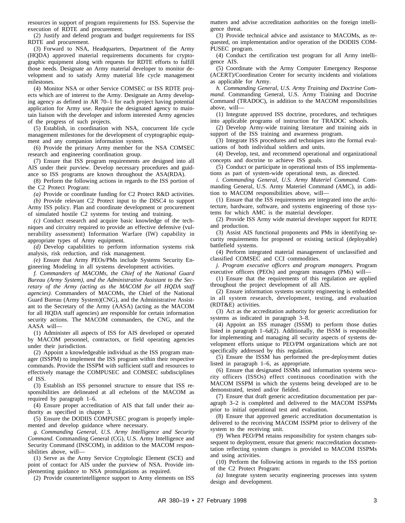resources in support of program requirements for ISS. Supervise the execution of RDTE and procurement.

(2) Justify and defend program and budget requirements for ISS RDTE and procurement.

(3) Forward to NSA, Headquarters, Department of the Army (HQDA) approved material requirements documents for cryptographic equipment along with requests for RDTE efforts to fulfill those needs. Designate an Army material developer to monitor development and to satisfy Army material life cycle management milestones.

(4) Monitor NSA or other Service COMSEC or ISS RDTE projects which are of interest to the Army. Designate an Army developing agency as defined in AR 70–1 for each project having potential application for Army use. Require the designated agency to maintain liaison with the developer and inform interested Army agencies of the progress of such projects.

(5) Establish, in coordination with NSA, concurrent life cycle management milestones for the development of cryptographic equipment and any companion information system.

(6) Provide the primary Army member for the NSA COMSEC research and engineering coordination group.

(7) Ensure that ISS program requirements are designed into all AIS under their purview. Develop necessary procedures and guidance so ISS programs are known throughout the ASA(RDA).

(8) Perform the following actions in regards to the ISS portion of the C2 Protect Program:

*(a)* Provide or coordinate funding for C2 Protect R&D activities.

*(b)* Provide relevant C2 Protect input to the DISC4 to support Army ISS policy. Plan and coordinate development or procurement of simulated hostile C2 systems for testing and training.

*(c)* Conduct research and acquire basic knowledge of the techniques and circuitry required to provide an effective defensive (vulnerability assessment) Information Warfare (IW) capability in appropriate types of Army equipment.

*(d)* Develop capabilities to perform information systems risk analysis, risk reduction, and risk management.

*(e)* Ensure that Army PEOs/PMs include Systems Security Engineering Modeling in all systems development activities.

*f. Commanders of MACOMs, the Chief of the National Guard Bureau (Army System), and the Administrative Assistant to the Secretary of the Army (acting as the MACOM for all HQDA staff agencies).* Commanders of MACOMs, the Chief of the National Guard Bureau (Army System)(CNG), and the Administrative Assistant to the Secretary of the Army (AASA) (acting as the MACOM for all HQDA staff agencies) are responsible for certain information security actions. The MACOM commanders, the CNG, and the AASA will—

(1) Administer all aspects of ISS for AIS developed or operated by MACOM personnel, contractors, or field operating agencies under their jurisdiction.

(2) Appoint a knowledgeable individual as the ISS program manager (ISSPM) to implement the ISS program within their respective commands. Provide the ISSPM with sufficient staff and resources to effectively manage the COMPUSEC and COMSEC subdisciplines of ISS.

(3) Establish an ISS personnel structure to ensure that ISS responsibilities are delineated at all echelons of the MACOM as required by paragraph 1–6.

(4) Ensure proper accreditation of AIS that fall under their authority as specified in chapter 3.

(5) Ensure the DODIIS COMPUSEC program is properly implemented and develop guidance where necessary.

*g. Commanding General, U.S. Army Intelligence and Security Command.* Commanding General (CG), U.S. Army Intelligence and Security Command (INSCOM), in addition to the MACOM responsibilities above, will—

(1) Serve as the Army Service Cryptologic Element (SCE) and point of contact for AIS under the purview of NSA. Provide implementing guidance to NSA promulgations as required.

(2) Provide counterintelligence support to Army elements on ISS

matters and advise accreditation authorities on the foreign intelligence threat.

(3) Provide technical advice and assistance to MACOMs, as requested, on implementation and/or operation of the DODIIS COM-PUSEC program.

(4) Conduct the certification test program for all Army intelligence AIS.

(5) Coordinate with the Army Computer Emergency Response (ACERT)/Coordination Center for security incidents and violations as applicable for Army.

*h. Commanding General, U.S. Army Training and Doctrine Command.* Commanding General, U.S. Army Training and Doctrine Command (TRADOC), in addition to the MACOM responsibilities above, will—

(1) Integrate approved ISS doctrine, procedures, and techniques into applicable programs of instruction for TRADOC schools.

(2) Develop Army-wide training literature and training aids in support of the ISS training and awareness program.

(3) Integrate ISS procedures and techniques into the formal evaluations of both individual soldiers and units.

(4) Develop, test, and recommend operational and organizational concepts and doctrine to achieve ISS goals.

(5) Conduct or participate in operational tests of ISS implementations as part of system-wide operational tests, as directed.

*i. Commanding General, U.S. Army Materiel Command.* Commanding General, U.S. Army Materiel Command (AMC), in addition to MACOM responsibilities above, will—

(1) Ensure that the ISS requirements are integrated into the architecture, hardware, software, and systems engineering of those systems for which AMC is the material developer.

(2) Provide ISS Army wide material developer support for RDTE and production.

(3) Assist AIS functional proponents and PMs in identifying security requirements for proposed or existing tactical (deployable) battlefield systems.

(4) Perform integrated material management of unclassified and classified COMSEC and CCI commodities.

*j. Program executive officers and program managers.* Program executive officers (PEOs) and program managers (PMs) will—

(1) Ensure that the requirements of this regulation are applied throughout the project development of all AIS.

(2) Ensure information systems security engineering is embedded in all system research, development, testing, and evaluation (RDT&E) activities.

(3) Act as the accreditation authority for generic accreditation for systems as indicated in paragraph 3–8.

(4) Appoint an ISS manager (ISSM) to perform those duties listed in paragraph 1–6*d*(2). Additionally, the ISSM is responsible for implementing and managing all security aspects of systems development efforts unique to PEO/PM organizations which are not specifically addressed by this regulation.

(5) Ensure the ISSM has performed the pre-deployment duties listed in paragraph 1–6, as appropriate.

(6) Ensure that designated ISSMs and information systems security officers (ISSOs) effect continuous coordination with the MACOM ISSPM in which the systems being developed are to be demonstrated, tested and/or fielded.

(7) Ensure that draft generic accreditation documentation per paragraph 3–2 is completed and delivered to the MACOM ISSPMs prior to initial operational test and evaluation.

(8) Ensure that approved generic accreditation documentation is delivered to the receiving MACOM ISSPM prior to delivery of the system to the receiving unit.

(9) When PEO/PM retains responsibility for system changes subsequent to deployment, ensure that generic reaccreditation documentation reflecting system changes is provided to MACOM ISSPMs and using activities.

(10) Perform the following actions in regards to the ISS portion of the C2 Protect Program:

*(a)* Integrate system security engineering processes into system design and development.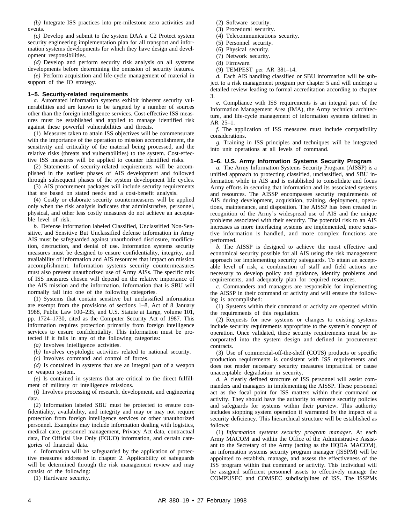*(b)* Integrate ISS practices into pre-milestone zero activities and events.

*(c)* Develop and submit to the system DAA a C2 Protect system security engineering implementation plan for all transport and information systems developments for which they have design and development responsibilities.

*(d)* Develop and perform security risk analysis on all systems developments before determining the omission of security features.

*(e)* Perform acquisition and life-cycle management of material in support of the IO strategy.

#### **1–5. Security-related requirements**

*a.* Automated information systems exhibit inherent security vulnerabilities and are known to be targeted by a number of sources other than the foreign intelligence services. Cost-effective ISS measures must be established and applied to manage identified risk against these powerful vulnerabilities and threats.

(1) Measures taken to attain ISS objectives will be commensurate with the importance of the operation to mission accomplishment, the sensitivity and criticality of the material being processed, and the relative risks (threats and vulnerabilities) to the system. Cost-effective ISS measures will be applied to counter identified risks.

(2) Statements of security-related requirements will be accomplished in the earliest phases of AIS development and followed through subsequent phases of the system development life cycles.

(3) AIS procurement packages will include security requirements that are based on stated needs and a cost-benefit analysis.

(4) Costly or elaborate security countermeasures will be applied only when the risk analysis indicates that administrative, personnel, physical, and other less costly measures do not achieve an acceptable level of risk.

*b.* Defense information labeled Classified, Unclassified Non-Sensitive, and Sensitive But Unclassified defense information in Army AIS must be safeguarded against unauthorized disclosure, modification, destruction, and denial of use. Information systems security measures must be designed to ensure confidentiality, integrity, and availability of information and AIS resources that impact on mission accomplishment. Information systems security countermeasures must also prevent unauthorized use of Army AISs. The specific mix of ISS measures chosen will depend on the relative importance of the AIS mission and the information. Information that is SBU will normally fall into one of the following categories.

(1) Systems that contain sensitive but unclassified information are exempt from the provisions of sections 1–8, Act of 8 January 1988, Public Law 100–235, and U.S. Statute at Large, volume 101, pp. 1724–1730, cited as the Computer Security Act of 1987. This information requires protection primarily from foreign intelligence services to ensure confidentiality. This information must be protected if it falls in any of the following categories:

*(a)* Involves intelligence activities.

*(b)* Involves cryptologic activities related to national security.

*(c)* Involves command and control of forces.

*(d)* Is contained in systems that are an integral part of a weapon or weapon system.

*(e)* Is contained in systems that are critical to the direct fulfillment of military or intelligence missions.

*(f)* Involves processing of research, development, and engineering data.

(2) Information labeled SBU must be protected to ensure confidentiality, availability, and integrity and may or may not require protection from foreign intelligence services or other unauthorized personnel. Examples may include information dealing with logistics, medical care, personnel management, Privacy Act data, contractual data, For Official Use Only (FOUO) information, and certain categories of financial data.

*c.* Information will be safeguarded by the application of protective measures addressed in chapter 2. Applicability of safeguards will be determined through the risk management review and may consist of the following:

(1) Hardware security.

- (2) Software security.
- (3) Procedural security.
- (4) Telecommunications security.
- (5) Personnel security.

(6) Physical security.

- (7) Network security.
- (8) Firmware.
- (9) TEMPEST per AR 381–14.

*d.* Each AIS handling classified or SBU information will be subject to a risk management program per chapter 5 and will undergo a detailed review leading to formal accreditation according to chapter 3.

*e.* Compliance with ISS requirements is an integral part of the Information Management Area (IMA), the Army technical architecture, and life-cycle management of information systems defined in AR 25–1.

*f.* The application of ISS measures must include compatibility considerations.

*g.* Training in ISS principles and techniques will be integrated into unit operations at all levels of command.

#### **1–6. U.S. Army Information Systems Security Program**

*a.* The Army Information Systems Security Program (AISSP) is a unified approach to protecting classified, unclassified, and SBU information while in AIS and is established to consolidate and focus Army efforts in securing that information and its associated systems and resources. The AISSP encompasses security requirements of AIS during development, acquisition, training, deployment, operations, maintenance, and disposition. The AISSP has been created in recognition of the Army's widespread use of AIS and the unique problems associated with their security. The potential risk to an AIS increases as more interfacing systems are implemented, more sensitive information is handled, and more complex functions are performed.

*b.* The AISSP is designed to achieve the most effective and economical security possible for all AIS using the risk management approach for implementing security safeguards. To attain an acceptable level of risk, a combination of staff and field actions are necessary to develop policy and guidance, identify problems and requirements, and adequately plan for required resources.

*c.* Commanders and managers are responsible for implementing the AISSP in their command or activity and will ensure the following is accomplished:

(1) Systems within their command or activity are operated within the requirements of this regulation.

(2) Requests for new systems or changes to existing systems include security requirements appropriate to the system's concept of operation. Once validated, these security requirements must be incorporated into the system design and defined in procurement contracts.

(3) Use of commercial-off-the-shelf (COTS) products or specific production requirements is consistent with ISS requirements and does not render necessary security measures impractical or cause unacceptable degradation in security.

*d.* A clearly defined structure of ISS personnel will assist commanders and managers in implementing the AISSP. These personnel act as the focal point for ISS matters within their command or activity. They should have the authority to enforce security policies and safeguards for systems within their purview. This authority includes stopping system operation if warranted by the impact of a security deficiency. This hierarchical structure will be established as follows:

(1) Information systems security program manager. At each Army MACOM and within the Office of the Administrative Assistant to the Secretary of the Army (acting as the HQDA MACOM), an information systems security program manager (ISSPM) will be appointed to establish, manage, and assess the effectiveness of the ISS program within that command or activity. This individual will be assigned sufficient personnel assets to effectively manage the COMPUSEC and COMSEC subdisciplines of ISS. The ISSPMs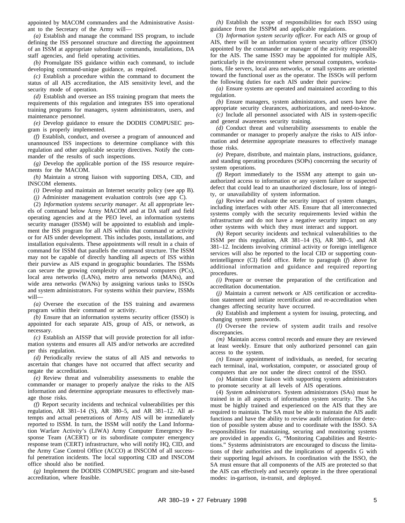appointed by MACOM commanders and the Administrative Assistant to the Secretary of the Army will—

*(a)* Establish and manage the command ISS program, to include defining the ISS personnel structure and directing the appointment of an ISSM at appropriate subordinate commands, installations, DA staff agencies, and field operating activities.

*(b)* Promulgate ISS guidance within each command, to include developing command-unique guidance, as required.

*(c)* Establish a procedure within the command to document the status of all AIS accreditation, the AIS sensitivity level, and the security mode of operation.

*(d)* Establish and oversee an ISS training program that meets the requirements of this regulation and integrates ISS into operational training programs for managers, system administrators, users, and maintenance personnel.

*(e)* Develop guidance to ensure the DODIIS COMPUSEC program is properly implemented.

*(f)* Establish, conduct, and oversee a program of announced and unannounced ISS inspections to determine compliance with this regulation and other applicable security directives. Notify the commander of the results of such inspections.

*(g)* Develop the applicable portion of the ISS resource requirements for the MACOM.

*(h)* Maintain a strong liaison with supporting DISA, CID, and INSCOM elements.

*(i)* Develop and maintain an Internet security policy (see app B).

*(j)* Administer management evaluation controls (see app C).

(2) *Information systems security manager.* At all appropriate levels of command below Army MACOM and at DA staff and field operating agencies and at the PEO level, an information systems security manager (ISSM) will be appointed to establish and implement the ISS program for all AIS within that command or activity or for AIS under development. This includes posts, installations, and installation equivalents. These appointments will result in a chain of command for ISSM that parallels the command structure. The ISSM may not be capable of directly handling all aspects of ISS within their purview as AIS expand in geographic boundaries. The ISSMs can secure the growing complexity of personal computers (PCs), local area networks (LANs), metro area networks (MANs), and wide area networks (WANs) by assigning various tasks to ISSOs and system administrators. For systems within their purview, ISSMs will—

*(a)* Oversee the execution of the ISS training and awareness program within their command or activity.

*(b)* Ensure that an information systems security officer (ISSO) is appointed for each separate AIS, group of AIS, or network, as necessary.

*(c)* Establish an AISSP that will provide protection for all information systems and ensures all AIS and/or networks are accredited per this regulation.

*(d)* Periodically review the status of all AIS and networks to ascertain that changes have not occurred that affect security and negate the accreditation.

*(e)* Review threat and vulnerability assessments to enable the commander or manager to properly analyze the risks to the AIS information and determine appropriate measures to effectively manage those risks.

*(f)* Report security incidents and technical vulnerabilities per this regulation, AR 381–14 (S), AR 380–5, and AR 381–12. All attempts and actual penetrations of Army AIS will be immediately reported to ISSM. In turn, the ISSM will notify the Land Information Warfare Activity's (LIWA) Army Computer Emergency Response Team (ACERT) or its subordinate computer emergency response team (CERT) infrastructure, who will notify HQ, CID, and the Army Case Control Office (ACCO) at INSCOM of all successful penetration incidents. The local supporting CID and INSCOM office should also be notified.

*(g)* Implement the DODIIS COMPUSEC program and site-based accreditation, where feasible.

*(h)* Establish the scope of responsibilities for each ISSO using guidance from the ISSPM and applicable regulations.

(3) *Information system security officer.* For each AIS or group of AIS, there will be an information system security officer (ISSO) appointed by the commander or manager of the activity responsible for the AIS. The same ISSO may be appointed for multiple AIS, particularly in the environment where personal computers, workstations, file servers, local area networks, or small systems are oriented toward the functional user as the operator. The ISSOs will perform the following duties for each AIS under their purview:

*(a)* Ensure systems are operated and maintained according to this regulation.

*(b)* Ensure managers, system administrators, and users have the appropriate security clearances, authorizations, and need-to-know.

*(c)* Include all personnel associated with AIS in system-specific and general awareness security training.

*(d)* Conduct threat and vulnerability assessments to enable the commander or manager to properly analyze the risks to AIS information and determine appropriate measures to effectively manage those risks.

*(e)* Prepare, distribute, and maintain plans, instructions, guidance, and standing operating procedures (SOPs) concerning the security of system operations.

*(f)* Report immediately to the ISSM any attempt to gain unauthorized access to information or any system failure or suspected defect that could lead to an unauthorized disclosure, loss of integrity, or unavailability of system information.

*(g)* Review and evaluate the security impact of system changes, including interfaces with other AIS. Ensure that all interconnected systems comply with the security requirements levied within the infrastructure and do not have a negative security impact on any other systems with which they must interact and support.

*(h)* Report security incidents and technical vulnerabilities to the ISSM per this regulation, AR 381–14 (S), AR 380–5, and AR 381–12. Incidents involving criminal activity or foreign intelligence services will also be reported to the local CID or supporting counterintelligence (CI) field office. Refer to paragraph (*f*) above for additional information and guidance and required reporting procedures.

*(i)* Prepare or oversee the preparation of the certification and accreditation documentation.

*(j)* Maintain a current network or AIS certification or accreditation statement and initiate recertification and re-accreditation when changes affecting security have occurred.

*(k)* Establish and implement a system for issuing, protecting, and changing system passwords.

*(1)* Oversee the review of system audit trails and resolve discrepancies.

*(m)* Maintain access control records and ensure they are reviewed at least weekly. Ensure that only authorized personnel can gain access to the system.

*(n)* Ensure appointment of individuals, as needed, for securing each terminal, inal, workstation, computer, or associated group of computers that are not under the direct control of the ISSO.

*(o)* Maintain close liaison with supporting system administrators to promote security at all levels of AIS operations.

(4) *System administrators.* System administrators (SAs) must be trained in in all aspects of information system security. The SAs must be highly trained and experienced on the AIS that they are required to maintain. The SA must be able to maintain the AIS audit functions and have the ability to review audit information for detection of possible system abuse and to coordinate with the ISSO. SA responsibilities for maintaining, securing and monitoring systems are provided in appendix G, "Monitoring Capabilities and Restrictions." Systems administrators are encouraged to discuss the limitations of their authorities and the implications of appendix G with their supporting legal advisors. In coordination with the ISSO, the SA must ensure that all components of the AIS are protected so that the AIS can effectively and securely operate in the three operational modes: in-garrison, in-transit, and deployed.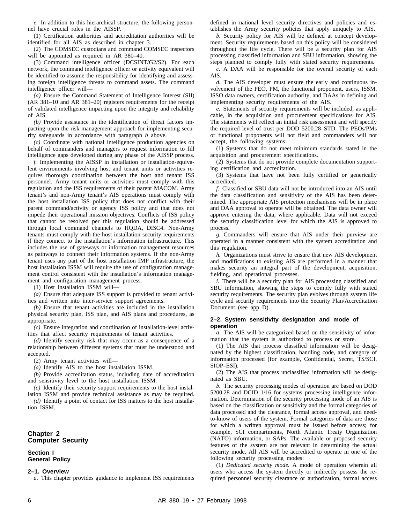*e.* In addition to this hierarchical structure, the following personnel have crucial roles in the AISSP.

(1) Certification authorities and accreditation authorities will be identified for all AIS as described in chapter 3.

(2) The COMSEC custodians and command COMSEC inspectors will be appointed as required in AR 380–40.

(3) Command intelligence officer (DCSINT/G2/S2). For each network, the command intelligence officer or activity equivalent will be identified to assume the responsibility for identifying and assessing foreign intelligence threats to command assets. The command intelligence officer will—

*(a)* Ensure the Command Statement of Intelligence Interest (SII) (AR 381–10 and AR 381–20) registers requirements for the receipt of validated intelligence impacting upon the integrity and reliability of AIS.

*(b)* Provide assistance in the identification of threat factors impacting upon the risk management approach for implementing security safeguards in accordance with paragraph *b* above.

*(c)* Coordinate with national intelligence production agencies on behalf of commanders and managers to request information to fill intelligence gaps developed during any phase of the AISSP process.

*f.* Implementing the AISSP in installation or installation-equivalent environments involving host and tenant units or activities requires thorough coordination between the host and tenant ISS personnel. Army tenant units or activities must comply with this regulation and the ISS requirements of their parent MACOM. Army tenant's and non-Army tenant's AIS operations must comply with the host installation ISS policy that does not conflict with their parent command/activity or agency ISS policy and that does not impede their operational mission objectives. Conflicts of ISS policy that cannot be resolved per this regulation should be addressed through local command channels to HQDA, DISC4. Non-Army tenants must comply with the host installation security requirements if they connect to the installation's information infrastructure. This includes the use of gateways or information management resources as pathways to connect their information systems. If the non-Army tenant uses any part of the host installation IMP infrastructure, the host installation ISSM will require the use of configuration management control consistent with the installation's information management and configuration management process.

(1) Host installation ISSM will—

*(a)* Ensure that adequate ISS support is provided to tenant activities and written into inter-service support agreements.

*(b)* Ensure that tenant activities are included in the installation physical security plan, ISS plan, and AIS plans and procedures, as appropriate.

*(c)* Ensure integration and coordination of installation-level activities that affect security requirements of tenant activities.

*(d)* Identify security risk that may occur as a consequence of a relationship between different systems that must be understood and accepted.

(2) Army tenant activities will—

*(a)* Identify AIS to the host installation ISSM.

*(b)* Provide accreditation status, including date of accreditation and sensitivity level to the host installation ISSM.

*(c)* Identify their security support requirements to the host installation ISSM and provide technical assistance as may be required.

*(d)* Identify a point of contact for ISS matters to the host installation ISSM.

#### **Chapter 2 Computer Security**

#### **Section I General Policy**

#### **2–1. Overview**

*a.* This chapter provides guidance to implement ISS requirements

defined in national level security directives and policies and establishes the Army security policies that apply uniquely to AIS.

*b.* Security policy for AIS will be defined at concept development. Security requirements based on this policy will be considered throughout the life cycle. There will be a security plan for AIS processing classified information and SBU information, showing the steps planned to comply fully with stated security requirements.

*c.* A DAA will be responsible for the overall security of each AIS.

*d.* The AIS developer must ensure the early and continuous involvement of the PEO, PM, the functional proponent, users, ISSM, ISSO data owners, certification authority, and DAAs in defining and implementing security requirements of the AIS.

*e.* Statements of security requirements will be included, as applicable, in the acquisition and procurement specifications for AIS. The statements will reflect an initial risk assessment and will specify the required level of trust per DOD 5200.28–STD. The PEOs/PMs or functional proponents will not field and commanders will not accept, the following systems:

(1) Systems that do not meet minimum standards stated in the acquisition and procurement specifications.

(2) Systems that do not provide complete documentation supporting certification and accreditation.

 $(3)$  Systems that have not been fully certified or generically accredited.

*f.* Classified or SBU data will not be introduced into an AIS until the data classification and sensitivity of the AIS has been determined. The appropriate AIS protection mechanisms will be in place and DAA approval to operate will be obtained. The data owner will approve entering the data, where applicable. Data will not exceed the security classification level for which the AIS is approved to process.

*g.* Commanders will ensure that AIS under their purview are operated in a manner consistent with the system accreditation and this regulation.

*h.* Organizations must strive to ensure that new AIS development and modifications to existing AIS are performed in a manner that makes security an integral part of the development, acquisition, fielding, and operational processes.

*i.* There will be a security plan for AIS processing classified and SBU information, showing the steps to comply fully with stated security requirements. The security plan evolves through system life cycle and security requirements into the Security Plan/Accreditation Document (see app D).

#### **2–2. System sensitivity designation and mode of operation**

*a.* The AIS will be categorized based on the sensitivity of information that the system is authorized to process or store.

(1) The AIS that process classified information will be designated by the highest classification, handling code, and category of information processed (for example, Confidential, Secret, TS/SCI, SIOP–ESI).

(2) The AIS that process unclassified information will be designated as SBU.

*b.* The security processing modes of operation are based on DOD 5200.28 and DCID 1/16 for systems processing intelligence information. Determination of the security processing mode of an AIS is based on the classification or sensitivity and the formal categories of data processed and the clearance, formal access approval, and needto-know of users of the system. Formal categories of data are those for which a written approval must be issued before access; for example, SCI compartments, North Atlantic Treaty Organization (NATO) information, or SAPs. The available or proposed security features of the system are not relevant in determining the actual security mode. All AIS will be accredited to operate in one of the following security processing modes:

(1) *Dedicated security mode.* A mode of operation wherein all users who access the system directly or indirectly possess the required personnel security clearance or authorization, formal access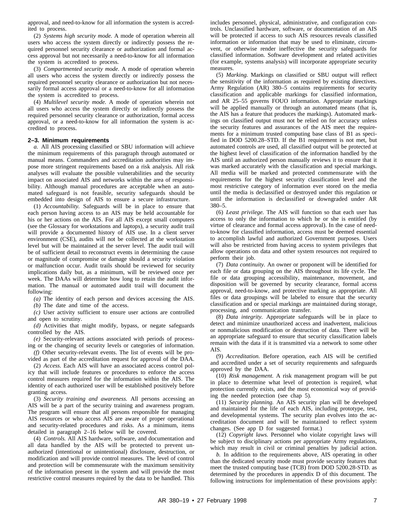approval, and need-to-know for all information the system is accredited to process.

(2) *Systems high security mode.* A mode of operation wherein all users who access the system directly or indirectly possess the required personnel security clearance or authorization and formal access approval but not necessarily a need-to-know for all information the system is accredited to process.

(3) *Compartmented security mode.* A mode of operation wherein all users who access the system directly or indirectly possess the required personnel security clearance or authorization but not necessarily formal access approval or a need-to-know for all information the system is accredited to process.

(4) *Multilevel security mode.* A mode of operation wherein not all users who access the system directly or indirectly possess the required personnel security clearance or authorization, formal access approval, or a need-to-know for all information the system is accredited to process.

#### **2–3. Minimum requirements**

*a.* All AIS processing classified or SBU information will achieve the minimum requirements of this paragraph through automated or manual means. Commanders and accreditation authorities may impose more stringent requirements based on a risk analysis. All risk analyses will evaluate the possible vulnerabilities and the security impact on associated AIS and networks within the area of responsibility. Although manual procedures are acceptable when an automated safeguard is not feasible, security safeguards should be embedded into design of AIS to ensure a secure infrastructure.

(1) *Accountability.* Safeguards will be in place to ensure that each person having access to an AIS may be held accountable for his or her actions on the AIS. For all AIS except small computers (see the Glossary for workstations and laptops), a security audit trail will provide a documented history of AIS use. In a client server environment (CSE), audits will not be collected at the workstation level but will be maintained at the server level. The audit trail will be of sufficient detail to reconstruct events in determining the cause or magnitude of compromise or damage should a security violation or malfunction occur. Audit trails should be reviewed for security implications daily but, as a minimum, will be reviewed once per week. The DAAs will determine how long to retain the audit information. The manual or automated audit trail will document the following:

*(a)* The identity of each person and devices accessing the AIS.

*(b)* The date and time of the access.

*(c)* User activity sufficient to ensure user actions are controlled and open to scrutiny.

*(d)* Activities that might modify, bypass, or negate safeguards controlled by the AIS.

*(e)* Security-relevant actions associated with periods of processing or the changing of security levels or categories of information.

*(f)* Other security-relevant events. The list of events will be provided as part of the accreditation request for approval of the DAA.

(2) *Access.* Each AIS will have an associated access control policy that will include features or procedures to enforce the access control measures required for the information within the AIS. The identity of each authorized user will be established positively before granting access.

(3) *Security training and awareness.* All persons accessing an AIS will be a part of the security training and awareness program. The program will ensure that all persons responsible for managing AIS resources or who access AIS are aware of proper operational and security-related procedures and risks. As a minimum, items detailed in paragraph 2–16 below will be covered.

(4) *Controls.* All AIS hardware, software, and documentation and all data handled by the AIS will be protected to prevent unauthorized (intentional or unintentional) disclosure, destruction, or modification and will provide control measures. The level of control and protection will be commensurate with the maximum sensitivity of the information present in the system and will provide the most restrictive control measures required by the data to be handled. This includes personnel, physical, administrative, and configuration controls. Unclassified hardware, software, or documentation of an AIS will be protected if access to such AIS resources reveals classified information or information that may be used to eliminate, circumvent, or otherwise render ineffective the security safeguards for classified information. Software development and related activities (for example, systems analysis) will incorporate appropriate security measures.

(5) *Marking.* Markings on classified or SBU output will reflect the sensitivity of the information as required by existing directives. Army Regulation (AR) 380–5 contains requirements for security classification and applicable markings for classified information, and AR 25–55 governs FOUO information. Appropriate markings will be applied manually or through an automated means (that is, the AIS has a feature that produces the markings). Automated markings on classified output must not be relied on for accuracy unless the security features and assurances of the AIS meet the requirements for a minimum trusted computing base class of B1 as specified in DOD 5200.28–STD. If the B1 requirement is not met, but automated controls are used, all classified output will be protected at the highest level of classification of the information handled by the AIS until an authorized person manually reviews it to ensure that it was marked accurately with the classification and special markings. All media will be marked and protected commensurate with the requirements for the highest security classification level and the most restrictive category of information ever stored on the media until the media is declassified or destroyed under this regulation or until the information is declassified or downgraded under AR 380–5.

(6) *Least privilege.* The AIS will function so that each user has access to only the information to which he or she is entitled (by virtue of clearance and formal access approval). In the case of needto-know for classified information, access must be deemed essential to accomplish lawful and authorized Government purposes. Users will also be restricted from having access to system privileges that allow operations on data and other system resources not required to perform their job.

(7) *Data continuity.* An owner or proponent will be identified for each file or data grouping on the AIS throughout its life cycle. The file or data grouping accessibility, maintenance, movement, and disposition will be governed by security clearance, formal access approval, need-to-know, and protective marking as appropriate. All files or data groupings will be labeled to ensure that the security classification and or special markings are maintained during storage, processing, and communication transfer.

(8) *Data integrity.* Appropriate safeguards will be in place to detect and minimize unauthorized access and inadvertent, malicious or nonmalicious modification or destruction of data. There will be an appropriate safeguard to ensure that security classification labels remain with the data if it is transmitted via a network to some other AIS.

(9) *Accreditation.* Before operation, each AIS will be certified and accredited under a set of security requirements and safeguards approved by the DAA.

(10) *Risk management.* A risk management program will be put in place to determine what level of protection is required, what protection currently exists, and the most economical way of providing the needed protection (see chap 5).

(11) *Security planning.* An AIS security plan will be developed and maintained for the life of each AIS, including prototype, test, and developmental systems. The security plan evolves into the accreditation document and will be maintained to reflect system changes. (See app D for suggested format.)

(12) *Copyright laws.* Personnel who violate copyright laws will be subject to disciplinary actions per appropriate Army regulations, which may result in civil or criminal penalties by judicial action.

*b.* In addition to the requirements above, AIS operating in other than the dedicated security mode must provide security features that meet the trusted computing base (TCB) from DOD 5200.28-STD. as determined by the procedures in appendix D of this document. The following instructions for implementation of these provisions apply: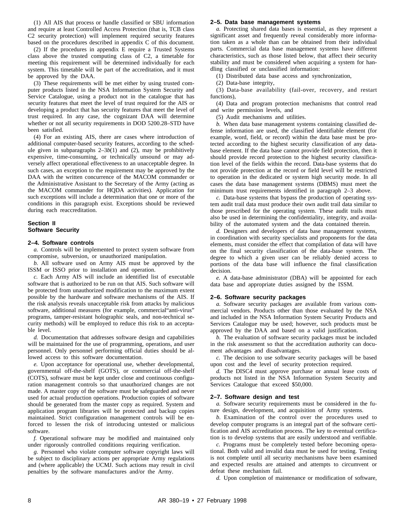(1) All AIS that process or handle classified or SBU information and require at least Controlled Access Protection (that is, TCB class C2 security protection) will implement required security features based on the procedures described in appendix C of this document.

(2) If the procedures in appendix E require a Trusted Systems class above the trusted computing class of C2, a timetable for meeting this requirement will be determined individually for each system. This timetable will be part of the accreditation, and it must be approved by the DAA.

(3) These requirements will be met either by using trusted computer products listed in the NSA Information System Security and Service Catalogue, using a product not in the catalogue that has security features that meet the level of trust required for the AIS or developing a product that has security features that meet the level of trust required. In any case, the cognizant DAA will determine whether or not all security requirements in DOD 5200.28–STD have been satisfied.

(4) For an existing AIS, there are cases where introduction of additional computer-based security features, according to the schedule given in subparagraphs  $2-3b(1)$  and (2), may be prohibitively expensive, time-consuming, or technically unsound or may adversely affect operational effectiveness to an unacceptable degree. In such cases, an exception to the requirement may be approved by the DAA with the written concurrence of the MACOM commander or the Administrative Assistant to the Secretary of the Army (acting as the MACOM commander for HQDA activities). Application for such exceptions will include a determination that one or more of the conditions in this paragraph exist. Exceptions should be reviewed during each reaccreditation.

#### **Section II Software Security**

#### **2–4. Software controls**

*a.* Controls will be implemented to protect system software from compromise, subversion, or unauthorized manipulation.

*b.* All software used on Army AIS must be approved by the ISSM or ISSO prior to installation and operation.

*c.* Each Army AIS will include an identified list of executable software that is authorized to be run on that AIS. Such software will be protected from unauthorized modification to the maximum extent possible by the hardware and software mechanisms of the AIS. If the risk analysis reveals unacceptable risk from attacks by malicious software, additional measures (for example, commercial"anti-virus" programs, tamper-resistant holographic seals, and non-technical security methods) will be employed to reduce this risk to an acceptable level.

*d.* Documentation that addresses software design and capabilities will be maintained for the use of programming, operations, and user personnel. Only personnel performing official duties should be allowed access to this software documentation.

*e.* Upon acceptance for operational use, whether developmental, governmental off-the-shelf (GOTS), or commercial off-the-shelf (COTS), software must be kept under close and continuous configuration management controls so that unauthorized changes are not made. A master copy of the software must be safeguarded and never used for actual production operations. Production copies of software should be generated from the master copy as required. System and application program libraries will be protected and backup copies maintained. Strict configuration management controls will be enforced to lessen the risk of introducing untested or malicious software.

*f.* Operational software may be modified and maintained only under rigorously controlled conditions requiring verification.

*g.* Personnel who violate computer software copyright laws will be subject to disciplinary actions per appropriate Army regulations and (where applicable) the UCMJ. Such actions may result in civil penalties by the software manufactures and/or the Army.

#### **2–5. Data base management systems**

*a.* Protecting shared data bases is essential, as they represent a significant asset and frequently reveal considerably more information taken as a whole than can be obtained from their individual parts. Commercial data base management systems have different characteristics, such as those listed below, that affect their security stability and must be considered when acquiring a system for handling classified or unclassified information:

(1) Distributed data base access and synchronization,

(2) Data-base integrity,

(3) Data-base availability (fail-over, recovery, and restart functions),

(4) Data and program protection mechanisms that control read and write permission levels, and

(5) Audit mechanisms and utilities.

*b.* When data base management systems containing classified defense information are used, the classified identifiable element (for example, word, field, or record) within the data base must be protected according to the highest security classification of any database element. If the data base cannot provide field protection, then it should provide record protection to the highest security classification level of the fields within the record. Data-base systems that do not provide protection at the record or field level will be restricted to operation in the dedicated or system high security mode. In all cases the data base management systems (DBMS) must meet the minimum trust requirements identified in paragraph 2–3 above.

*c.* Data-base systems that bypass the production of operating system audit trail data must produce their own audit trail data similar to those prescribed for the operating system. These audit trails must also be used in determining the confidentiality, integrity, and availability of the automated system and the data contained therein.

*d.* Designers and developers of data base management systems, in coordination with security specialists and proponents for the data elements, must consider the effect that compilation of data will have on the final security classification of the data-base system. The degree to which a given user can be reliably denied access to portions of the data base will influence the final classification decision.

*e.* A data-base administrator (DBA) will be appointed for each data base and appropriate duties assigned by the ISSM.

#### **2–6. Software security packages**

*a.* Software security packages are available from various commercial vendors. Products other than those evaluated by the NSA and included in the NSA Information System Security Products and Services Catalogue may be used; however, such products must be approved by the DAA and based on a valid justification.

*b.* The evaluation of software security packages must be included in the risk assessment so that the accreditation authority can document advantages and disadvantages.

*c.* The decision to use software security packages will be based upon cost and the level of security protection required.

*d.* The DISC4 must approve purchase or annual lease costs of products not listed in the NSA Information System Security and Services Catalogue that exceed \$50,000.

#### **2–7. Software design and test**

*a.* Software security requirements must be considered in the future design, development, and acquisition of Army systems.

*b*. Examination of the control over the procedures used to develop computer programs is an integral part of the software certification and AIS accreditation process. The key to eventual certification is to develop systems that are easily understood and verifiable.

*c.* Programs must be completely tested before becoming operational. Both valid and invalid data must be used for testing. Testing is not complete until all security mechanisms have been examined and expected results are attained and attempts to circumvent or defeat these mechanism fail.

*d.* Upon completion of maintenance or modification of software,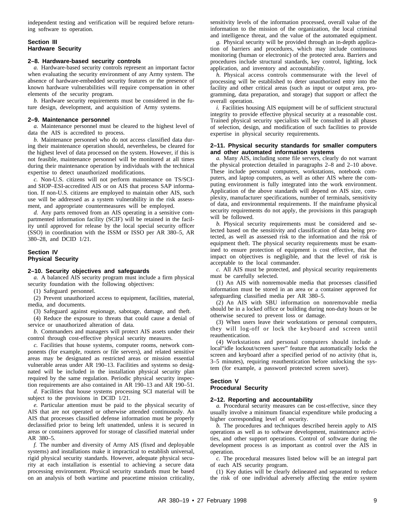independent testing and verification will be required before returning software to operation.

#### **Section III Hardware Security**

#### **2–8. Hardware-based security controls**

*a.* Hardware-based security controls represent an important factor when evaluating the security environment of any Army system. The absence of hardware-embedded security features or the presence of known hardware vulnerabilities will require compensation in other elements of the security program.

*b.* Hardware security requirements must be considered in the future design, development, and acquisition of Army systems.

#### **2–9. Maintenance personnel**

*a.* Maintenance personnel must be cleared to the highest level of data the AIS is accredited to process.

*b.* Maintenance personnel who do not access classified data during their maintenance operation should, nevertheless, be cleared for the highest level of data processed on the system. However, if this is not feasible, maintenance personnel will be monitored at all times during their maintenance operation by individuals with the technical expertise to detect unauthorized modifications.

*c.* Non-U.S. citizens will not perform maintenance on TS/SCIand SIOP–ESI-accredited AIS or on AIS that process SAP information. If non-U.S. citizens are employed to maintain other AIS, such use will be addressed as a system vulnerability in the risk assessment, and appropriate countermeasures will be employed.

*d.* Any parts removed from an AIS operating in a sensitive compartmented information facility (SCIF) will be retained in the facility until approved for release by the local special security officer (SSO) in coordination with the ISSM or ISSO per AR 380–5, AR 380–28, and DCID 1/21.

#### **Section IV Physical Security**

#### **2–10. Security objectives and safeguards**

*a.* A balanced AIS security program must include a firm physical security foundation with the following objectives:

(1) Safeguard personnel.

(2) Prevent unauthorized access to equipment, facilities, material, media, and documents.

(3) Safeguard against espionage, sabotage, damage, and theft.

(4) Reduce the exposure to threats that could cause a denial of service or unauthorized alteration of data.

*b.* Commanders and managers will protect AIS assets under their control through cost-effective physical security measures.

*c.* Facilities that house systems, computer rooms, network components (for example, routers or file servers), and related sensitive areas may be designated as restricted areas or mission essential vulnerable areas under AR 190–13. Facilities and systems so designated will be included in the installation physical security plan required by the same regulation. Periodic physical security inspection requirements are also contained in AR 190–13 and AR 190–51.

*d.* Facilities that house systems processing SCI material will be subject to the provisions in DCID 1/21.

*e.* Particular attention must be paid to the physical security of AIS that are not operated or otherwise attended continuously. An AIS that processes classified defense information must be properly declassified prior to being left unattended, unless it is secured in areas or containers approved for storage of classified material under AR 380–5.

*f.* The number and diversity of Army AIS (fixed and deployable systems) and installations make it impractical to establish universal, rigid physical security standards. However, adequate physical security at each installation is essential to achieving a secure data processing environment. Physical security standards must be based on an analysis of both wartime and peacetime mission criticality, sensitivity levels of the information processed, overall value of the information to the mission of the organization, the local criminal and intelligence threat, and the value of the automated equipment.

*g.* Physical security will be provided through an in-depth application of barriers and procedures, which may include continuous monitoring (human or electronic) of the protected area. Barriers and procedures include structural standards, key control, lighting, lock application, and inventory and accountability.

*h*. Physical access controls commensurate with the level of processing will be established to deter unauthorized entry into the facility and other critical areas (such as input or output area, programming, data preparation, and storage) that support or affect the overall operation.

*i.* Facilities housing AIS equipment will be of sufficient structural integrity to provide effective physical security at a reasonable cost. Trained physical security specialists will be consulted in all phases of selection, design, and modification of such facilities to provide expertise in physical security requirements.

#### **2–11. Physical security standards for smaller computers and other automated information systems**

*a.* Many AIS, including some file servers, clearly do not warrant the physical protection detailed in paragraphs 2–8 and 2–10 above. These include personal computers, workstations, notebook computers, and laptop computers, as well as other AIS where the computing environment is fully integrated into the work environment. Application of the above standards will depend on AIS size, complexity, manufacturer specifications, number of terminals, sensitivity of data, and environmental requirements. If the mainframe physical security requirements do not apply, the provisions in this paragraph will be followed.

*b.* Physical security requirements must be considered and selected based on the sensitivity and classification of data being protected, as well as assessed risk to the information and the risk of equipment theft. The physical security requirements must be examined to ensure protection of equipment is cost effective, that the impact on objectives is negligible, and that the level of risk is acceptable to the local commander.

*c.* All AIS must be protected, and physical security requirements must be carefully selected.

(1) An AIS with nonremovable media that processes classified information must be stored in an area or a container approved for safeguarding classified media per AR 380–5.

 $(2)$  An AIS with SBU information on nonremovable media should be in a locked office or building during non-duty hours or be otherwise secured to prevent loss or damage.

(3) When users leave their workstations or personal computers, they will log-off or lock the keyboard and screen until reauthentication.

(4) Workstations and personal computers should include a local"idle lockout/screen saver" feature that automatically locks the screen and keyboard after a specified period of no activity (that is, 3–5 minutes), requiring reauthentication before unlocking the system (for example, a password protected screen saver).

#### **Section V Procedural Security**

#### **2–12. Reporting and accountability**

*a.* Procedural security measures can be cost-effective, since they usually involve a minimum financial expenditure while producing a higher corresponding level of security.

*b.* The procedures and techniques described herein apply to AIS operations as well as to software development, maintenance activities, and other support operations. Control of software during the development process is as important as control over the AIS in operation.

*c.* The procedural measures listed below will be an integral part of each AIS security program.

(1) Key duties will be clearly delineated and separated to reduce the risk of one individual adversely affecting the entire system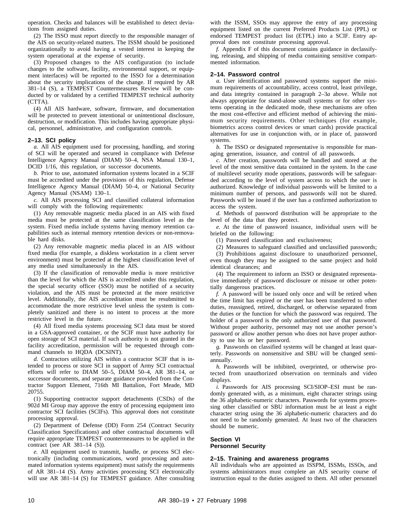operation. Checks and balances will be established to detect deviations from assigned duties.

(2) The ISSO must report directly to the responsible manager of the AIS on security-related matters. The ISSM should be positioned organizationally to avoid having a vested interest in keeping the system operational at the expense of security.

(3) Proposed changes to the AIS configuration (to include changes to the software, facility, environmental support, or equipment interfaces) will be reported to the ISSO for a determination about the security implications of the change. If required by AR 381–14 (S), a TEMPEST Countermeasures Review will be conducted by or validated by a certified TEMPEST technical authority (CTTA).

(4) All AIS hardware, software, firmware, and documentation will be protected to prevent intentional or unintentional disclosure, destruction, or modification. This includes having appropriate physical, personnel, administrative, and configuration controls.

#### **2–13. SCI policy**

*a.* All AIS equipment used for processing, handling, and storing of SCI will be operated and secured in compliance with Defense Intelligence Agency Manual (DIAM) 50–4, NSA Manual 130–1, DCID 1/16, this regulation, or successor documents.

*b.* Prior to use, automated information systems located in a SCIF must be accredited under the provisions of this regulation, Defense Intelligence Agency Manual (DIAM) 50–4, or National Security Agency Manual (NSAM) 130–1.

*c.* All AIS processing SCI and classified collateral information will comply with the following requirements:

(1) Any removable magnetic media placed in an AIS with fixed media must be protected at the same classification level as the system. Fixed media include systems having memory retention capabilities such as internal memory retention devices or non-removable hard disks.

(2) Any removable magnetic media placed in an AIS without fixed media (for example, a diskless workstation in a client server environment) must be protected at the highest classification level of any media used simultaneously in the AIS.

(3) If the classification of removable media is more restrictive than the level for which the AIS is accredited under this regulation, the special security officer (SSO) must be notified of a security violation, and the AIS must be protected at the more restrictive level. Additionally, the AIS accreditation must be resubmitted to accommodate the more restrictive level unless the system is completely sanitized and there is no intent to process at the more restrictive level in the future.

(4) All fixed media systems processing SCI data must be stored in a GSA-approved container, or the SCIF must have authority for open storage of SCI material. If such authority is not granted in the facility accreditation, permission will be requested through command channels to HQDA (DCSINT).

*d.* Contractors utilizing AIS within a contractor SCIF that is intended to process or store SCI in support of Army SCI contractual efforts will refer to DIAM 50–5, DIAM 50–4, AR 381–14, or successor documents, and separate guidance provided from the Contractor Support Element, 716th MI Battalion, Fort Meade, MD 20755.

(1) Supporting contractor support detachments (CSDs) of the 902d MI Group may approve the entry of processing equipment into contractor SCI facilities (SCIFs). This approval does not constitute processing approval.

(2) Department of Defense (DD) Form 254 (Contract Security Classification Specifications) and other contractual documents will require appropriate TEMPEST countermeasures to be applied in the contract (see AR 381–14 (S)).

*e.* All equipment used to transmit, handle, or process SCI electronically (including communications, word processing and automated information systems equipment) must satisfy the requirements of AR 381–14 (S). Army activities processing SCI electronically will use AR 381-14 (S) for TEMPEST guidance. After consulting

with the ISSM, SSOs may approve the entry of any processing equipment listed on the current Preferred Products List (PPL) or endorsed TEMPEST product list (ETPL) into a SCIF. Entry approval does not constitute processing approval.

*f.* Appendix F of this document contains guidance in declassifying, releasing, and shipping of media containing sensitive compartmented information.

#### **2–14. Password control**

*a.* User identification and password systems support the minimum requirements of accountability, access control, least privilege, and data integrity contained in paragraph 2–3*a* above. While not always appropriate for stand-alone small systems or for other systems operating in the dedicated mode, these mechanisms are often the most cost-effective and efficient method of achieving the minimum security requirements. Other techniques (for example, biometrics access control devices or smart cards) provide practical alternatives for use in conjunction with, or in place of, password systems.

*b.* The ISSO or designated representative is responsible for managing generation, issuance, and control of all passwords.

*c.* After creation, passwords will be handled and stored at the level of the most sensitive data contained in the system. In the case of multilevel security mode operations, passwords will be safeguarded according to the level of system access to which the user is authorized. Knowledge of individual passwords will be limited to a minimum number of persons, and passwords will not be shared. Passwords will be issued if the user has a confirmed authorization to access the system.

*d.* Methods of password distribution will be appropriate to the level of the data that they protect.

*e.* At the time of password issuance, individual users will be briefed on the following:

(1) Password classification and exclusiveness;

(2) Measures to safeguard classified and unclassified passwords; (3) Prohibitions against disclosure to unauthorized personnel,

even though they may be assigned to the same project and hold identical clearances; and

(4) The requirement to inform an ISSO or designated representative immediately of password disclosure or misuse or other potentially dangerous practices.

*f.* A password will be issued only once and will be retired when the time limit has expired or the user has been transferred to other duties, reassigned, retired, discharged, or otherwise separated from the duties or the function for which the password was required. The holder of a password is the only authorized user of that password. Without proper authority, personnel may not use another person's password or allow another person who does not have proper authority to use his or her password.

*g.* Passwords on classified systems will be changed at least quarterly. Passwords on nonsensitive and SBU will be changed semiannually.

*h.* Passwords will be inhibited, overprinted, or otherwise protected from unauthorized observation on terminals and video displays.

*i.* Passwords for AIS processing SCI/SIOP–ESI must be randomly generated with, as a minimum, eight character strings using the 36 alphabetic-numeric characters. Passwords for systems processing other classified or SBU information must be at least a eight character string using the 36 alphabetic-numeric characters and do not need to be randomly generated. At least two of the characters should be numeric.

#### **Section VI Personnel Security**

#### **2–15. Training and awareness programs**

All individuals who are appointed as ISSPM, ISSMs, ISSOs, and systems administrators must complete an AIS security course of instruction equal to the duties assigned to them. All other personnel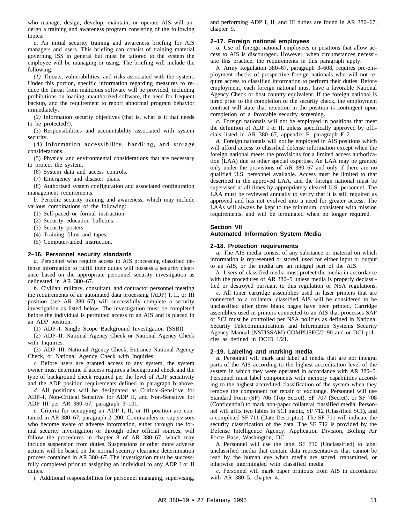who manage, design, develop, maintain, or operate AIS will undergo a training and awareness program consisting of the following topics:

*a.* An initial security training and awareness briefing for AIS managers and users. This briefing can consist of training material governing ISS in general but must be tailored to the system the employee will be managing or using. The briefing will include the following:

*(1)* Threats, vulnerabilities, and risks associated with the system. Under this portion, specific information regarding measures to reduce the threat from malicious software will be provided, including prohibitions on loading unauthorized software, the need for frequent backup, and the requirement to report abnormal program behavior immediately.

*(2)* Information security objectives (that is, what is it that needs to be protected?).

(3) Responsibilities and accountability associated with system security.

(4) Information accessibility, handling, and storage considerations.

(5) Physical and environmental considerations that are necessary to protect the system.

(6) System data and access controls.

(7) Emergency and disaster plans.

(8) Authorized system configuration and associated configuration management requirements.

*b.* Periodic security training and awareness, which may include various combinations of the following:

(1) Self-paced or formal instruction.

(2) Security education bulletins.

(3) Security posters.

(4) Training films and tapes.

(5) Computer-aided instruction.

#### **2–16. Personnel security standards**

*a.* Personnel who require access to AIS processing classified defense information to fulfill their duties will possess a security clearance based on the appropriate personnel security investigation as delineated in AR 380–67.

*b.* Civilian, military, consultant, and contractor personnel meeting the requirements of an automated data processing (ADP) I, II, or III position (see AR 380–67) will successfully complete a security investigation as listed below. The investigation must be completed before the individual is permitted access to an AIS and is placed in an ADP position.

(1) ADP–I. Single Scope Background Investigation (SSBI).

(2) ADP–II. National Agency Check or National Agency Check with Inquiries.

(3) ADP–III. National Agency Check, Entrance National Agency Check, or National Agency Check with Inquiries.

*c.* Before users are granted access to any system, the system owner must determine if access requires a background check and the type of background check required per the level of ADP sensitivity and the ADP position requirements defined in paragraph b above.

*d.* All positions will be designated as Critical-Sensitive for ADP–I, Non-Critical Sensitive for ADP II, and Non-Sensitive for ADP III per AR 380–67, paragraph 3–101.

*e.* Criteria for occupying an ADP I, II, or III position are contained in AR 380–67, paragraph 2–200. Commanders or supervisors who become aware of adverse information, either through the formal security investigation or through other official sources, will follow the procedures in chapter 8 of AR 380–67, which may include suspension from duties. Suspensions or other more adverse actions will be based on the normal security clearance determination process contained in AR 380–67. The investigation must be successfully completed prior to assigning an individual to any ADP I or II duties.

*f.* Additional responsibilities for personnel managing, supervising,

and performing ADP I, II, and III duties are found in AR 380–67, chapter 9.

#### **2–17. Foreign national employees**

*a.* Use of foreign national employees in positions that allow access to AIS is discouraged. However, when circumstances necessitate this practice, the requirements in this paragraph apply.

*b.* Army Regulation 380–67, paragraph 3–608, requires pre-employment checks of prospective foreign nationals who will not require access to classified information to perform their duties. Before employment, each foreign national must have a favorable National Agency Check or host country equivalent. If the foreign national is hired prior to the completion of the security check, the employment contract will state that retention in the position is contingent upon completion of a favorable security screening.

*c.* Foreign nationals will not be employed in positions that meet the definition of ADP I or II, unless specifically approved by officials listed in AR 380–67, appendix F, paragraph F–2.

*d.* Foreign nationals will not be employed in AIS positions which will afford access to classified defense information except when the foreign national meets the provisions for a limited access authorization (LAA) due to other special expertise. An LAA may be granted only under the provisions of AR 380–67 and only if there are no qualified U.S. personnel available. Access must be limited to that described in the approved LAA, and the foreign national must be supervised at all times by appropriately cleared U.S. personnel. The LAA must be reviewed annually to verify that it is still required as approved and has not evolved into a need for greater access. The LAAs will always be kept to the minimum, consistent with mission requirements, and will be terminated when no longer required.

#### **Section VII**

#### **Automated Information System Media**

#### **2–18. Protection requirements**

*a.* The AIS media consist of any substance or material on which information is represented or stored, used for either input or output to an AIS, or the media are an integral part of the AIS.

*b.* Users of classified media must protect the media in accordance with the procedures of AR 380–5 unless media is properly declassified or destroyed pursuant to this regulation or NSA regulations.

*c.* All toner cartridge assemblies used in laser printers that are connected to a collateral classified AIS will be considered to be unclassified after three blank pages have been printed. Cartridge assemblies used in printers connected to an AIS that processes SAP or SCI must be controlled per NSA policies as defined in National Security Telecommunications and Information Systems Security Agency Manual (NSTISSAM) COMPUSEC/2–90 and or DCI policies as defined in DCID 1/21.

#### **2–19. Labeling and marking media**

*a.* Personnel will mark and label all media that are not integral parts of the AIS according to the highest accreditation level of the system in which they were operated in accordance with AR 380–5. Personnel must label components with memory capabilities according to the highest accredited classification of the system when they remove the component for repair or exchange. Personnel will use Standard Form (SF) 706 (Top Secret), SF 707 (Secret), or SF 708 (Confidential) to mark non-paper collateral classified media. Personnel will affix two lables to SCI media, SF 712 (Classified SCI), and a completed SF 711 (Date Descriptor). The SF 711 will indicate the security classification of the data. The SF 712 is provided by the Defense Intelligence Agency, Application Division, Bolling Air Force Base, Washington, DC.

*b.* Personnel will use the label SF 710 (Unclassified) to label unclassified media that contain data representatives that cannot be read by the human eye when media are stored, transmitted, or otherwise intermingled with classified media.

*c.* Personnel will mark paper printouts from AIS in accordance with AR 380–5, chapter 4.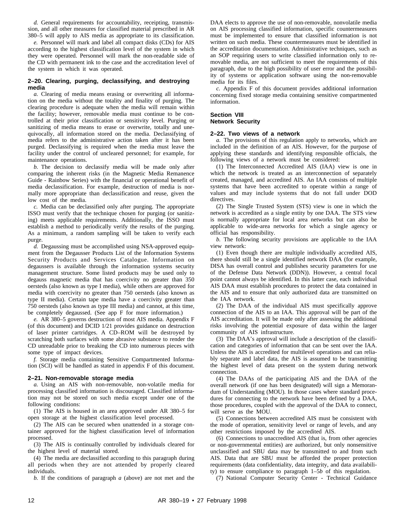*d.* General requirements for accountability, receipting, transmission, and all other measures for classified material prescribed in AR 380–5 will apply to AIS media as appropriate to its classification.

*e.* Personnel will mark and label all compact disks (CDs) for AIS according to the highest classification level of the system in which they were operated. Personnel will mark the non-readable side of the CD with permanent ink to the case and the accreditation level of the system in which it was operated.

#### **2–20. Clearing, purging, declassifying, and destroying media**

*a.* Clearing of media means erasing or overwriting all information on the media without the totality and finality of purging. The clearing procedure is adequate when the media will remain within the facility; however, removable media must continue to be controlled at their prior classification or sensitivity level. Purging or sanitizing of media means to erase or overwrite, totally and unequivocally, all information stored on the media. Declassifying of media refers to the administrative action taken after it has been purged. Declassifying is required when the media must leave the facility under the control of uncleared personnel; for example, for maintenance operations.

*b.* The decision to declassify media will be made only after comparing the inherent risks (in the Magnetic Media Remanence Guide - Rainbow Series) with the financial or operational benefit of media declassification. For example, destruction of media is normally more appropriate than declassification and reuse, given the low cost of the media.

*c.* Media can be declassified only after purging. The appropriate ISSO must verify that the technique chosen for purging (or sanitizing) meets applicable requirements. Additionally, the ISSO must establish a method to periodically verify the results of the purging. As a minimum, a random sampling will be taken to verify each purge.

*d.* Degaussing must be accomplished using NSA-approved equipment from the Degausser Products List of the Information Systems Security Products and Services Catalogue. Information on degaussers is available through the information systems security management structure. Some listed products may be used only to degauss magnetic media that has coercivity no greater than 350 oersteds (also known as type I media), while others are approved for media with coercivity no greater than 750 oersteds (also known as type II media). Certain tape media have a coercivity greater than 750 oersteds (also known as type III media) and cannot, at this time, be completely degaussed. (See app F for more information.)

*e.* AR 380–5 governs destruction of most AIS media. Appendix F (of this document) and DCID 1/21 provides guidance on destruction of laser printer cartridges. A CD-ROM will be destroyed by scratching both surfaces with some abrasive substance to render the CD unreadable prior to breaking the CD into numerous pieces with some type of impact devices.

*f.* Storage media containing Sensitive Compartmented Information (SCI) will be handled as stated in appendix F of this document.

#### **2–21. Non-removable storage media**

*a*. Using an AIS with non-removable, non-volatile media for processing classified information is discouraged. Classified information may not be stored on such media except under one of the following conditions:

(1) The AIS is housed in an area approved under AR 380–5 for open storage at the highest classification level processed.

(2) The AIS can be secured when unattended in a storage container approved for the highest classification level of information processed.

(3) The AIS is continually controlled by individuals cleared for the highest level of material stored.

(4) The media are declassified according to this paragraph during all periods when they are not attended by properly cleared individuals.

*b.* If the conditions of paragraph *a* (above) are not met and the

DAA elects to approve the use of non-removable, nonvolatile media on AIS processing classified information, specific countermeasures must be implemented to ensure that classified information is not written on such media. These countermeasures must be identified in the accreditation documentation. Administrative techniques, such as an SOP requiring users to write classified information only to removable media, are not sufficient to meet the requirements of this paragraph, due to the high possibility of user error and the possibility of systems or application software using the non-removable media for its files.

*c.* Appendix F of this document provides additional information concerning fixed storage media containing sensitive compartmented information.

#### **Section VIII Network Security**

#### **2–22. Two views of a network**

*a.* The provisions of this regulation apply to networks, which are included in the definition of an AIS. However, for the purpose of applying these standards and identifying responsible officials, the following views of a network must be considered:

(1) The Interconnected Accredited AIS (IAA) view is one in which the network is treated as an interconnection of separately created, managed, and accredited AIS. An IAA consists of multiple systems that have been accredited to operate within a range of values and may include systems that do not fall under DOD directives.

(2) The Single Trusted System (STS) view is one in which the network is accredited as a single entity by one DAA. The STS view is normally appropriate for local area networks but can also be applicable to wide-area networks for which a single agency or official has responsibility.

*b.* The following security provisions are applicable to the IAA view network:

(1) Even though there are multiple individually accredited AIS, there should still be a single identified network DAA (for example, DISA has overall control and publishes security parameters for use of the Defense Data Network (DDN)). However, a central focal point cannot always be identified. In this latter case, each individual AIS DAA must establish procedures to protect the data contained in the AIS and to ensure that only authorized data are transmitted on the IAA network.

(2) The DAA of the individual AIS must specifically approve connection of the AIS to an IAA. This approval will be part of the AIS accreditation. It will be made only after assessing the additional risks involving the potential exposure of data within the larger community of AIS infrastructure.

(3) The DAA's approval will include a description of the classification and categories of information that can be sent over the IAA. Unless the AIS is accredited for multilevel operations and can reliably separate and label data, the AIS is assumed to be transmitting the highest level of data present on the system during network connection.

(4) The DAAs of the participating AIS and the DAA of the overall network (if one has been designated) will sign a Memorandum of Understanding (MOU). In those cases where standard procedures for connecting to the network have been defined by a DAA, those procedures, coupled with the approval of the DAA to connect, will serve as the MOU.

(5) Connections between accredited AIS must be consistent with the mode of operation, sensitivity level or range of levels, and any other restrictions imposed by the accredited AIS.

(6) Connections to unaccredited AIS (that is, from other agencies or non-governmental entities) are authorized, but only nonsensitive unclassified and SBU data may be transmitted to and from such AIS. Data that are SBU must be afforded the proper protection requirements (data confidentiality, data integrity, and data availability) to ensure compliance to paragraph 1–5*b* of this regulation.

(7) National Computer Security Center - Technical Guidance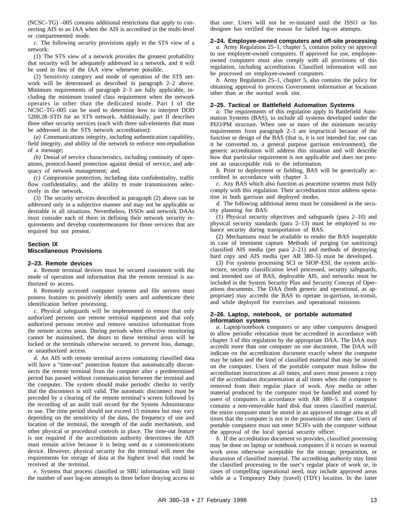(NCSC–TG) –005 contains additional restrictions that apply to connecting AIS to an IAA when the AIS is accredited in the multi-level or compartmented mode.

*c.* The following security provisions apply to the STS view of a network:

(1) The STS view of a network provides the greatest probability that security will be adequately addressed in a network, and it will be used in lieu of the IAA view whenever possible.

(2) Sensitivity category and mode of operation of the STS network will be determined as described in paragraph 2–2 above. Minimum requirements of paragraph 2–3 are fully applicable, including the minimum trusted class requirement when the network operates in other than the dedicated mode. Part I of the NCSC–TG–005 can be used to determine how to interpret DOD 5200.28–STD for an STS network. Additionally, part II describes three other security services (each with three sub-elements that must be addressed in the STS network accreditation):

*(a)* Communications integrity, including authentication capability, field integrity, and ability of the network to enforce non-repudiation of a message;

*(b)* Denial of service characteristics, including continuity of operations, protocol-based protection against denial of service, and adequacy of network management; and,

*(c)* Compromise protection, including data confidentiality, traffic flow confidentiality, and the ability to route transmissions selectively in the network.

(3) The security services described in paragraph (2) above can be addressed only in a subjective manner and may not be applicable or desirable in all situations. Nevertheless, ISSOs and network DAAs must consider each of them in defining their network security requirements and develop countermeasures for those services that are required but not present.

#### **Section IX Miscellaneous Provisions**

#### **2–23. Remote devices**

*a.* Remote terminal devices must be secured consistent with the mode of operation and information that the remote terminal is authorized to access.

*b.* Remotely accessed computer systems and file servers must possess features to positively identify users and authenticate their identification before processing.

*c.* Physical safeguards will be implemented to ensure that only authorized persons use remote terminal equipment and that only authorized persons receive and remove sensitive information from the remote access areas. During periods when effective monitoring cannot be maintained, the doors to these terminal areas will be locked or the terminals otherwise secured, to prevent loss, damage, or unauthorized access.

*d.* An AIS with remote terminal access containing classified data will have a "time-out" protection feature that automatically disconnects the remote terminal from the computer after a predetermined period has passed without communication between the terminal and the computer. The system should make periodic checks to verify that the disconnect is still valid. The automatic disconnect must be preceded by a clearing of the remote terminal's screen followed by the recording of an audit trail record for the System Administrator to use. The time period should not exceed 15 minutes but may vary depending on the sensitivity of the data, the frequency of use and location of the terminal, the strength of the audit mechanism, and other physical or procedural controls in place. The time-out feature is not required if the accreditation authority determines the AIS must remain active because it is being used as a communications device. However, physical security for the terminal will meet the requirements for storage of data at the highest level that could be received at the terminal.

*e.* Systems that process classified or SBU information will limit the number of user log-on attempts to three before denying access to

that user. Users will not be re-instated until the ISSO or his designee has verified the reason for failed log-on attempts.

#### **2–24. Employee-owned computers and off-site processing**

*a.* Army Regulation 25–1, chapter 5, contains policy on approval to use employee-owned computers. If approved for use, employeeowned computers must also comply with all provisions of this regulation, including accreditation. Classified information will not be processed on employee-owned computers.

*b.* Army Regulation 25–1, chapter 5, also contains the policy for obtaining approval to process Government information at locations other than at the normal work site.

#### **2–25. Tactical or Battlefield Automation Systems**

*a.* The requirements of this regulation apply to Battlefield Automation Systems (BAS), to include all systems developed under the PEO/PM structure. When one or more of the minimum security requirements from paragraph 2–3 are impractical because of the function or design of the BAS (that is, it is not intended for, nor can it be converted to, a general purpose garrison environment), the generic accreditation will address this situation and will describe how that particular requirement is not applicable and does not present an unacceptable risk to the information.

*b.* Prior to deployment or fielding, BAS will be generically accredited in accordance with chapter 3.

*c.* Any BAS which also function as peacetime systems must fully comply with this regulation. Their accreditation must address operation in both garrison and deployed modes.

*d.* The following additional items must be considered in the security planning for BAS:

(1) Physical security objectives and safeguards (para 2–10) and physical security standards (para 2–13) must be employed to enhance security during transportation of BAS.

(2) Mechanisms must be available to render the BAS inoperable in case of imminent capture. Methods of purging (or sanitizing) classified AIS media (per para 2–21) and methods of destroying hard copy and AIS media (per AR 380–5) must be developed.

(3) For systems processing SCI or SIOP–ESI, the system architecture, security classification level processed, security safeguards, and intended use of BAS, deployable AIS, and networks must be included in the System Security Plan and Security Concept of Operations documents. The DAA (both generic and operational, as appropriate) may accredit the BAS to operate in-garrison, in-transit, and while deployed for exercises and operational missions.

#### **2–26. Laptop, notebook, or portable automated information systems**

*a.* Laptop/notebook computers or any other computers designed to allow periodic relocation must be accredited in accordance with chapter 3 of this regulation by the appropriate DAA. The DAA may accredit more than one computer on one document. The DAA will indicate on the accreditation document exactly where the computer may be taken and the kind of classified material that may be stored on the computer. Users of the portable computer must follow the accreditation instructions at all times, and users must possess a copy of the accreditation documentation at all times when the computer is removed from their regular place of work. Any media or other material produced by the computer must be handled and stored by users of computers in accordance with AR 380–5. If a computer contains a non-removable hard disk that stores classified material, the entire computer must be stored in an approved storage area at all times that the computer is not in the possession of the user. Users of portable computers must not enter SCIFs with the computer without the approval of the local special security officer.

*b.* If the accreditation document so provides, classified processing may be done on laptop or notebook computers if it occurs in normal work areas otherwise acceptable for the storage, preparation, or discussion of classified material. The accrediting authority may limit the classified processing to the user's regular place of work or, in cases of compelling operational need, may include approved areas while at a Temporary Duty (travel) (TDY) location. In the latter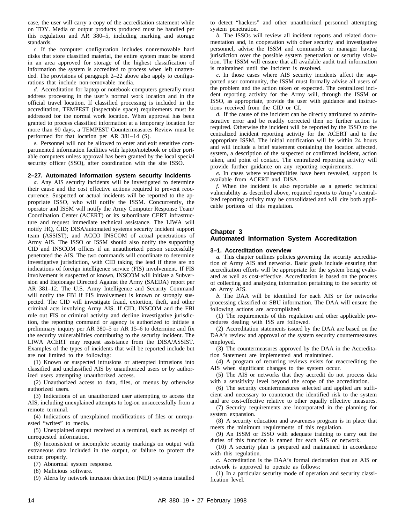case, the user will carry a copy of the accreditation statement while on TDY. Media or output products produced must be handled per this regulation and AR 380-5, including marking and storage standards.

*c*. If the computer configuration includes nonremovable hard disks that store classified material, the entire system must be stored in an area approved for storage of the highest classification of information the system is accredited to process when left unattended. The provisions of paragraph 2–22 above also apply to configurations that include non-removable media.

*d.* Accreditation for laptop or notebook computers generally must address processing in the user's normal work location and in the official travel location. If classified processing is included in the accreditation, TEMPEST (inspectable space) requirements must be addressed for the normal work location. When approval has been granted to process classified information at a temporary location for more than 90 days, a TEMPEST Countermeasures Review must be performed for that location per AR 381–14 (S).

*e.* Personnel will not be allowed to enter and exit sensitive compartmented information facilities with laptop/notebook or other portable computers unless approval has been granted by the local special security officer (SSO), after coordination with the site ISSO.

#### **2–27. Automated information system security incidents**

*a.* Any AIS security incidents will be investigated to determine their cause and the cost effective actions required to prevent reoccurrence. Suspected or actual incidents will be reported to the appropriate ISSO, who will notify the ISSM. Concurrently, the operator and ISSM will notify the Army Computer Response Team/ Coordination Center (ACERT) or its subordinate CERT infrastructure and request immediate technical assistance. The LIWA will notify HQ, CID; DISA/automated systems security incident support team (ASSIST); and ACCO INSCOM of actual penetrations of Army AIS. The ISSO or ISSM should also notify the supporting CID and INSCOM offices if an unauthorized person successfully penetrated the AIS. The two commands will coordinate to determine investigative jurisdiction, with CID taking the lead if there are no indications of foreign intelligence service (FIS) involvement. If FIS involvement is suspected or known, INSCOM will initiate a Subversion and Espionage Directed Against the Army (SAEDA) report per AR 381–12. The U.S. Army Intelligence and Security Command will notify the FBI if FIS involvement is known or strongly suspected. The CID will investigate fraud, extortion, theft, and other criminal acts involving Army AIS. If CID, INSCOM and the FBI rule out FIS or criminal activity and decline investigative jurisdiction, the reporting command or agency is authorized to initiate a preliminary inquiry per AR 380–5 or AR 15–6 to determine and fix the security vulnerabilities contributing to the security incident. The LIWA ACERT may request assistance from the DISA/ASSIST. Examples of the types of incidents that will be reported include but are not limited to the following:

(1) Known or suspected intrusions or attempted intrusions into classified and unclassified AIS by unauthorized users or by authorized users attempting unauthorized access.

(2) Unauthorized access to data, files, or menus by otherwise authorized users.

(3) Indications of an unauthorized user attempting to access the AIS, including unexplained attempts to log-on unsuccessfully from a remote terminal.

(4) Indications of unexplained modifications of files or unrequested "writes" to media.

(5) Unexplained output received at a terminal, such as receipt of unrequested information.

(6) Inconsistent or incomplete security markings on output with extraneous data included in the output, or failure to protect the output properly.

(7) Abnormal system response.

(8) Malicious software.

(9) Alerts by network intrusion detection (NID) systems installed

to detect "hackers" and other unauthorized personnel attempting system penetration.

*b.* The ISSOs will review all incident reports and related documentation and, in cooperation with other security and investigative personnel, advise the ISSM and commander or manager having jurisdiction over the possible system penetration or security violation. The ISSM will ensure that all available audit trail information is maintained until the incident is resolved.

*c.* In those cases where AIS security incidents affect the supported user community, the ISSM must formally advise all users of the problem and the action taken or expected. The centralized incident reporting activity for the Army will, through the ISSM or ISSO, as appropriate, provide the user with guidance and instructions received from the CID or CI.

*d.* If the cause of the incident can be directly attributed to administrative error and be readily corrected then no further action is required. Otherwise the incident will be reported by the ISSO to the centralized incident reporting activity for the ACERT and to the appropriate ISSM. The initial notification will be within 24 hours and will include a brief statement containing the location affected, system, a description of the suspected or confirmed incident, action taken, and point of contact. The centralized reporting activity will provide further guidance on any reporting requirements.

*e.* In cases where vulnerabilities have been revealed, support is available from ACERT and DISA.

*f.* When the incident is also reportable as a generic technical vulnerability as described above, required reports to Army's centralized reporting activity may be consolidated and will cite both applicable portions of this regulation.

#### **Chapter 3**

#### **Automated Information System Accreditation**

#### **3–1. Accreditation overview**

*a.* This chapter outlines policies governing the security accreditation of Army AIS and networks. Basic goals include ensuring that accreditation efforts will be appropriate for the system being evaluated as well as cost-effective. Accreditation is based on the process of collecting and analyzing information pertaining to the security of an Army AIS.

*b.* The DAA will be identified for each AIS or for networks processing classified or SBU information. The DAA will ensure the following actions are accomplished:

(1) The requirements of this regulation and other applicable procedures dealing with ISS are followed.

(2) Accreditation statements issued by the DAA are based on the DAA's review and approval of the system security countermeasures employed.

(3) The countermeasures approved by the DAA in the Accreditation Statement are implemented and maintained.

(4) A program of recurring reviews exists for reaccrediting the AIS when significant changes to the system occur.

(5) The AIS or networks that they accredit do not process data with a sensitivity level beyond the scope of the accreditation.

(6) The security countermeasures selected and applied are sufficient and necessary to counteract the identified risk to the system and are cost-effective relative to other equally effective measures.

(7) Security requirements are incorporated in the planning for system expansion.

(8) A security education and awareness program is in place that meets the minimum requirements of this regulation.

(9) An ISSM or ISSO with adequate training to carry out the duties of this function is named for each AIS or network.

(10) A security plan is prepared and maintained in accordance with this regulation.

*c.* Accreditation is the DAA's formal declaration that an AIS or network is approved to operate as follows:

(1) In a particular security mode of operation and security classification level.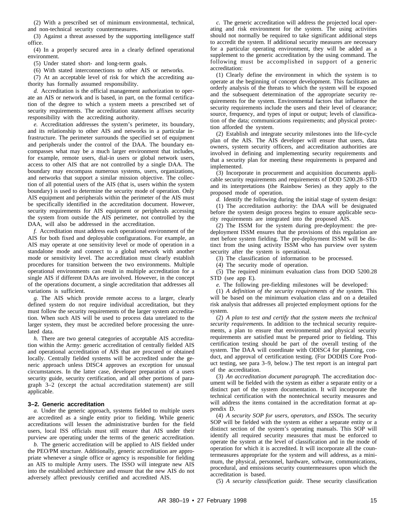(2) With a prescribed set of minimum environmental, technical, and non-technical security countermeasures.

(3) Against a threat assessed by the supporting intelligence staff office.

(4) In a properly secured area in a clearly defined operational environment.

(5) Under stated short- and long-term goals.

(6) With stated interconnections to other AIS or networks.

(7) At an acceptable level of risk for which the accrediting authority has formally assumed responsibility.

*d.* Accreditation is the official management authorization to operate an AIS or network and is based, in part, on the formal certification of the degree to which a system meets a prescribed set of security requirements. The accreditation statement affixes security responsibility with the accrediting authority.

*e.* Accreditation addresses the system's perimeter, its boundary, and its relationship to other AIS and networks in a particular infrastructure. The perimeter surrounds the specified set of equipment and peripherals under the control of the DAA. The boundary encompasses what may be a much larger environment that includes, for example, remote users, dial-in users or global network users, access to other AIS that are not controlled by a single DAA. The boundary may encompass numerous systems, users, organizations, and networks that support a similar mission objective. The collection of all potential users of the AIS (that is, users within the system boundary) is used to determine the security mode of operation. Only AIS equipment and peripherals within the perimeter of the AIS must be specifically identified in the accreditation document. However, security requirements for AIS equipment or peripherals accessing the system from outside the AIS perimeter, not controlled by the DAA, will also be addressed in the accreditation.

*f.* Accreditation must address each operational environment of the AIS for both fixed and deployable configurations. For example, an AIS may operate at one sensitivity level or mode of operation in a standalone mode and connect to a global network with another mode or sensitivity level. The accreditation must clearly establish procedures for transition between the two environments. Multiple operational environments can result in multiple accreditation for a single AIS if different DAAs are involved. However, in the concept of the operations document, a single accreditation that addresses all variations is sufficient.

*g.* The AIS which provide remote access to a larger, clearly defined system do not require individual accreditation, but they must follow the security requirements of the larger system accreditation. When such AIS will be used to process data unrelated to the larger system, they must be accredited before processing the unrelated data.

*h.* There are two general categories of acceptable AIS accreditation within the Army: generic accreditation of centrally fielded AIS and operational accreditation of AIS that are procured or obtained locally. Centrally fielded systems will be accredited under the generic approach unless DISC4 approves an exception for unusual circumstances. In the latter case, developer preparation of a users security guide, security certification, and all other portions of paragraph 3-2 (except the actual accreditation statement) are still applicable.

#### **3–2. Generic accreditation**

*a.* Under the generic approach, systems fielded to multiple users are accredited as a single entity prior to fielding. While generic accreditations will lessen the administrative burden for the field users, local ISS officials must still ensure that AIS under their purview are operating under the terms of the generic accreditation.

*b.* The generic accreditation will be applied to AIS fielded under the PEO/PM structure. Additionally, generic accreditation are appropriate whenever a single office or agency is responsible for fielding an AIS to multiple Army users. The ISSO will integrate new AIS into the established architecture and ensure that the new AIS do not adversely affect previously certified and accredited AIS.

*c.* The generic accreditation will address the projected local operating and risk environment for the system. The using activities should not normally be required to take significant additional steps to accredit the system. If additional security measures are necessary for a particular operating environment, they will be added as a supplement to the generic accreditation by the using command. The following must be accomplished in support of a generic accreditation:

(1) Clearly define the environment in which the system is to operate at the beginning of concept development. This facilitates an orderly analysis of the threats to which the system will be exposed and the subsequent determination of the appropriate security requirements for the system. Environmental factors that influence the security requirements include the users and their level of clearance; source, frequency, and types of input or output; levels of classification of the data; communications requirements; and physical protection afforded the system.

(2) Establish and integrate security milestones into the life-cycle plan of the AIS. The AIS developer will ensure that users, data owners, system security officers, and accreditation authorities are involved in defining and implementing security requirements and that a security plan for meeting these requirements is prepared and implemented.

(3) Incorporate in procurement and acquisition documents applicable security requirements and requirements of DOD 5200.28–STD and its interpretations (the Rainbow Series) as they apply to the proposed mode of operation.

*d.* Identify the following during the initial stage of system design:

(1) The accreditation authority: the DAA will be designated before the system design process begins to ensure applicable security requirements are integrated into the proposed AIS.

(2) The ISSM for the system during pre-deployment: the predeployment ISSM ensures that the provisions of this regulation are met before system fielding. The pre-deployment ISSM will be distinct from the using activity ISSM who has purview over system security after the system is operational.

(3) The classification of information to be processed.

(4) The security mode of operation.

(5) The required minimum evaluation class from DOD 5200.28 STD (see app E).

*e.* The following pre-fielding milestones will be developed:

(1) *A definition of the security requirements of the system.* This will be based on the minimum evaluation class and on a detailed risk analysis that addresses all projected employment options for the system.

(2) *A plan to test and certify that the system meets the technical security requirements.* In addition to the technical security requirements, a plan to ensure that environmental and physical security requirements are satisfied must be prepared prior to fielding. This certification testing should be part of the overall testing of the system. The DAA will coordinate with ODISC4 for planning, conduct, and approval of certification testing. (For DODIIS Core Product testing, see para 3–9, below.) The test report is an integral part of the accreditation.

(3) *An accreditation document paragraph.* The accreditation document will be fielded with the system as either a separate entity or a distinct part of the system documentation. It will incorporate the technical certification with the nontechnical security measures and will address the items contained in the accreditation format at appendix D.

(4) *A security SOP for users, operators, and ISSOs.* The security SOP will be fielded with the system as either a separate entity or a distinct section of the system's operating manuals. This SOP will identify all required security measures that must be enforced to operate the system at the level of classification and in the mode of operation for which it is accredited. It will incorporate all the countermeasures appropriate for the system and will address, as a minimum, the physical, personnel, hardware, software, communications, procedural, and emissions security countermeasures upon which the accreditation is based.

(5) *A security classification guide.* These security classification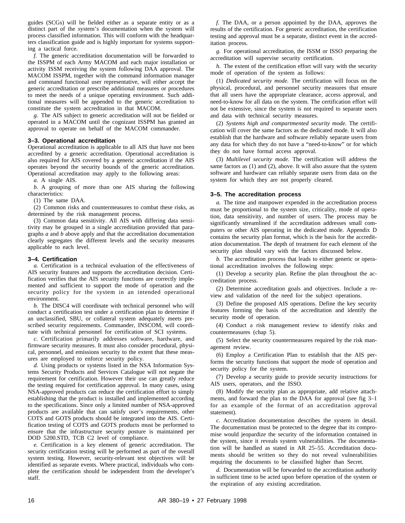guides (SCGs) will be fielded either as a separate entity or as a distinct part of the system's documentation when the system will process classified information. This will conform with the headquarters classification guide and is highly important for systems supporting a tactical force.

*f.* The generic accreditation documentation will be forwarded to the ISSPM of each Army MACOM and each major installation or activity ISSM receiving the system following DAA approval. The MACOM ISSPM, together with the command information manager and command functional user representative, will either accept the generic accreditation or prescribe additional measures or procedures to meet the needs of a unique operating environment. Such additional measures will be appended to the generic accreditation to constitute the system accreditation in that MACOM.

*g.* The AIS subject to generic accreditation will not be fielded or operated in a MACOM until the cognizant ISSPM has granted an approval to operate on behalf of the MACOM commander.

#### **3–3. Operational accreditation**

Operational accreditation is applicable to all AIS that have not been accredited by a generic accreditation. Operational accreditation is also required for AIS covered by a generic accreditation if the AIS operates beyond the security bounds of the generic accreditation. Operational accreditation may apply to the following areas:

*a.* A single AIS.

*b*. A grouping of more than one AIS sharing the following characteristics:

(1) The same DAA.

(2) Common risks and countermeasures to combat these risks, as determined by the risk management process.

(3) Common data sensitivity. All AIS with differing data sensitivity may be grouped in a single accreditation provided that paragraphs *a* and *b* above apply and that the accreditation documentation clearly segregates the different levels and the security measures applicable to each level.

#### **3–4. Certification**

*a.* Certification is a technical evaluation of the effectiveness of AIS security features and supports the accreditation decision. Certification verifies that the AIS security functions are correctly implemented and sufficient to support the mode of operation and the security policy for the system in an intended operational environment.

*b.* The DISC4 will coordinate with technical personnel who will conduct a certification test under a certification plan to determine if an unclassified, SBU, or collateral system adequately meets prescribed security requirements. Commander, INSCOM, will coordinate with technical personnel for certification of SCI systems.

*c*. Certification primarily addresses software, hardware, and firmware security measures. It must also consider procedural, physical, personnel, and emissions security to the extent that these measures are employed to enforce security policy.

*d.* Using products or systems listed in the NSA Information Systems Security Products and Services Catalogue will not negate the requirement for certification. However their use can greatly reduce the testing required for certification approval. In many cases, using NSA-approved products can reduce the certification effort to simply establishing that the product is installed and implemented according to the specifications. Since only a limited number of NSA-approved products are available that can satisfy user's requirements, other COTS and GOTS products should be integrated into the AIS. Certification testing of COTS and GOTS products must be performed to ensure that the infrastructure security posture is maintained per DOD 5200.STD, TCB C2 level of compliance.

*e.* Certification is a key element of generic accreditation. The security certification testing will be performed as part of the overall system testing. However, security-relevant test objectives will be identified as separate events. Where practical, individuals who complete the certification should be independent from the developer's staff.

*f.* The DAA, or a person appointed by the DAA, approves the results of the certification. For generic accreditation, the certification testing and approval must be a separate, distinct event in the accreditation process.

*g.* For operational accreditation, the ISSM or ISSO preparing the accreditation will supervise security certification.

*h.* The extent of the certification effort will vary with the security mode of operation of the system as follows:

(1) *Dedicated security mode.* The certification will focus on the physical, procedural, and personnel security measures that ensure that all users have the appropriate clearance, access approval, and need-to-know for all data on the system. The certification effort will not be extensive, since the system is not required to separate users and data with technical security measures.

(2) *Systems high and compartmented security mode.* The certification will cover the same factors as the dedicated mode. It will also establish that the hardware and software reliably separate users from any data for which they do not have a "need-to-know" or for which they do not have formal access approval.

(3) *Multilevel security mode.* The certification will address the same factors as (1) and (2), above. It will also assure that the system software and hardware can reliably separate users from data on the system for which they are not properly cleared.

#### **3–5. The accreditation process**

*a.* The time and manpower expended in the accreditation process must be proportional to the system size, criticality, mode of operation, data sensitivity, and number of users. The process may be significantly streamlined if the accreditation addresses small computers or other AIS operating in the dedicated mode. Appendix D contains the security plan format, which is the basis for the accreditation documentation. The depth of treatment for each element of the security plan should vary with the factors discussed below.

*b.* The accreditation process that leads to either generic or operational accreditation involves the following steps:

(1) Develop a security plan. Refine the plan throughout the accreditation process.

(2) Determine accreditation goals and objectives. Include a review and validation of the need for the subject operations.

(3) Define the proposed AIS operations. Define the key security features forming the basis of the accreditation and identify the security mode of operation.

(4) Conduct a risk management review to identify risks and countermeasures (chap 5).

(5) Select the security countermeasures required by the risk management review.

(6) Employ a Certification Plan to establish that the AIS performs the security functions that support the mode of operation and security policy for the system.

(7) Develop a security guide to provide security instructions for AIS users, operators, and the ISSO.

(8) Modify the security plan as appropriate, add relative attachments, and forward the plan to the DAA for approval (see fig 3–1 for an example of the format of an accreditation approval statement).

*c.* Accreditation documentation describes the system in detail. The documentation must be protected to the degree that its compromise would jeopardize the security of the information contained in the system, since it reveals system vulnerabilities. The documentation will be handled as stated in AR 25–55. Accreditation documents should be written so they do not reveal vulnerabilities requiring the documents to be classified higher than Secret.

*d.* Documentation will be forwarded to the accreditation authority in sufficient time to be acted upon before operation of the system or the expiration of any existing accreditation.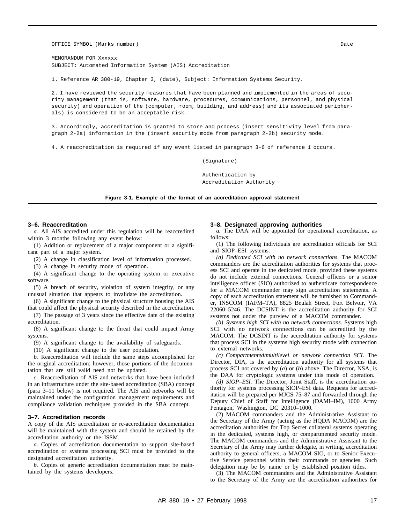OFFICE SYMBOL (Marks number) Date (December) and the control of the control of the control of the control of the control of the control of the control of the control of the control of the control of the control of the cont

MEMORANDUM FOR Xxxxxx SUBJECT: Automated Information System (AIS) Accreditation

1. Reference AR 380-19, Chapter 3, (date), Subject: Information Systems Security.

2. I have reviewed the security measures that have been planned and implemented in the areas of security management (that is, software, hardware, procedures, communications, personnel, and physical security) and operation of the (computer, room, building, and address) and its associated peripherals) is considered to be an acceptable risk.

3. Accordingly, accreditation is granted to store and process (insert sensitivity level from paragraph 2-2a) information in the (insert security mode from paragraph 2-2b) security mode.

4. A reaccreditation is required if any event listed in paragraph 3-6 of reference 1 occurs.

(Signature)

Authentication by Accreditation Authority

**Figure 3-1. Example of the format of an accreditation approval statement**

#### **3–6. Reaccreditation**

*a.* All AIS accredited under this regulation will be reaccredited within 3 months following any event below:

(1) Addition or replacement of a major component or a significant part of a major system.

(2) A change in classification level of information processed.

(3) A change in security mode of operation.

(4) A significant change to the operating system or executive software.

(5) A breach of security, violation of system integrity, or any unusual situation that appears to invalidate the accreditation.

(6) A significant change to the physical structure housing the AIS that could affect the physical security described in the accreditation.

(7) The passage of 3 years since the effective date of the existing accreditation.

(8) A significant change to the threat that could impact Army systems.

(9) A significant change to the availability of safeguards.

(10) A significant change to the user population.

*b.* Reaccreditation will include the same steps accomplished for the original accreditation; however, those portions of the documentation that are still valid need not be updated.

*c.* Reaccreditation of AIS and networks that have been included in an infrastructure under the site-based accreditation (SBA) concept (para 3–11 below) is not required. The AIS and networks will be maintained under the configuration management requirements and compliance validation techniques provided in the SBA concept.

#### **3–7. Accreditation records**

A copy of the AIS accreditation or re-accreditation documentation will be maintained with the system and should be retained by the accreditation authority or the ISSM.

*a.* Copies of accreditation documentation to support site-based accreditation or systems processing SCI must be provided to the designated accreditation authority.

*b.* Copies of generic accreditation documentation must be maintained by the systems developers.

#### **3–8. Designated approving authorities**

*a.* The DAA will be appointed for operational accreditation, as follows:

(1) The following individuals are accreditation officials for SCI and SIOP–ESI systems:

*(a) Dedicated SCI with no network connections.* The MACOM commanders are the accreditation authorities for systems that process SCI and operate in the dedicated mode, provided these systems do not include external connections. General officers or a senior intelligence officer (SIO) authorized to authenticate correspondence for a MACOM commander may sign accreditation statements. A copy of each accreditation statement will be furnished to Commander, INSCOM (IAFM–TA), 8825 Beulah Street, Fort Belvoir, VA 22060–5246. The DCSINT is the accreditation authority for SCI systems not under the purview of a MACOM commander.

*(b) Systems high SCI with no network connections.* Systems high SCI with no network connections can be accredited by the MACOM. The DCSINT is the accreditation authority for systems that process SCI in the systems high security mode with connection to external networks.

*(c) Compartmented/multilevel or network connection SCI.* The Director, DIA, is the accreditation authority for all systems that process SCI not covered by (*a*) or (*b*) above. The Director, NSA, is the DAA for cryptologic systems under this mode of operation.

*(d) SIOP–ESI.* The Director, Joint Staff, is the accreditation authority for systems processing SIOP–ESI data. Requests for accreditation will be prepared per MJCS 75–87 and forwarded through the Deputy Chief of Staff for Intelligence (DAMI–IM), 1000 Army Pentagon, Washington, DC 20310–1000.

(2) MACOM commanders and the Administrative Assistant to the Secretary of the Army (acting as the HQDA MACOM) are the accreditation authorities for Top Secret collateral systems operating in the dedicated, systems high, or compartmented security mode. The MACOM commanders and the Administrative Assistant to the Secretary of the Army may further delegate, in writing, accreditation authority to general officers, a MACOM SIO, or to Senior Executive Service personnel within their commands or agencies. Such delegation may be by name or by established position titles.

(3) The MACOM commanders and the Administrative Assistant to the Secretary of the Army are the accreditation authorities for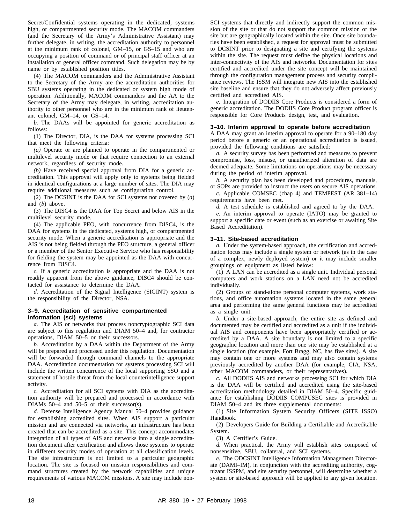Secret/Confidential systems operating in the dedicated, systems high, or compartmented security mode. The MACOM commanders (and the Secretary of the Army's Administrative Assistant) may further delegate, in writing, the accreditation authority to personnel at the minimum rank of colonel, GM–15, or GS–15 and who are occupying a position of command or of principal staff officer at an installation or general officer command. Such delegation may be by name or by established position titles.

(4) The MACOM commanders and the Administrative Assistant to the Secretary of the Army are the accreditation authorities for SBU systems operating in the dedicated or system high mode of operation. Additionally, MACOM commanders and the AA to the Secretary of the Army may delegate, in writing, accreditation authority to other personnel who are in the minimum rank of lieutenant colonel, GM–14, or GS–14.

*b*. The DAAs will be appointed for generic accreditation as follows:

(1) The Director, DIA, is the DAA for systems processing SCI that meet the following criteria:

*(a)* Operate or are planned to operate in the compartmented or multilevel security mode or that require connection to an external network, regardless of security mode.

*(b)* Have received special approval from DIA for a generic accreditation. This approval will apply only to systems being fielded in identical configurations at a large number of sites. The DIA may require additional measures such as configuration control.

(2) The DCSINT is the DAA for SCI systems not covered by (*a*) and (*b*) above.

(3) The DISC4 is the DAA for Top Secret and below AIS in the multilevel security mode.

(4) The applicable PEO, with concurrence from DISC4, is the DAA for systems in the dedicated, systems high, or compartmented security mode. When a generic accreditation is appropriate and the AIS is not being fielded through the PEO structure, a general officer or a member of the Senior Executive Service who has responsibility for fielding the system may be appointed as the DAA with concurrence from DISC4.

*c.* If a generic accreditation is appropriate and the DAA is not readily apparent from the above guidance, DISC4 should be contacted for assistance to determine the DAA.

*d.* Accreditation of the Signal Intelligence (SIGINT) system is the responsibility of the Director, NSA.

#### **3–9. Accreditation of sensitive compartmented information (sci) systems**

*a.* The AIS or networks that process noncryptographic SCI data are subject to this regulation and DIAM 50–4 and, for contractor operations, DIAM 50–5 or their successors.

*b.* Accreditation by a DAA within the Department of the Army will be prepared and processed under this regulation. Documentation will be forwarded through command channels to the appropriate DAA. Accreditation documentation for systems processing SCI will include the written concurrence of the local supporting SSO and a statement of hostile threat from the local counterintelligence support activity.

*c.* Accreditation for all SCI systems with DIA as the accreditation authority will be prepared and processed in accordance with DIAMs 50–4 and 50–5 or their successor(s).

*d.* Defense Intelligence Agency Manual 50–4 provides guidance for establishing accredited sites. When AIS support a particular mission and are connected via networks, an infrastructure has been created that can be accredited as a site. This concept accommodates integration of all types of AIS and networks into a single accreditation document after certification and allows those systems to operate in different security modes of operation at all classification levels. The site infrastructure is not limited to a particular geographic location. The site is focused on mission responsibilities and command structures created by the network capabilities and unique requirements of various MACOM missions. A site may include nonSCI systems that directly and indirectly support the common mission of the site or that do not support the common mission of the site but are geographically located within the site. Once site boundaries have been established, a request for approval must be submitted to DCSINT prior to designating a site and certifying the systems within the site. The request must define the physical locations and inter-connectivity of the AIS and networks. Documentation for sites certified and accredited under the site concept will be maintained through the configuration management process and security compliance reviews. The ISSM will integrate new AIS into the established site baseline and ensure that they do not adversely affect previously certified and accredited AIS.

*e.* Integration of DODIIS Core Products is considered a form of generic accreditation. The DODIIS Core Product program officer is responsible for Core Products design, test, and evaluation.

#### **3–10. Interim approval to operate before accreditation**

A DAA may grant an interim approval to operate for a 90–180 day period before a generic or an operational accreditation is issued, provided the following conditions are satisfied:

*a.* A security survey has been performed and measures to prevent compromise, loss, misuse, or unauthorized alteration of data are deemed adequate. Some limitations on operations may be necessary during the period of interim approval.

*b.* A security plan has been developed and procedures, manuals, or SOPs are provided to instruct the users on secure AIS operations.

*c.* Applicable COMSEC (chap 4) and TEMPEST (AR 381–14) requirements have been met.

*d.* A test schedule is established and agreed to by the DAA.

*e.* An interim approval to operate (IATO) may be granted to support a specific date or event (such as an exercise or awaiting Site Based Accreditation).

#### **3–11. Site-based accreditation**

*a.* Under the system-based approach, the certification and accreditation focus may include a single system or network (as in the case of a complex, newly deployed system) or it may include smaller groupings of equipment as listed below:

(1) A LAN can be accredited as a single unit. Individual personal computers and work stations on a LAN need not be accredited individually.

(2) Groups of stand-alone personal computer systems, work stations, and office automation systems located in the same general area and performing the same general functions may be accredited as a single unit.

*b.* Under a site-based approach, the entire site as defined and documented may be certified and accredited as a unit if the individual AIS and components have been appropriately certified or accredited by a DAA. A site boundary is not limited to a specific geographic location and more than one site may be established at a single location (for example, Fort Bragg, NC, has five sites). A site may contain one or more systems and may also contain systems previously accredited by another DAA (for example, CIA, NSA, other MACOM commanders, or their representatives).

*c.* All DODIIS AIS and networks processing SCI for which DIA is the DAA will be certified and accredited using the site-based accreditation methodology detailed in DIAM 50–4. Specific guidance for establishing DODIIS COMPUSEC sites is provided in DIAM 50–4 and its three supplemental documents:

(1) Site Information System Security Officers (SITE ISSO) Handbook.

(2) Developers Guide for Building a Certifiable and Accreditable System.

(3) A Certifier's Guide.

*d.* When practical, the Army will establish sites composed of nonsensitive, SBU, collateral, and SCI systems.

*e.* The ODCSINT Intelligence Information Management Directorate (DAMI–IM), in conjunction with the accrediting authority, cognizant ISSPM, and site security personnel, will determine whether a system or site-based approach will be applied to any given location.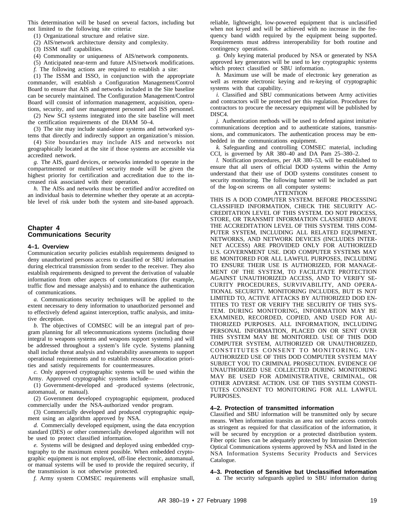This determination will be based on several factors, including but not limited to the following site criteria:

- (1) Organizational structure and relative size.
- (2) AIS/network architecture density and complexity.
- (3) ISSM staff capabilities.
- (4) Commonality or uniqueness of AIS/network components.
- (5) Anticipated near-term and future AIS/network modifications.
- *f.* The following actions are required to establish a site:

(1) The ISSM and ISSO, in conjunction with the appropriate commander, will establish a Configuration Management/Control Board to ensure that AIS and networks included in the Site baseline can be securely maintained. The Configuration Management/Control Board will consist of information management, acquisition, operations, security, and user management personnel and ISS personnel.

(2) New SCI systems integrated into the site baseline will meet the certification requirements of the DIAM 50–4.

(3) The site may include stand-alone systems and networked systems that directly and indirectly support an organization's mission.

 $(4)$  Site boundaries may include AIS and networks not geographically located at the site if those systems are accessible via accredited network.

*g.* The AIS, guard devices, or networks intended to operate in the compartmented or multilevel security mode will be given the highest priority for certification and accreditation due to the increased risk associated with their operation.

*h.* The AISs and networks must be certified and/or accredited on an individual basis to determine whether they operate at an acceptable level of risk under both the system and site-based approach.

#### **Chapter 4 Communications Security**

#### **4–1. Overview**

Communication security policies establish requirements designed to deny unauthorized persons access to classified or SBU information during electrical transmission from sender to the receiver. They also establish requirements designed to prevent the derivation of valuable information from other aspects of communications (for example, traffic flow and message analysis) and to enhance the authentication of communications.

*a.* Communications security techniques will be applied to the extent necessary to deny information to unauthorized personnel and to effectively defend against interception, traffic analysis, and imitative deception.

*b.* The objectives of COMSEC will be an integral part of program planning for all telecommunications systems (including those integral to weapons systems and weapons support systems) and will be addressed throughout a system's life cycle. Systems planning shall include threat analysis and vulnerability assessments to support operational requirements and to establish resource allocation priorities and satisfy requirements for countermeasures.

*c.* Only approved cryptographic systems will be used within the Army. Approved cryptographic systems include—

(1) Government-developed and -produced systems (electronic, automanual, or manual).

(2) Government developed cryptographic equipment, produced commercially under the NSA-authorized vendor program.

(3) Commercially developed and produced cryptographic equipment using an algorithm approved by NSA.

*d.* Commercially developed equipment, using the data encryption standard (DES) or other commercially developed algorithm will not be used to protect classified information.

*e.* Systems will be designed and deployed using embedded cryptography to the maximum extent possible. When embedded cryptographic equipment is not employed, off-line electronic, automanual, or manual systems will be used to provide the required security, if the transmission is not otherwise protected.

*f.* Army system COMSEC requirements will emphasize small,

reliable, lightweight, low-powered equipment that is unclassified when not keyed and will be achieved with no increase in the frequency band width required by the equipment being supported. Requirements must address interoperability for both routine and contingency operations.

*g.* Only keying material produced by NSA or generated by NSA approved key generators will be used to key cryptographic systems which protect classified or SBU information.

*h.* Maximum use will be made of electronic key generation as well as remote electronic keying and re-keying of cryptographic systems with that capability.

*i.* Classified and SBU communications between Army activities and contractors will be protected per this regulation. Procedures for contractors to procure the necessary equipment will be published by DISC4.

*j.* Authentication methods will be used to defend against imitative communications deception and to authenticate stations, transmissions, and communicators. The authentication process may be embedded in the communications equipment.

*k*. Safeguarding and controlling COMSEC material, including CCI, is governed by AR 380–40 and DA Pam 25–380–2.

*l.* Notification procedures, per AR 380–53, will be established to ensure that all users of official DOD systems within the Army understand that their use of DOD systems constitutes consent to security monitoring. The following banner will be included as part of the log-on screens on all computer systems:

#### **ATTENTION**

THIS IS A DOD COMPUTER SYSTEM. BEFORE PROCESSING CLASSIFIED INFORMATION, CHECK THE SECURITY AC-CREDITATION LEVEL OF THIS SYSTEM. DO NOT PROCESS, STORE, OR TRANSMIT INFORMATION CLASSIFIED ABOVE THE ACCREDITATION LEVEL OF THIS SYSTEM. THIS COM-PUTER SYSTEM, INCLUDING ALL RELATED EQUIPMENT, NETWORKS, AND NETWORK DEVICES (INCLUDES INTER-NET ACCESS) ARE PROVIDED ONLY FOR AUTHORIZED U.S. GOVERNMENT USE. DOD COMPUTER SYSTEMS MAY BE MONITORED FOR ALL LAWFUL PURPOSES, INCLUDING TO ENSURE THEIR USE IS AUTHORIZED, FOR MANAGE-MENT OF THE SYSTEM, TO FACILITATE PROTECTION AGAINST UNAUTHORIZED ACCESS, AND TO VERIFY SE-CURITY PROCEDURES, SURVIVABILITY, AND OPERA-TIONAL SECURITY. MONITORING INCLUDES, BUT IS NOT LIMITED TO, ACTIVE ATTACKS BY AUTHORIZED DOD EN-TITIES TO TEST OR VERIFY THE SECURITY OF THIS SYS-TEM. DURING MONITORING, INFORMATION MAY BE EXAMINED, RECORDED, COPIED, AND USED FOR AU-THORIZED PURPOSES. ALL INFORMATION, INCLUDING PERSONAL INFORMATION, PLACED ON OR SENT OVER THIS SYSTEM MAY BE MONITORED. USE OF THIS DOD COMPUTER SYSTEM, AUTHORIZED OR UNAUTHORIZED, CONSTITUTES CONSENT TO MONITORING. UN-AUTHORIZED USE OF THIS DOD COMPUTER SYSTEM MAY SUBJECT YOU TO CRIMINAL PROSECUTION. EVIDENCE OF UNAUTHORIZED USE COLLECTED DURING MONITORING MAY BE USED FOR ADMINISTRATIVE, CRIMINAL, OR OTHER ADVERSE ACTION. USE OF THIS SYSTEM CONSTI-TUTES CONSENT TO MONITORING FOR ALL LAWFUL PURPOSES.

#### **4–2. Protection of transmitted information**

Classified and SBU information will be transmitted only by secure means. When information transits an area not under access controls as stringent as required for that classification of the information, it will be secured by encryption or a protected distribution system. Fiber optic lines can be adequately protected by Intrusion Detection Optical Communications systems approved by NSA and listed in the NSA Information Systems Security Products and Services Catalogue.

**4–3. Protection of Sensitive but Unclassified Information** *a.* The security safeguards applied to SBU information during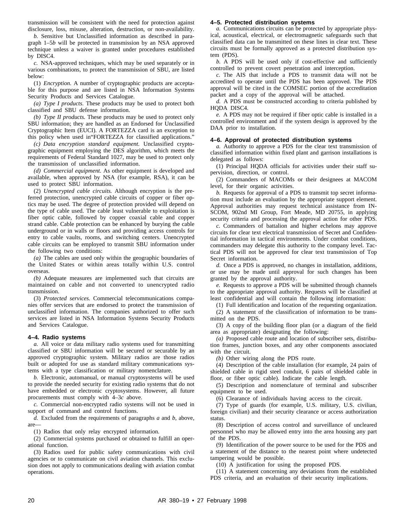transmission will be consistent with the need for protection against disclosure, loss, misuse, alteration, destruction, or non-availability.

*b.* Sensitive but Unclassified information as described in paragraph 1–5*b* will be protected in transmission by an NSA approved technique unless a waiver is granted under procedures established by DISC4.

*c.* NSA-approved techniques, which may be used separately or in various combinations, to protect the transmission of SBU, are listed below:

(1) *Encryption.* A number of cryptographic products are acceptable for this purpose and are listed in NSA Information Systems Security Products and Services Catalogue.

*(a) Type I products.* These products may be used to protect both classified and SBU defense information.

*(b) Type II products.* These products may be used to protect only SBU information; they are handled as an Endorsed for Unclassified Cryptographic Item (EUCI). A FORTEZZA card is an exception to this policy when used in"FORTEZZA for classified applications."

*(c) Data encryption standard equipment*. Unclassified cryptographic equipment employing the DES algorithm, which meets the requirements of Federal Standard 1027, may be used to protect only the transmission of unclassified information.

*(d) Commercial equipment.* As other equipment is developed and available, when approved by NSA (for example, RSA), it can be used to protect SBU information.

(2) *Unencrypted cable circuits.* Although encryption is the preferred protection, unencrypted cable circuits of copper or fiber optics may be used. The degree of protection provided will depend on the type of cable used. The cable least vulnerable to exploitation is fiber optic cable, followed by copper coaxial cable and copper strand cable. Cable protection can be enhanced by burying the cable underground or in walls or floors and providing access controls for entry to cable vaults, rooms, and switching centers. Unencrypted cable circuits can be employed to transmit SBU information under the following two conditions:

*(a)* The cables are used only within the geographic boundaries of the United States or within areas totally within U.S. control overseas.

*(b)* Adequate measures are implemented such that circuits are maintained on cable and not converted to unencrypted radio transmission.

(3) *Protected services.* Commercial telecommunications companies offer services that are endorsed to protect the transmission of unclassified information. The companies authorized to offer such services are listed in NSA Information Systems Security Products and Services Catalogue.

#### **4–4. Radio systems**

*a.* All voice or data military radio systems used for transmitting classified or SBU information will be secured or securable by an approved cryptographic system. Military radios are those radios built or adopted for use as standard military communications systems with a type classification or military nomenclature.

*b.* Electronic, automanual, or manual cryptosystems will be used to provide the needed security for existing radio systems that do not have embedded or electronic cryptosystems. However, all future procurements must comply with 4–3*c* above.

*c.* Commercial non-encrypted radio systems will not be used in support of command and control functions.

*d.* Excluded from the requirements of paragraphs *a* and *b*, above, are—

(1) Radios that only relay encrypted information.

(2) Commercial systems purchased or obtained to fulfill an operational function.

(3) Radios used for public safety communications with civil agencies or to communicate on civil aviation channels. This exclusion does not apply to communications dealing with aviation combat operations.

#### **4–5. Protected distribution systems**

*a.* Communications circuits can be protected by appropriate physical, acoustical, electrical, or electromagnetic safeguards such that classified data can be transmitted on these lines in clear text. These circuits must be formally approved as a protected distribution system (PDS).

*b.* A PDS will be used only if cost-effective and sufficiently controlled to prevent covert penetration and interception.

*c.* The AIS that include a PDS to transmit data will not be accredited to operate until the PDS has been approved. The PDS approval will be cited in the COMSEC portion of the accreditation packet and a copy of the approval will be attached.

*d.* A PDS must be constructed according to criteria published by HQDA DISC4.

*e.* A PDS may not be required if fiber optic cable is installed in a controlled environment and if the system design is approved by the DAA prior to installation.

#### **4–6. Approval of protected distribution systems**

*a.* Authority to approve a PDS for the clear text transmission of classified information within fixed plant and garrison installations is delegated as follows:

(1) Principal HQDA officials for activities under their staff supervision, direction, or control.

(2) Commanders of MACOMs or their designees at MACOM level, for their organic activities.

*b.* Requests for approval of a PDS to transmit top secret information must include an evaluation by the appropriate support element. Approval authorities may request technical assistance from IN-SCOM, 902nd MI Group, Fort Meade, MD 20755, in applying security criteria and processing the approval action for other PDS.

*c.* Commanders of battalion and higher echelons may approve circuits for clear text electrical transmission of Secret and Confidential information in tactical environments. Under combat conditions, commanders may delegate this authority to the company level. Tactical PDS will not be approved for clear text transmission of Top Secret information.

*d.* Once a PDS is approved, no changes in installation, additions, or use may be made until approval for such changes has been granted by the approval authority.

*e.* Requests to approve a PDS will be submitted through channels to the appropriate approval authority. Requests will be classified at least confidential and will contain the following information:

(1) Full identification and location of the requesting organization.

(2) A statement of the classification of information to be transmitted on the PDS.

(3) A copy of the building floor plan (or a diagram of the field area as appropriate) designating the following:

*(a)* Proposed cable route and location of subscriber sets, distribution frames, junction boxes, and any other components associated with the circuit.

*(b)* Other wiring along the PDS route.

(4) Description of the cable installation (for example, 24 pairs of shielded cable in rigid steel conduit, 6 pairs of shielded cable in floor, or fiber optic cable). Indicate the cable length.

(5) Description and nomenclature of terminal and subscriber equipment to be used.

(6) Clearance of individuals having access to the circuit.

(7) Type of guards (for example, U.S. military, U.S. civilian, foreign civilian) and their security clearance or access authorization status.

(8) Description of access control and surveillance of uncleared personnel who may be allowed entry into the area housing any part of the PDS.

(9) Identification of the power source to be used for the PDS and a statement of the distance to the nearest point where undetected tampering would be possible.

(10) A justification for using the proposed PDS.

(11) A statement concerning any deviations from the established PDS criteria, and an evaluation of their security implications.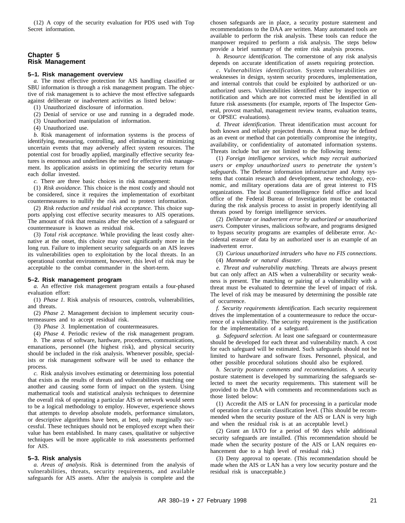(12) A copy of the security evaluation for PDS used with Top Secret information.

#### **Chapter 5 Risk Management**

#### **5–1. Risk management overview**

*a.* The most effective protection for AIS handling classified or SBU information is through a risk management program. The objective of risk management is to achieve the most effective safeguards against deliberate or inadvertent activities as listed below:

(1) Unauthorized disclosure of information.

- (2) Denial of service or use and running in a degraded mode.
- (3) Unauthorized manipulation of information.
- (4) Unauthorized use.

*b.* Risk management of information systems is the process of identifying, measuring, controlling, and eliminating or minimizing uncertain events that may adversely affect system resources. The potential cost for broadly applied, marginally effective security features is enormous and underlines the need for effective risk management. Its application assists in optimizing the security return for each dollar invested.

*c.* There are three basic choices in risk management:

(1) *Risk avoidance.* This choice is the most costly and should not be considered, since it requires the implementation of exorbitant countermeasures to nullify the risk and to protect information.

(2) *Risk reduction and residual risk acceptance.* This choice supports applying cost effective security measures to AIS operations. The amount of risk that remains after the selection of a safeguard or countermeasure is known as residual risk.

(3) *Total risk acceptance.* While providing the least costly alternative at the onset, this choice may cost significantly more in the long run. Failure to implement security safeguards on an AIS leaves its vulnerabilities open to exploitation by the local threats. In an operational combat environment, however, this level of risk may be acceptable to the combat commander in the short-term.

#### **5–2. Risk management program**

*a.* An effective risk management program entails a four-phased evaluation effort:

(1) *Phase 1.* Risk analysis of resources, controls, vulnerabilities, and threats.

(2) *Phase 2.* Management decision to implement security countermeasures and to accept residual risk.

(3) *Phase 3.* Implementation of countermeasures.

(4) *Phase 4.* Periodic review of the risk management program. *b.* The areas of software, hardware, procedures, communications, emanations, personnel (the highest risk), and physical security should be included in the risk analysis. Whenever possible, specialists or risk management software will be used to enhance the process.

*c.* Risk analysis involves estimating or determining loss potential that exists as the results of threats and vulnerabilities matching one another and causing some form of impact on the system. Using mathematical tools and statistical analysis techniques to determine the overall risk of operating a particular AIS or network would seem to be a logical methodology to employ. However, experience shows that attempts to develop absolute models, performance simulators, or descriptive algorithms have been, at best, only marginally successful. These techniques should not be employed except when their value has been established. In many cases, qualitative or subjective techniques will be more applicable to risk assessments performed for AIS.

#### **5–3. Risk analysis**

*a. Areas of analysis.* Risk is determined from the analysis of vulnerabilities, threats, security requirements, and available safeguards for AIS assets. After the analysis is complete and the

chosen safeguards are in place, a security posture statement and recommendations to the DAA are written. Many automated tools are available to perform the risk analysis. These tools can reduce the manpower required to perform a risk analysis. The steps below provide a brief summary of the entire risk analysis process.

*b. Resource identification.* The cornerstone of any risk analysis depends on accurate identification of assets requiring protection.

*c. Vulnerabilities identification.* System vulnerabilities are weaknesses in design, system security procedures, implementation, and internal controls that could be exploited by authorized or unauthorized users. Vulnerabilities identified either by inspection or notification and which are not corrected must be identified in all future risk assessments (for example, reports of The Inspector General, provost marshal, management review teams, evaluation teams, or OPSEC evaluations).

*d. Threat identification.* Threat identification must account for both known and reliably projected threats. A threat may be defined as an event or method that can potentially compromise the integrity, availability, or confidentiality of automated information systems. Threats include but are not limited to the following items:

(1) *Foreign intelligence services, which may recruit authorized* users or employ unauthorized users to penetrate the system's *safeguards.* The Defense information infrastructure and Army systems that contain research and development, new technology, economic, and military operations data are of great interest to FIS organizations. The local counterintelligence field office and local office of the Federal Bureau of Investigation must be contacted during the risk analysis process to assist in properly identifying all threats posed by foreign intelligence services.

(2) *Deliberate or inadvertent error by authorized or unauthorized users.* Computer viruses, malicious software, and programs designed to bypass security programs are examples of deliberate error. Accidental erasure of data by an authorized user is an example of an inadvertent error.

(3) *Curious unauthorized intruders who have no FIS connections.*

(4) *Manmade or natural disaster.*

*e. Threat and vulnerability matching.* Threats are always present but can only affect an AIS when a vulnerability or security weakness is present. The matching or pairing of a vulnerability with a threat must be evaluated to determine the level of impact of risk. The level of risk may be measured by determining the possible rate of occurrence.

*f. Security requirements identification.* Each security requirement drives the implementation of a countermeasure to reduce the occurrence of a vulnerability. The security requirement is the justification for the implementation of a safeguard.

*g. Safeguard selection.* At least one safeguard or countermeasure should be developed for each threat and vulnerability match. A cost for each safeguard will be estimated. Such safeguards should not be limited to hardware and software fixes. Personnel, physical, and other possible procedural solutions should also be explored.

*h. Security posture comments and recommendations.* A security posture statement is developed by summarizing the safeguards selected to meet the security requirements. This statement will be provided to the DAA with comments and recommendations such as those listed below:

(1) Accredit the AIS or LAN for processing in a particular mode of operation for a certain classification level. (This should be recommended when the security posture of the AIS or LAN is very high and when the residual risk is at an acceptable level.)

(2) Grant an IATO for a period of 90 days while additional security safeguards are installed. (This recommendation should be made when the security posture of the AIS or LAN requires enhancement due to a high level of residual risk.)

(3) Deny approval to operate. (This recommendation should be made when the AIS or LAN has a very low security posture and the residual risk is unacceptable.)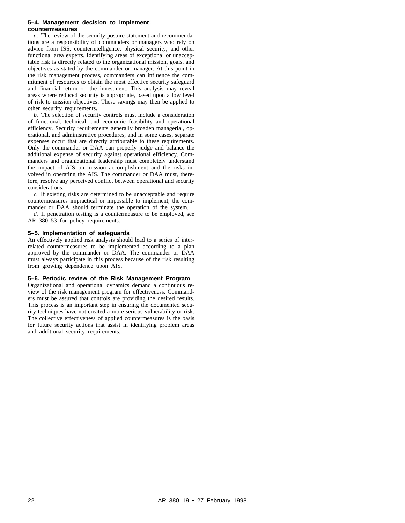#### **5–4. Management decision to implement countermeasures**

*a.* The review of the security posture statement and recommendations are a responsibility of commanders or managers who rely on advice from ISS, counterintelligence, physical security, and other functional area experts. Identifying areas of exceptional or unacceptable risk is directly related to the organizational mission, goals, and objectives as stated by the commander or manager. At this point in the risk management process, commanders can influence the commitment of resources to obtain the most effective security safeguard and financial return on the investment. This analysis may reveal areas where reduced security is appropriate, based upon a low level of risk to mission objectives. These savings may then be applied to other security requirements.

*b.* The selection of security controls must include a consideration of functional, technical, and economic feasibility and operational efficiency. Security requirements generally broaden managerial, operational, and administrative procedures, and in some cases, separate expenses occur that are directly attributable to these requirements. Only the commander or DAA can properly judge and balance the additional expense of security against operational efficiency. Commanders and organizational leadership must completely understand the impact of AIS on mission accomplishment and the risks involved in operating the AIS. The commander or DAA must, therefore, resolve any perceived conflict between operational and security considerations.

*c.* If existing risks are determined to be unacceptable and require countermeasures impractical or impossible to implement, the commander or DAA should terminate the operation of the system.

*d.* If penetration testing is a countermeasure to be employed, see AR 380–53 for policy requirements.

#### **5–5. Implementation of safeguards**

An effectively applied risk analysis should lead to a series of interrelated countermeasures to be implemented according to a plan approved by the commander or DAA. The commander or DAA must always participate in this process because of the risk resulting from growing dependence upon AIS.

#### **5–6. Periodic review of the Risk Management Program**

Organizational and operational dynamics demand a continuous review of the risk management program for effectiveness. Commanders must be assured that controls are providing the desired results. This process is an important step in ensuring the documented security techniques have not created a more serious vulnerability or risk. The collective effectiveness of applied countermeasures is the basis for future security actions that assist in identifying problem areas and additional security requirements.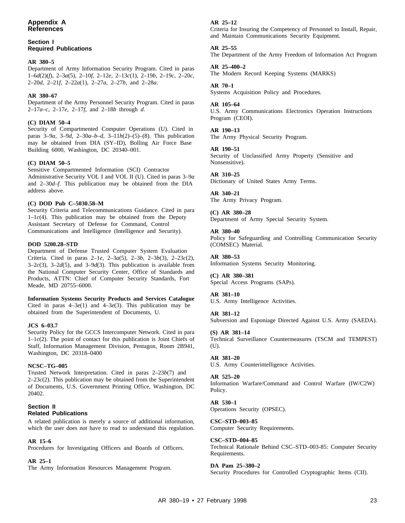#### **Section I Required Publications**

#### **AR 380–5**

Department of Army Information Security Program. Cited in paras 1–6*d*(2)(*f*), 2–3*a*(5), 2–10*f*, 2–12*e*, 2–13*c*(1), 2–19*b*, 2–19*c*, 2–20*c*, 2–20*d*, 2–21*f*, 2–22*a*(1), 2–27*a*, 2–27*b*, and 2–28*a*.

#### **AR 380–67**

Department of the Army Personnel Security Program. Cited in paras 2–17*a*–*c*, 2–17*e*, 2–17*f*, and 2–18*b* through *d*.

#### **(C) DIAM 50–4**

Security of Compartmented Computer Operations (U). Cited in paras 3–9*a*, 3–9*d*, 2–30*a–b–d*, 3–11*h*(2)–(5)–(8). This publication may be obtained from DIA (SY–ID), Bolling Air Force Base Building 6000, Washington, DC 20340–001.

#### **(C) DIAM 50–5**

Sensitive Compartmented Information (SCI) Contractor Administrative Security VOL I and VOL II (U). Cited in paras 3–9*a* and 2–30*d–f*. This publication may be obtained from the DIA address above.

#### **(C) DOD Pub C–5030.58–M**

Security Criteria and Telecommunications Guidance. Cited in para 1–1*c*(4). This publication may be obtained from the Deputy Assistant Secretary of Defense for Command, Control Communications and Intelligence (Intelligence and Security).

#### **DOD 5200.28–STD**

Department of Defense Trusted Computer System Evaluation Criteria. Cited in paras 2–1*e*, 2–3*a*(5), 2–3*b*, 2–3*b*(3), 2–23*c*(2),  $3-2c(3)$ ,  $3-2d(5)$ , and  $3-9d(3)$ . This publication is available from the National Computer Security Center, Office of Standards and Products, ATTN: Chief of Computer Security Standards, Fort Meade, MD 20755–6000.

**Information Systems Security Products and Services Catalogue** Cited in paras 4–3*e*(1) and 4–3*e*(3). This publication may be obtained from the Superintendent of Documents, U.

#### **JCS 6–03.7**

Security Policy for the GCCS Intercomputer Network. Cited in para 1–1*c*(2). The point of contact for this publication is Joint Chiefs of Staff, Information Management Division, Pentagon, Room 2B941, Washington, DC 20318–0400

#### **NCSC–TG–005**

Trusted Network Interpretation. Cited in paras 2–23*b*(7) and  $2-23c(2)$ . This publication may be obtained from the Superintendent of Documents, U.S. Government Printing Office, Washington, DC 20402.

#### **Section II Related Publications**

A related publication is merely a source of additional information, which the user does not have to read to understand this regulation.

#### **AR 15–6**

Procedures for Investigating Officers and Boards of Officers.

#### **AR 25–1**

The Army Information Resources Management Program.

#### **AR 25–12**

Criteria for Insuring the Competency of Personnel to Install, Repair, and Maintain Communications Security Equipment.

#### **AR 25–55**

The Department of the Army Freedom of Information Act Program

#### **AR 25–400–2**

The Modern Record Keeping Systems (MARKS)

#### **AR 70–1**

Systems Acquisition Policy and Procedures.

#### **AR 105–64**

U.S. Army Communications Electronics Operation Instructions Program (CEOI).

#### **AR 190–13** The Army Physical Security Program.

#### **AR 190–51**

Security of Unclassified Army Property (Sensitive and Nonsensitive).

#### **AR 310–25**

Dictionary of United States Army Terms.

#### **AR 340–21**

The Army Privacy Program.

#### **(C) AR 380–28**

Department of Army Special Security System.

#### **AR 380–40**

Policy for Safeguarding and Controlling Communication Security (COMSEC) Material.

#### **AR 380–53**

Information Systems Security Monitoring.

#### **(C) AR 380–381**

Special Access Programs (SAPs).

#### **AR 381–10**

U.S. Army Intelligence Activities.

#### **AR 381–12**

Subversion and Esponiage Directed Against U.S. Army (SAEDA).

#### **(S) AR 381–14**

Technical Surveillance Countermeasures (TSCM and TEMPEST) (U).

#### **AR 381–20**

U.S. Army Counterintelligence Activities.

#### **AR 525–20**

Information Warfare/Command and Control Warfare (IW/C2W) Policy.

#### **AR 530–1**

Operations Security (OPSEC).

#### **CSC–STD–003–85**

Computer Security Requirements.

#### **CSC–STD–004–85**

Technical Rationale Behind CSC–STD–003-85: Computer Security Requirements.

#### **DA Pam 25–380–2**

Security Procedures for Controlled Cryptographic Items (CII).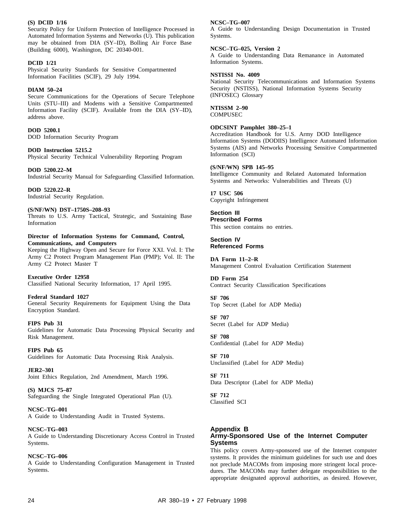#### **(S) DCID 1/16**

Security Policy for Uniform Protection of Intelligence Processed in Automated Information Systems and Networks (U). This publication may be obtained from DIA (SY–ID), Bolling Air Force Base (Building 6000), Washington, DC 20340-001.

#### **DCID 1/21**

Physical Security Standards for Sensitive Compartmented Information Facilities (SCIF), 29 July 1994.

#### **DIAM 50–24**

Secure Communications for the Operations of Secure Telephone Units (STU–III) and Modems with a Sensitive Compartmented Information Facility (SCIF). Available from the DIA (SY–ID), address above.

#### **DOD 5200.1**

DOD Information Security Program

#### **DOD Instruction 5215.2**

Physical Security Technical Vulnerability Reporting Program

**DOD 5200.22–M** Industrial Security Manual for Safeguarding Classified Information.

**DOD 5220.22–R** Industrial Security Regulation.

#### **(S/NF/WN) DST–1750S–208–93**

Threats to U.S. Army Tactical, Strategic, and Sustaining Base Information

#### **Director of Information Systems for Command, Control, Communications, and Computers**

Keeping the Highway Open and Secure for Force XXI. Vol. I: The Army C2 Protect Program Management Plan (PMP); Vol. II: The Army C2 Protect Master T

**Executive Order 12958** Classified National Security Information, 17 April 1995.

#### **Federal Standard 1027**

General Security Requirements for Equipment Using the Data Encryption Standard.

**FIPS Pub 31**

Guidelines for Automatic Data Processing Physical Security and Risk Management.

**FIPS Pub 65** Guidelines for Automatic Data Processing Risk Analysis.

**JER2–301** Joint Ethics Regulation, 2nd Amendment, March 1996.

**(S) MJCS 75–87** Safeguarding the Single Integrated Operational Plan (U).

**NCSC–TG–001** A Guide to Understanding Audit in Trusted Systems.

#### **NCSC–TG–003**

A Guide to Understanding Discretionary Access Control in Trusted Systems.

#### **NCSC–TG–006**

A Guide to Understanding Configuration Management in Trusted Systems.

#### **NCSC–TG–007**

A Guide to Understanding Design Documentation in Trusted Systems.

#### **NCSC–TG–025, Version 2**

A Guide to Understanding Data Remanance in Automated Information Systems.

#### **NSTISSI No. 4009**

National Security Telecommunications and Information Systems Security (NSTISS), National Information Systems Security (INFOSEC) Glossary

#### **NTISSM 2–90**

**COMPUSEC** 

#### **ODCSINT Pamphlet 380–25–1**

Accreditation Handbook for U.S. Army DOD Intelligence Information Systems (DODIIS) Intelligence Automated Information Systems (AIS) and Networks Processing Sensitive Compartmented Information (SCI)

#### **(S/NF/WN) SPB 145–95**

Intelligence Community and Related Automated Information Systems and Networks: Vulnerabilities and Threats (U)

**17 USC 506** Copyright Infringement

**Section III Prescribed Forms** This section contains no entries.

**Section IV Referenced Forms**

**DA Form 11–2–R** Management Control Evaluation Certification Statement

**DD Form 254** Contract Security Classification Specifications

**SF 706** Top Secret (Label for ADP Media)

**SF 707** Secret (Label for ADP Media)

**SF 708** Confidential (Label for ADP Media)

**SF 710** Unclassified (Label for ADP Media)

**SF 711** Data Descriptor (Label for ADP Media)

**SF 712** Classified SCI

#### **Appendix B Army-Sponsored Use of the Internet Computer Systems**

This policy covers Army-sponsored use of the Internet computer systems. It provides the minimum guidelines for such use and does not preclude MACOMs from imposing more stringent local procedures. The MACOMs may further delegate responsibilities to the appropriate designated approval authorities, as desired. However,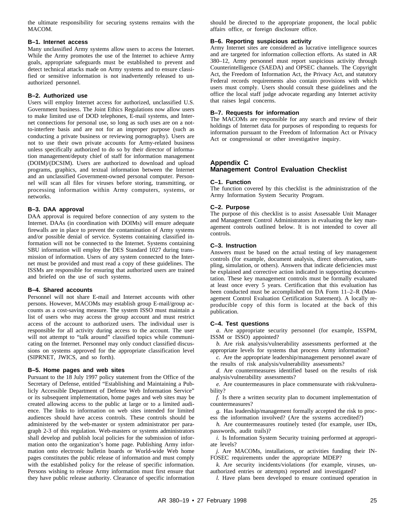the ultimate responsibility for securing systems remains with the MACOM.

#### **B–1. Internet access**

Many unclassified Army systems allow users to access the Internet. While the Army promotes the use of the Internet to achieve Army goals, appropriate safeguards must be established to prevent and detect technical attacks made on Army systems and to ensure classified or sensitive information is not inadvertently released to unauthorized personnel.

#### **B–2. Authorized use**

Users will employ Internet access for authorized, unclassified U.S. Government business. The Joint Ethics Regulations now allow users to make limited use of DOD telephones, E-mail systems, and Internet connections for personal use, so long as such uses are on a notto-interfere basis and are not for an improper purpose (such as conducting a private business or reviewing pornography). Users are not to use their own private accounts for Army-related business unless specifically authorized to do so by their director of information management/deputy chief of staff for information management (DOIM)/(DCSIM). Users are authorized to download and upload programs, graphics, and textual information between the Internet and an unclassified Government-owned personal computer. Personnel will scan all files for viruses before storing, transmitting, or processing information within Army computers, systems, or networks.

#### **B–3. DAA approval**

DAA approval is required before connection of any system to the Internet. DAAs (in coordination with DOIMs) will ensure adequate firewalls are in place to prevent the contamination of Army systems and/or possible denial of service. Systems containing classified information will not be connected to the Internet. Systems containing SBU information will employ the DES Standard 1027 during transmission of information. Users of any system connected to the Internet must be provided and must read a copy of these guidelines. The ISSMs are responsible for ensuring that authorized users are trained and briefed on the use of such systems.

#### **B–4. Shared accounts**

Personnel will not share E-mail and Internet accounts with other persons. However, MACOMs may establish group E-mail/group accounts as a cost-saving measure. The system ISSO must maintain a list of users who may access the group account and must restrict access of the account to authorized users. The individual user is responsible for all activity during access to the account. The user will not attempt to "talk around" classified topics while communicating on the Internet. Personnel may only conduct classified discussions on systems approved for the appropriate classification level (SIPRNET, JWICS, and so forth).

#### **B–5. Home pages and web sites**

Pursuant to the 18 July 1997 policy statement from the Office of the Secretary of Defense, entitled "Establishing and Maintaining a Publicly Accessible Department of Defense Web Information Service" or its subsequent implementation, home pages and web sites may be created allowing access to the public at large or to a limited audience. The links to information on web sites intended for limited audiences should have access controls. These controls should be administered by the web-master or system administrator per paragraph 2-3 of this regulation. Web-masters or systems administrators shall develop and publish local policies for the submission of information onto the organization's home page. Publishing Army information onto electronic bulletin boards or World-wide Web home pages constitutes the public release of information and must comply with the established policy for the release of specific information. Persons wishing to release Army information must first ensure that they have public release authority. Clearance of specific information

should be directed to the appropriate proponent, the local public affairs office, or foreign disclosure office.

#### **B–6. Reporting suspicious activity**

Army Internet sites are considered as lucrative intelligence sources and are targeted for information collection efforts. As stated in AR 380–12, Army personnel must report suspicious activity through Counterintelligence (SAEDA) and OPSEC channels. The Copyright Act, the Freedom of Information Act, the Privacy Act, and statutory Federal records requirements also contain provisions with which users must comply. Users should consult these guidelines and the office the local staff judge advocate regarding any Internet activity that raises legal concerns.

#### **B–7. Requests for information**

The MACOMs are responsible for any search and review of their holdings of Internet data for purposes of responding to requests for information pursuant to the Freedom of Information Act or Privacy Act or congressional or other investigative inquiry.

#### **Appendix C Management Control Evaluation Checklist**

#### **C–1. Function**

The function covered by this checklist is the administration of the Army Information System Security Program.

#### **C–2. Purpose**

The purpose of this checklist is to assist Assessable Unit Manager and Management Control Administrators in evaluating the key management controls outlined below. It is not intended to cover all controls.

#### **C–3. Instruction**

Answers must be based on the actual testing of key management controls (for example, document analysis, direct observation, sampling, simulation, or others). Answers that indicate deficiencies must be explained and corrective action indicated in supporting documentation. These key management controls must be formally evaluated at least once every 5 years. Certification that this evaluation has been conducted must be accomplished on DA Form 11–2–R (Management Control Evaluation Certification Statement). A locally reproducible copy of this form is located at the back of this publication.

#### **C–4. Test questions**

*a*. Are appropriate security personnel (for example, ISSPM, ISSM or ISSO) appointed?

*b.* Are risk analysis/vulnerability assessments performed at the appropriate levels for systems that process Army information?

*c.* Are the appropriate leadership/management personnel aware of the results of risk analysis/vulnerability assessments?

*d.* Are countermeasures identified based on the results of risk analysis/vulnerability assessments?

*e.* Are countermeasures in place commensurate with risk/vulnerability?

*f.* Is there a written security plan to document implementation of countermeasures?

*g.* Has leadership/management formally accepted the risk to process the information involved? (Are the systems accredited?)

*h.* Are countermeasures routinely tested (for example, user IDs, passwords, audit trails)?

*i.* Is Information System Security training performed at appropriate levels?

*j.* Are MACOMs, installations, or activities funding their IN-FOSEC requirements under the appropriate MDEP?

*k*. Are security incidents/violations (for example, viruses, unauthorized entries or attempts) reported and investigated?

*l.* Have plans been developed to ensure continued operation in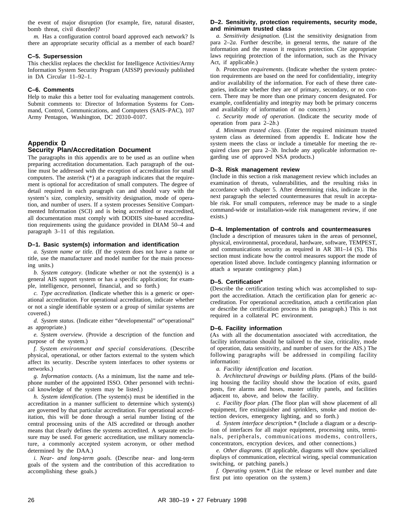the event of major disruption (for example, fire, natural disaster, bomb threat, civil disorder)?

*m.* Has a configuration control board approved each network? Is there an appropriate security official as a member of each board?

#### **C–5. Supersession**

This checklist replaces the checklist for Intelligence Activities/Army Information System Security Program (AISSP) previously published in DA Circular 11–92–1.

#### **C–6. Comments**

Help to make this a better tool for evaluating management controls. Submit comments to: Director of Information Systems for Command, Control, Communications, and Computers (SAIS–PAC), 107 Army Pentagon, Washington, DC 20310–0107.

#### **Appendix D Security Plan/Accreditation Document**

The paragraphs in this appendix are to be used as an outline when preparing accreditation documentation. Each paragraph of the outline must be addressed with the exception of accreditation for small computers. The asterisk (\*) at a paragraph indicates that the requirement is optional for accreditation of small computers. The degree of detail required in each paragraph can and should vary with the system's size, complexity, sensitivity designation, mode of operation, and number of users. If a system processes Sensitive Compartmented Information (SCI) and is being accredited or reaccredited, all documentation must comply with DODIIS site-based accreditation requirements using the guidance provided in DIAM 50–4 and paragraph 3–11 of this regulation.

#### **D–1. Basic system(s) information and identification**

*a. System name or title.* (If the system does not have a name or title, use the manufacturer and model number for the main processing units.)

*b. System category.* (Indicate whether or not the system(s) is a general AIS support system or has a specific application; for example, intelligence, personnel, financial, and so forth.)

*c. Type accreditation.* (Indicate whether this is a generic or operational accreditation. For operational accreditation, indicate whether or not a single identifiable system or a group of similar systems are covered.)

*d. System status.* (Indicate either "developmental" or"operational" as appropriate.)

*e. System overview.* (Provide a description of the function and purpose of the system.)

*f.* System environment and special considerations. (Describe physical, operational, or other factors external to the system which affect its security. Describe system interfaces to other systems or networks.)

*g. Information contacts.* (As a minimum, list the name and telephone number of the appointed ISSO. Other personnel with technical knowledge of the system may be listed.)

*h. System identification.* (The system(s) must be identified in the accreditation in a manner sufficient to determine which system(s) are governed by that particular accreditation. For operational accreditation, this will be done through a serial number listing of the central processing units of the AIS accredited or through another means that clearly defines the systems accredited. A separate enclosure may be used. For generic accreditation, use military nomenclature, a commonly accepted system acronym, or other method determined by the DAA.)

*i. Near- and long-term goals.* (Describe near- and long-term goals of the system and the contribution of this accreditation to accomplishing these goals.)

#### **D–2. Sensitivity, protection requirements, security mode, and minimum trusted class**

*a. Sensitivity designation.* (List the sensitivity designation from para 2–2*a*. Further describe, in general terms, the nature of the information and the reason it requires protection. Cite appropriate laws requiring protection of the information, such as the Privacy Act, if applicable.)

*b. Protection requirements.* (Indicate whether the system protection requirements are based on the need for confidentiality, integrity and/or availability of the information. For each of these three categories, indicate whether they are of primary, secondary, or no concern. There may be more than one primary concern designated. For example, confidentiality and integrity may both be primary concerns and availability of information of no concern.)

*c. Security mode of operation.* (Indicate the security mode of operation from para 2–2*b*.)

*d. Minimum trusted class.* (Enter the required minimum trusted system class as determined from appendix E. Indicate how the system meets the class or include a timetable for meeting the required class per para 2–3*b*. Include any applicable information regarding use of approved NSA products.)

#### **D–3. Risk management review**

(Include in this section a risk management review which includes an examination of threats, vulnerabilities, and the resulting risks in accordance with chapter 5. After determining risks, indicate in the next paragraph the selected countermeasures that result in acceptable risk. For small computers, reference may be made to a single command-wide or installation-wide risk management review, if one exists.)

#### **D–4. Implementation of controls and countermeasures**

(Include a description of measures taken in the areas of personnel, physical, environmental, procedural, hardware, software, TEMPEST, and communications security as required in AR 381–14 (S). This section must indicate how the control measures support the mode of operation listed above. Include contingency planning information or attach a separate contingency plan.)

#### **D–5. Certification\***

(Describe the certification testing which was accomplished to support the accreditation. Attach the certification plan for generic accreditation. For operational accreditation, attach a certification plan or describe the certification process in this paragraph.) This is not required in a collateral PC environment.

#### **D–6. Facility information**

(As with all the documentation associated with accreditation, the facility information should be tailored to the size, criticality, mode of operation, data sensitivity, and number of users for the AIS.) The following paragraphs will be addressed in compiling facility information:

*a. Facility identification and location.*

*b. Architectural drawings or building plans.* (Plans of the building housing the facility should show the location of exits, guard posts, fire alarms and hoses, master utility panels, and facilities adjacent to, above, and below the facility.

*c. Facility floor plan.* (The floor plan will show placement of all equipment, fire extinguisher and sprinklers, smoke and motion detection devices, emergency lighting, and so forth.)

*d. System interface description.\** (Include a diagram or a description of interfaces for all major equipment, processing units, terminals, peripherals, communications modems, controllers, concentrators, encryption devices, and other connections.)

*e. Other diagrams.* (If applicable, diagrams will show specialized displays of communication, electrical wiring, special communication switching, or patching panels.)

*f. Operating system.\** (List the release or level number and date first put into operation on the system.)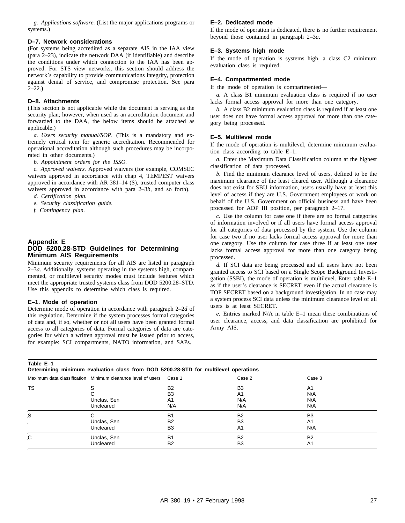*g. Applications software.* (List the major applications programs or systems.)

#### **D–7. Network considerations**

(For systems being accredited as a separate AIS in the IAA view (para 2–23), indicate the network DAA (if identifiable) and describe the conditions under which connection to the IAA has been approved. For STS view networks, this section should address the network's capability to provide communications integrity, protection against denial of service, and compromise protection. See para  $2 - 22.$ 

#### **D–8. Attachments**

(This section is not applicable while the document is serving as the security plan; however, when used as an accreditation document and forwarded to the DAA, the below items should be attached as applicable.)

*a. Users security manual/SOP.* (This is a mandatory and extremely critical item for generic accreditation. Recommended for operational accreditation although such procedures may be incorporated in other documents.)

*b. Appointment orders for the ISSO.*

*c. Approved waivers.* Approved waivers (for example, COMSEC waivers approved in accordance with chap 4, TEMPEST waivers approved in accordance with AR 381–14 (S), trusted computer class waivers approved in accordance with para 2–3*b*, and so forth).

- *d. Certification plan.*
- *e. Security classification guide.*
- *f. Contingency plan.*

#### **Appendix E DOD 5200.28-STD Guidelines for Determining Minimum AIS Requirements**

Minimum security requirements for all AIS are listed in paragraph 2–3*a*. Additionally, systems operating in the systems high, compartmented, or multilevel security modes must include features which meet the appropriate trusted systems class from DOD 5200.28–STD. Use this appendix to determine which class is required.

#### **E–1. Mode of operation**

Determine mode of operation in accordance with paragraph 2–2*d* of this regulation. Determine if the system processes formal categories of data and, if so, whether or not all users have been granted formal access to all categories of data. Formal categories of data are categories for which a written approval must be issued prior to access, for example: SCI compartments, NATO information, and SAPs.

#### **E–2. Dedicated mode**

If the mode of operation is dedicated, there is no further requirement beyond those contained in paragraph 2–3*a*.

#### **E–3. Systems high mode**

If the mode of operation is systems high, a class C2 minimum evaluation class is required.

#### **E–4. Compartmented mode**

If the mode of operation is compartmented—

*a.* A class B1 minimum evaluation class is required if no user lacks formal access approval for more than one category.

*b.* A class B2 minimum evaluation class is required if at least one user does not have formal access approval for more than one category being processed.

#### **E–5. Multilevel mode**

If the mode of operation is multilevel, determine minimum evaluation class according to table E–1.

*a.* Enter the Maximum Data Classification column at the highest classification of data processed.

*b.* Find the minimum clearance level of users, defined to be the maximum clearance of the least cleared user. Although a clearance does not exist for SBU information, users usually have at least this level of access if they are U.S. Government employees or work on behalf of the U.S. Government on official business and have been processed for ADP III position, per paragraph 2–17.

*c.* Use the column for case one if there are no formal categories of information involved or if all users have formal access approval for all categories of data processed by the system. Use the column for case two if no user lacks formal access approval for more than one category. Use the column for case three if at least one user lacks formal access approval for more than one category being processed.

*d.* If SCI data are being processed and all users have not been granted access to SCI based on a Single Scope Background Investigation (SSBI), the mode of operation is multilevel. Enter table E–1 as if the user's clearance is SECRET even if the actual clearance is TOP SECRET based on a background investigation. In no case may a system process SCI data unless the minimum clearance level of all users is at least SECRET.

*e.* Entries marked N/A in table E–1 mean these combinations of user clearance, access, and data classification are prohibited for Army AIS.

| aple |  |  |
|------|--|--|
|      |  |  |

**Determining minimum evaluation class from DOD 5200.28-STD for multilevel operations**

|           | Maximum data classification Minimum clearance level of users Case 1 |                | Case 2         | Case 3         |  |
|-----------|---------------------------------------------------------------------|----------------|----------------|----------------|--|
| <b>TS</b> |                                                                     | B <sub>2</sub> | B <sub>3</sub> | A <sub>1</sub> |  |
|           |                                                                     | B <sub>3</sub> | A1             | N/A            |  |
|           | Unclas, Sen                                                         | A1             | N/A            | N/A            |  |
|           | Uncleared                                                           | N/A            | N/A            | N/A            |  |
| S         |                                                                     | <b>B1</b>      | <b>B2</b>      | B <sub>3</sub> |  |
|           | Unclas, Sen                                                         | B <sub>2</sub> | B3             | A <sub>1</sub> |  |
|           | Uncleared                                                           | B <sub>3</sub> | A1             | N/A            |  |
| C         | Unclas, Sen                                                         | <b>B1</b>      | <b>B2</b>      | B <sub>2</sub> |  |
|           | Uncleared                                                           | B <sub>2</sub> | B3             | A <sub>1</sub> |  |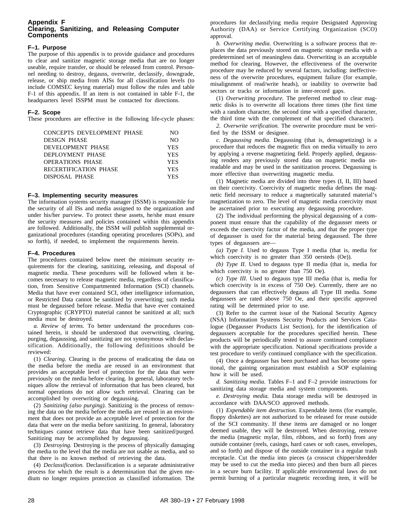#### **Appendix F Clearing, Sanitizing, and Releasing Computer Components**

#### **F–1. Purpose**

The purpose of this appendix is to provide guidance and procedures to clear and sanitize magnetic storage media that are no longer useable, require transfer, or should be released from control. Personnel needing to destroy, degauss, overwrite, declassify, downgrade, release, or ship media from AISs for all classification levels (to include COMSEC keying material) must follow the rules and table F-1 of this appendix. If an item is not contained in table F-1, the headquarters level ISSPM must be contacted for directions.

#### **F–2. Scope**

These procedures are effective in the following life-cycle phases:

| <b>CONCEPTS DEVELOPMENT PHASE</b> | NO.        |
|-----------------------------------|------------|
| <b>DESIGN PHASE</b>               | NO.        |
| DEVELOPMENT PHASE                 | <b>YES</b> |
| DEPLOYMENT PHASE                  | <b>YES</b> |
| <b>OPERATIONS PHASE</b>           | <b>YES</b> |
| RECERTIFICATION PHASE             | <b>YES</b> |
| DISPOSAL PHASE                    | <b>YES</b> |
|                                   |            |

#### **F–3. Implementing security measures**

The information systems security manager (ISSM) is responsible for the security of all ISs and media assigned to the organization and under his/her purview. To protect these assets, he/she must ensure the security measures and policies contained within this appendix are followed. Additionally, the ISSM will publish supplemental organizational procedures (standing operating procedures (SOPs), and so forth), if needed, to implement the requirements herein.

#### **F–4. Procedures**

The procedures contained below meet the minimum security requirements for the clearing, sanitizing, releasing, and disposal of magnetic media. These procedures will be followed when it becomes necessary to release magnetic media, regardless of classification, from Sensitive Compartmented Information (SCI) channels. Media that have ever contained SCI, other intelligence information, or Restricted Data cannot be sanitized by overwriting; such media must be degaussed before release. Media that have ever contained Cryptographic (CRYPTO) material cannot be sanitized at all; such media must be destroyed.

*a. Review of terms.* To better understand the procedures contained herein, it should be understood that overwriting, clearing, purging, degaussing, and sanitizing are not synonymous with declassification. Additionally, the following definitions should be reviewed:

(1) *Clearing.* Clearing is the process of eradicating the data on the media before the media are reused in an environment that provides an acceptable level of protection for the data that were previously on the media before clearing. In general, laboratory techniques allow the retrieval of information that has been cleared, but normal operations do not allow such retrieval. Clearing can be accomplished by overwriting or degaussing.

(2) *Sanitizing (also purging).* Sanitizing is the process of removing the data on the media before the media are reused in an environment that does not provide an acceptable level of protection for the data that were on the media before sanitizing. In general, laboratory techniques cannot retrieve data that have been sanitized/purged. Sanitizing may be accomplished by degaussing.

(3) *Destroying.* Destroying is the process of physically damaging the media to the level that the media are not usable as media, and so that there is no known method of retrieving the data.

(4) *Declassification.* Declassification is a separate administrative process for which the result is a determination that the given medium no longer requires protection as classified information. The

procedures for declassifying media require Designated Approving Authority (DAA) or Service Certifying Organization (SCO) approval.

*b. Overwriting media.* Overwriting is a software process that replaces the data previously stored on magnetic storage media with a predetermined set of meaningless data. Overwriting is an acceptable method for clearing. However, the effectiveness of the overwrite procedure may be reduced by several factors, including: ineffectiveness of the overwrite procedures, equipment failure (for example, misalignment of read/write heads), or inability to overwrite bad sectors or tracks or information in inter-record gaps.

(1) *Overwriting procedure.* The preferred method to clear magnetic disks is to overwrite all locations three times (the first time with a random character, the second time with a specified character, the third time with the complement of that specified character).

*2. Overwrite verification.* The overwrite procedure must be verified by the ISSM or designee.

*c. Degaussing media.* Degaussing (that is, demagnetizing) is a procedure that reduces the magnetic flux on media virtually to zero by applying a reverse magnetizing field. Properly applied, degaussing renders any previously stored data on magnetic media unreadable and may be used in the sanitization process. Degaussing is more effective than overwriting magnetic media.

(1) Magnetic media are divided into three types (I, II, III) based on their coercivity. Coercivity of magnetic media defines the magnetic field necessary to reduce a magnetically saturated material's magnetization to zero. The level of magnetic media coercivity must be ascertained prior to executing any degaussing procedure.

(2) The individual performing the physical degaussing of a component must ensure that the capability of the degausser meets or exceeds the coercivity factor of the media, and that the proper type of degausser is used for the material being degaussed. The three types of degaussers are—

*(a) Type I.* Used to degauss Type I media (that is, media for which coercivity is no greater than 350 oersteds (Oe)).

*(b) Type II.* Used to degauss type II media (that is, media for which coercivity is no greater than 750 Oe).

*(c) Type III.* Used to degauss type III media (that is, media for which coercivity is in excess of 750 Oe). Currently, there are no degaussers that can effectively degauss all Type III media. Some degaussers are rated above 750 Oe, and their specific approved rating will be determined prior to use.

(3) Refer to the current issue of the National Security Agency (NSA) Information Systems Security Products and Services Catalogue (Degausser Products List Section), for the identification of degaussers acceptable for the procedures specified herein. These products will be periodically tested to assure continued compliance with the appropriate specification. National specifications provide a test procedure to verify continued compliance with the specification.

(4) Once a degausser has been purchased and has become operational, the gaining organization must establish a SOP explaining how it will be used.

*d. Sanitizing media.* Tables F–1 and F–2 provide instructions for sanitizing data storage media and system components.

*e. Destroying media.* Data storage media will be destroyed in accordance with DAA/SCO approved methods.

(1) *Expendable item destruction.* Expendable items (for example, floppy diskettes) are not authorized to be released for reuse outside of the SCI community. If these items are damaged or no longer deemed usable, they will be destroyed. When destroying, remove the media (magnetic mylar, film, ribbons, and so forth) from any outside container (reels, casings, hard cases or soft cases, envelopes, and so forth) and dispose of the outside container in a regular trash receptacle. Cut the media into pieces (a crosscut chipper/shredder may be used to cut the media into pieces) and then burn all pieces in a secure burn facility. If applicable environmental laws do not permit burning of a particular magnetic recording item, it will be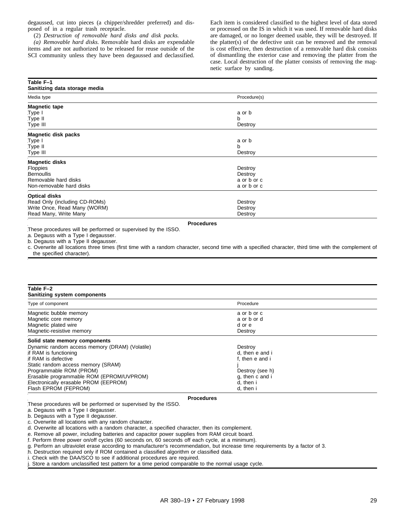degaussed, cut into pieces (a chipper/shredder preferred) and disposed of in a regular trash receptacle.

(2) *Destruction of removable hard disks and disk packs.*

*(a) Removable hard disks.* Removable hard disks are expendable items and are not authorized to be released for reuse outside of the SCI community unless they have been degaussed and declassified.

Each item is considered classified to the highest level of data stored or processed on the IS in which it was used. If removable hard disks are damaged, or no longer deemed usable, they will be destroyed. If the platter(s) of the defective unit can be removed and the removal is cost effective, then destruction of a removable hard disk consists of dismantling the exterior case and removing the platter from the case. Local destruction of the platter consists of removing the magnetic surface by sanding.

| .<br>Sanitizing data storage media |              |  |
|------------------------------------|--------------|--|
| Media type                         | Procedure(s) |  |
| <b>Magnetic tape</b>               |              |  |
| Type I                             | a or b       |  |
| Type II                            | b            |  |
| Type III                           | Destroy      |  |
| <b>Magnetic disk packs</b>         |              |  |
| Type I                             | a or b       |  |
| Type II                            | b            |  |
| Type III                           | Destroy      |  |
| <b>Magnetic disks</b>              |              |  |
| <b>Floppies</b>                    | Destroy      |  |
| <b>Bernoullis</b>                  | Destroy      |  |
| Removable hard disks               | a or b or c  |  |
| Non-removable hard disks           | a or b or c  |  |
| <b>Optical disks</b>               |              |  |
| Read Only (including CD-ROMs)      | Destroy      |  |
| Write Once, Read Many (WORM)       | Destroy      |  |
| Read Many, Write Many              | Destroy      |  |

**Procedures**

These procedures will be performed or supervised by the ISSO.

a. Degauss with a Type I degausser.

**Table F–1**

b. Degauss with a Type II degausser.

c. Overwrite all locations three times (first time with a random character, second time with a specified character, third time with the complement of the specified character).

| Table F-2<br>Sanitizing system components                                                                                                                                                                                                                                                                     |                                                                                                               |  |
|---------------------------------------------------------------------------------------------------------------------------------------------------------------------------------------------------------------------------------------------------------------------------------------------------------------|---------------------------------------------------------------------------------------------------------------|--|
| Type of component                                                                                                                                                                                                                                                                                             | Procedure                                                                                                     |  |
| Magnetic bubble memory<br>Magnetic core memory<br>Magnetic plated wire<br>Magnetic-resistive memory                                                                                                                                                                                                           | a or b or c<br>a or b or d<br>d or e<br>Destroy                                                               |  |
| Solid state memory components<br>Dynamic random access memory (DRAM) (Volatile)<br>if RAM is functioning<br>if RAM is defective<br>Static random access memory (SRAM)<br>Programmable ROM (PROM)<br>Erasable programmable ROM (EPROM/UVPROM)<br>Electronically erasable PROM (EEPROM)<br>Flash EPROM (FEPROM) | Destroy<br>d, then e and i<br>f. then e and i<br>Destroy (see h)<br>q, then c and i<br>d, then i<br>d, then i |  |
|                                                                                                                                                                                                                                                                                                               | <b>Procedures</b>                                                                                             |  |

These procedures will be performed or supervised by the ISSO.

a. Degauss with a Type I degausser.

b. Degauss with a Type II degausser.

c. Overwrite all locations with any random character.

d. Overwrite all locations with a random character, a specified character, then its complement.

e. Remove all power, including batteries and capacitor power supplies from RAM circuit board.

f. Perform three power on/off cycles (60 seconds on, 60 seconds off each cycle, at a minimum).

g. Perform an ultraviolet erase according to manufacturer's recommendation, but increase time requirements by a factor of 3.

h. Destruction required only if ROM contained a classified algorithm or classified data.

i. Check with the DAA/SCO to see if additional procedures are required.

Store a random unclassified test pattern for a time period comparable to the normal usage cycle.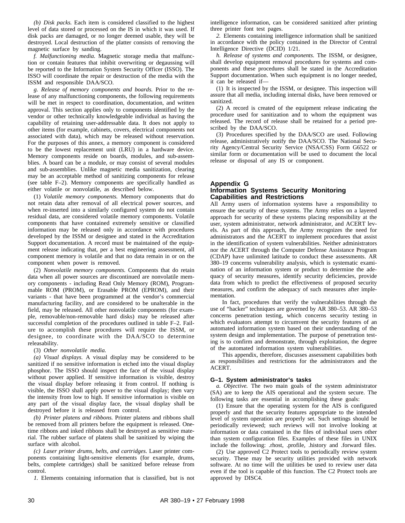*(b) Disk packs.* Each item is considered classified to the highest level of data stored or processed on the IS in which it was used. If disk packs are damaged, or no longer deemed usable, they will be destroyed. Local destruction of the platter consists of removing the magnetic surface by sanding.

*f. Malfunctioning media.* Magnetic storage media that malfunction or contain features that inhibit overwriting or degaussing will be reported to the Information System Security Officer (ISSO). The ISSO will coordinate the repair or destruction of the media with the ISSM and responsible DAA/SCO.

*g. Release of memory components and boards.* Prior to the release of any malfunctioning components, the following requirements will be met in respect to coordination, documentation, and written approval. This section applies only to components identified by the vendor or other technically knowledgeable individual as having the capability of retaining user-addressable data. It does not apply to other items (for example, cabinets, covers, electrical components not associated with data), which may be released without reservation. For the purposes of this annex, a memory component is considered to be the lowest replacement unit (LRU) in a hardware device. Memory components reside on boards, modules, and sub-assemblies. A board can be a module, or may consist of several modules and sub-assemblies. Unlike magnetic media sanitization, clearing may be an acceptable method of sanitizing components for release (see table F–2). Memory components are specifically handled as either volatile or nonvolatile, as described below.

(1) *Volatile memory components.* Memory components that do not retain data after removal of all electrical power sources, and when re-inserted into a similarly configured system do not contain residual data, are considered volatile memory components. Volatile components that have contained extremely sensitive or classified information may be released only in accordance with procedures developed by the ISSM or designee and stated in the Accreditation Support documentation. A record must be maintained of the equipment release indicating that, per a best engineering assessment, all component memory is volatile and that no data remain in or on the component when power is removed.

(2) *Nonvolatile memory components.* Components that do retain data when all power sources are discontinued are nonvolatile memory components - including Read Only Memory (ROM), Programmable ROM (PROM), or Erasable PROM (EPROM), and their variants - that have been programmed at the vendor's commercial manufacturing facility, and are considered to be unalterable in the field, may be released. All other nonvolatile components (for example, removable/non-removable hard disks) may be released after successful completion of the procedures outlined in table F–2. Failure to accomplish these procedures will require the ISSM, or designee, to coordinate with the DAA/SCO to determine releasability.

#### (3) *Other nonvolatile media.*

*(a) Visual displays.* A visual display may be considered to be sanitized if no sensitive information is etched into the visual display phosphor. The ISSO should inspect the face of the visual display without power applied. If sensitive information is visible, destroy the visual display before releasing it from control. If nothing is visible, the ISSO shall apply power to the visual display; then vary the intensity from low to high. If sensitive information is visible on any part of the visual display face, the visual display shall be destroyed before it is released from control.

*(b) Printer platens and ribbons.* Printer platens and ribbons shall be removed from all printers before the equipment is released. Onetime ribbons and inked ribbons shall be destroyed as sensitive material. The rubber surface of platens shall be sanitized by wiping the surface with alcohol.

*(c) Laser printer drums, belts, and cartridges.* Laser printer components containing light-sensitive elements (for example, drums, belts, complete cartridges) shall be sanitized before release from control.

*1.* Elements containing information that is classified, but is not

intelligence information, can be considered sanitized after printing three printer font test pages.

*2.* Elements containing intelligence information shall be sanitized in accordance with the policy contained in the Director of Central Intelligence Directive (DCID) 1/21.

*h. Release of systems and components.* The ISSM, or designee, shall develop equipment removal procedures for systems and components and these procedures shall be stated in the Accreditation Support documentation. When such equipment is no longer needed, it can be released if—

(1) It is inspected by the ISSM, or designee. This inspection will assure that all media, including internal disks, have been removed or sanitized.

(2) A record is created of the equipment release indicating the procedure used for sanitization and to whom the equipment was released. The record of release shall be retained for a period prescribed by the DAA/SCO.

(3) Procedures specified by the DAA/SCO are used. Following release, administratively notify the DAA/SCO. The National Security Agency/Central Security Service (NSA/CSS) Form G6522 or similar form or documentation will be used to document the local release or disposal of any IS or component.

#### **Appendix G Information Systems Security Monitoring Capabilities and Restrictions**

All Army users of information systems have a responsibility to ensure the security of these systems. The Army relies on a layered approach for security of these systems placing responsibility at the user, system administrator, network administrator, and ACERT levels. As part of this approach, the Army recognizes the need for administrators and the ACERT to implement procedures that assist in the identification of system vulnerabilities. Neither administrators nor the ACERT through the Computer Defense Assistance Program (CDAP) have unlimited latitude to conduct these assessments. AR 380–19 concerns vulnerability analysis, which is systematic examination of an information system or product to determine the adequacy of security measures, identify security deficiencies, provide data from which to predict the effectiveness of proposed security measures, and confirm the adequacy of such measures after implementation.

In fact, procedures that verify the vulnerabilities through the use of "hacker" techniques are governed by AR 380–53. AR 380–53 concerns penetration testing, which concerns security testing in which evaluators attempt to circumvent the security features of an automated information system based on their understanding of the system design and implementation. The purpose of penetration testing is to confirm and demonstrate, through exploitation, the degree of the automated information system vulnerabilities.

This appendix, therefore, discusses assessment capabilities both as responsibilities and restrictions for the administrators and the ACERT.

#### **G–1. System administrator's tasks**

*a. Objective.* The two main goals of the system administrator (SA) are to keep the AIS operational and the system secure. The following tasks are essential in accomplishing these goals:

(1) Ensure that the operating system for the AIS is configured properly and that the security features appropriate to the intended level of system operation are properly set. Such settings should be periodically reviewed; such reviews will not involve looking at information or data contained in the files of individual users other than system configuration files. Examples of these files in UNIX include the following: .rhost, .profile, .history and .forward files.

(2) Use approved C2 Protect tools to periodically review system security. These may be security utilities provided with network software. At no time will the utilities be used to review user data even if the tool is capable of this function. The C2 Protect tools are approved by DISC4.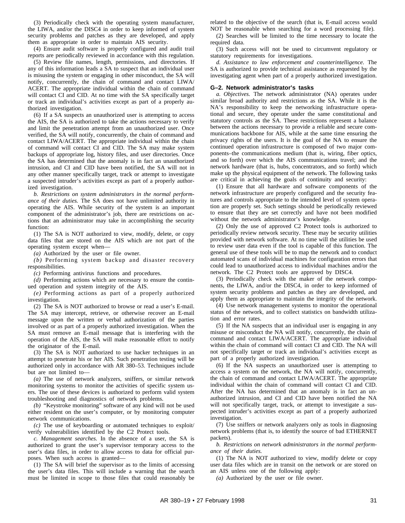(3) Periodically check with the operating system manufacturer, the LIWA, and/or the DISC4 in order to keep informed of system security problems and patches as they are developed, and apply them as appropriate in order to maintain AIS security.

(4) Ensure audit software is properly configured and audit trail reports are periodically reviewed in accordance with this regulation.

(5) Review file names, length, permissions, and directories. If any of this information leads a SA to suspect that an individual user is misusing the system or engaging in other misconduct, the SA will notify, concurrently, the chain of command and contact LIWA/ ACERT. The appropriate individual within the chain of command will contact CI and CID. At no time with the SA specifically target or track an individual's activities except as part of a properly authorized investigation.

(6) If a SA suspects an unauthorized user is attempting to access the AIS, the SA is authorized to take the actions necessary to verify and limit the penetration attempt from an unauthorized user. Once verified, the SA will notify, concurrently, the chain of command and contact LIWA/ACERT. The appropriate individual within the chain of command will contact CI and CID. The SA may make system backups of appropriate log, history files, and user directories. Once the SA has determined that the anomaly is in fact an unauthorized intrusion, and CI and CID have been notified, the SA will not in any other manner specifically target, track or attempt to investigate a suspected intruder's activities except as part of a properly authorized investigation.

*b. Restrictions on system administrators in the normal performance of their duties.* The SA does not have unlimited authority in operating the AIS. While security of the system is an important component of the administrator's job, there are restrictions on actions that an administrator may take in accomplishing the security function:

(1) The SA is NOT authorized to view, modify, delete, or copy data files that are stored on the AIS which are not part of the operating system except when—

*(a)* Authorized by the user or file owner.

*(b)* Performing system backup and disaster recovery responsibilities.

*(c)* Performing antivirus functions and procedures.

*(d)* Performing actions which are necessary to ensure the continued operation and system integrity of the AIS.

*(e)* Performing actions as part of a properly authorized investigation.

(2) The SA is NOT authorized to browse or read a user's E-mail. The SA may intercept, retrieve, or otherwise recover an E-mail message upon the written or verbal authorization of the parties involved or as part of a properly authorized investigation. When the SA must remove an E-mail message that is interfering with the operation of the AIS, the SA will make reasonable effort to notify the originator of the E-mail.

(3) The SA is NOT authorized to use hacker techniques in an attempt to penetrate his or her AIS. Such penetration testing will be authorized only in accordance with AR 380–53. Techniques include but are not limited to—

*(a)* The use of network analyzers, sniffers, or similar network monitoring systems to monitor the activities of specific system users. The use of these devices is authorized to perform valid system troubleshooting and diagnostics of network problems.

*(b)* "Keystroke monitoring" software of any kind will not be used either resident on the user's computer, or by monitoring computer network communications.

*(c)* The use of keyboarding or automated techniques to exploit/ verify vulnerabilities identified by the C2 Protect tools.

*c. Management searches.* In the absence of a user, the SA is authorized to grant the user's supervisor temporary access to the user's data files, in order to allow access to data for official purposes. When such access is granted—

(1) The SA will brief the supervisor as to the limits of accessing the user's data files. This will include a warning that the search must be limited in scope to those files that could reasonably be

related to the objective of the search (that is, E-mail access would NOT be reasonable when searching for a word processing file).

(2) Searches will be limited to the time necessary to locate the required data.

(3) Such access will not be used to circumvent regulatory or statutory requirements for investigations.

*d. Assistance to law enforcement and counterintelligence.* The SA is authorized to provide technical assistance as requested by the investigating agent when part of a properly authorized investigation.

#### **G–2. Network administrator's tasks**

*a. Objectives.* The network administrator (NA) operates under similar broad authority and restrictions as the SA. While it is the NA's responsibility to keep the networking infrastructure operational and secure, they operate under the same constitutional and statutory controls as the SA. These restrictions represent a balance between the actions necessary to provide a reliable and secure communications backbone for AIS, while at the same time ensuring the privacy rights of the users. It is the goal of the NA to ensure the continued operation infrastructure is composed of two major components–the communications medium (that is, wiring, fiber optics, and so forth) over which the AIS communications travel; and the network hardware (that is, hubs, concentrators, and so forth) which make up the physical equipment of the network. The following tasks are critical in achieving the goals of continuity and security:

(1) Ensure that all hardware and software components of the network infrastructure are properly configured and the security features and controls appropriate to the intended level of system operation are properly set. Such settings should be periodically reviewed to ensure that they are set correctly and have not been modified without the network administrator's knowledge.

(2) Only the use of approved C2 Protect tools is authorized to periodically review network security. These may be security utilities provided with network software. At no time will the utilities be used to review user data even if the tool is capable of this function. The general use of these tools will be to map the network and to conduct automated scans of individual machines for configuration errors that could lead to unauthorized access to individual machines and/or the network. The C2 Protect tools are approved by DISC4.

(3) Periodically check with the maker of the network components, the LIWA, and/or the DISC4, in order to keep informed of system security problems and patches as they are developed, and apply them as appropriate to maintain the integrity of the network.

(4) Use network management systems to monitor the operational status of the network, and to collect statistics on bandwidth utilization and error rates.

(5) If the NA suspects that an individual user is engaging in any misuse or misconduct the NA will notify, concurrently, the chain of command and contact LIWA/ACERT. The appropriate individual within the chain of command will contact CI and CID. The NA will not specifically target or track an individual's activities except as part of a properly authorized investigation.

(6) If the NA suspects an unauthorized user is attempting to access a system on the network, the NA will notify, concurrently, the chain of command and contact LIWA/ACERT. The appropriate individual within the chain of command will contact CI and CID. After the NA has determined that an anomaly is in fact an unauthorized intrusion, and CI and CID have been notified the NA will not specifically target, track, or attempt to investigate a suspected intruder's activities except as part of a properly authorized investigation.

(7) Use sniffers or network analyzers only as tools in diagnosing network problems (that is, to identify the source of bad ETHERNET packets).

*b. Restrictions on network administrators in the normal performance of their duties.*

(1) The NA is NOT authorized to view, modify delete or copy user data files which are in transit on the network or are stored on an AIS unless one of the following apply:

*(a)* Authorized by the user or file owner.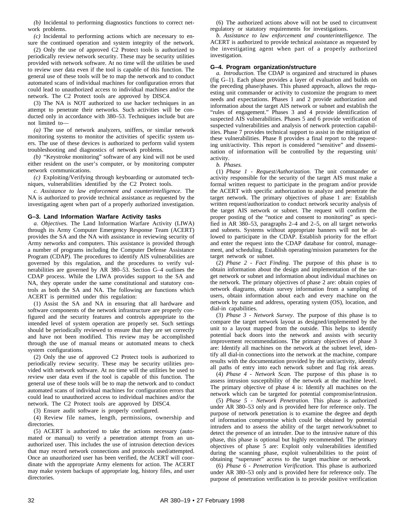*(b)* Incidental to performing diagnostics functions to correct network problems.

*(c)* Incidental to performing actions which are necessary to ensure the continued operation and system integrity of the network.

(2) Only the use of approved C2 Protect tools is authorized to periodically review network security. These may be security utilities provided with network software. At no time will the utilities be used to review user data even if the tool is capable of this function. The general use of these tools will be to map the network and to conduct automated scans of individual machines for configuration errors that could lead to unauthorized access to individual machines and/or the network. The C2 Protect tools are approved by DISC4.

(3) The NA is NOT authorized to use hacker techniques in an attempt to penetrate their networks. Such activities will be conducted only in accordance with 380–53. Techniques include but are not limited to—

*(a)* The use of network analyzers, sniffers, or similar network monitoring systems to monitor the activities of specific system users. The use of these devices is authorized to perform valid system troubleshooting and diagnostics of network problems.

*(b)* "Keystroke monitoring" software of any kind will not be used either resident on the user's computer, or by monitoring computer network communications.

*(c)* Exploiting/Verifying through keyboarding or automated techniques, vulnerabilities identified by the C2 Protect tools.

*c. Assistance to law enforcement and counterintelligence.* The NA is authorized to provide technical assistance as requested by the investigating agent when part of a properly authorized investigation.

#### **G–3. Land Information Warfare Activity tasks**

*a. Objectives.* The Land Information Warfare Activity (LIWA) through its Army Computer Emergency Response Team (ACERT) provides the SA and the NA with assistance in reviewing security of Army networks and computers. This assistance is provided through a number of programs including the Computer Defense Assistance Program (CDAP). The procedures to identify AIS vulnerabilities are governed by this regulation, and the procedures to verify vulnerabilities are governed by AR 380–53. Section G–4 outlines the CDAP process. While the LIWA provides support to the SA and NA, they operate under the same constitutional and statutory controls as both the SA and NA. The following are functions which ACERT is permitted under this regulation:

(1) Assist the SA and NA in ensuring that all hardware and software components of the network infrastructure are properly configured and the security features and controls appropriate to the intended level of system operation are properly set. Such settings should be periodically reviewed to ensure that they are set correctly and have not been modified. This review may be accomplished through the use of manual means or automated means to check system configurations.

(2) Only the use of approved C2 Protect tools is authorized to periodically review security. These may be security utilities provided with network software. At no time will the utilities be used to review user data even if the tool is capable of this function. The general use of these tools will be to map the network and to conduct automated scans of individual machines for configuration errors that could lead to unauthorized access to individual machines and/or the network. The C2 Protect tools are approved by DISC4.

(3) Ensure audit software is properly configured.

(4) Review file names, length, permissions, ownership and directories.

(5) ACERT is authorized to take the actions necessary (automated or manual) to verify a penetration attempt from an unauthorized user. This includes the use of intrusion detection devices that may record network connections and protocols used/attempted. Once an unauthorized user has been verified, the ACERT will coordinate with the appropriate Army elements for action. The ACERT may make system backups of appropriate log, history files, and user directories.

(6) The authorized actions above will not be used to circumvent regulatory or statutory requirements for investigations.

*b. Assistance to law enforcement and counterintelligence.* The ACERT is authorized to provide technical assistance as requested by the investigating agent when part of a properly authorized investigation.

#### **G–4. Program organization/structure**

*a. Introduction.* The CDAP is organized and structured in phases (fig G–1). Each phase provides a layer of evaluation and builds on the preceding phase/phases. This phased approach, allows the requesting unit commander or activity to customize the program to meet needs and expectations. Phases 1 and 2 provide authorization and information about the target AIS network or subnet and establish the "rules of engagement." Phases 3 and 4 provide identification of suspected AIS vulnerabilities. Phases 5 and 6 provide verification of suspected vulnerabilities and analysis of network protection capabilities. Phase 7 provides technical support to assist in the mitigation of these vulnerabilities. Phase 8 provides a final report to the requesting unit/activity. This report is considered "sensitive" and dissemination of information will be controlled by the requesting unit/ activity.

*b. Phases.*

(1) *Phase 1 - Request/Authorization.* The unit commander or activity responsible for the security of the target AIS must make a formal written request to participate in the program and/or provide the ACERT with specific authorization to analyze and penetrate the target network. The primary objectives of phase 1 are: Establish written request/authorization to conduct network security analysis of the target AIS network or subnet. The request will confirm the proper posting of the "notice and consent to monitoring" as specified in AR 380–53, paragraphs 2–4 and 2–5, on all target networks and subnets. Systems without appropriate banners will not be allowed to participate in the CDAP. Establish priority for the effort and enter the request into the CDAP database for control, management, and scheduling. Establish operating/mission parameters for the target network or subnet.

(2) *Phase 2 - Fact Finding.* The purpose of this phase is to obtain information about the design and implementation of the target network or subnet and information about individual machines on the network. The primary objectives of phase 2 are: obtain copies of network diagrams, obtain survey information from a sampling of users, obtain information about each and every machine on the network by name and address, operating system (OS), location, and dial-in capabilities.

(3) *Phase 3 - Network Survey.* The purpose of this phase is to compare the target network layout as designed/implemented by the unit to a layout mapped from the outside. This helps to identify potential back doors into the network and assists with security improvement recommendations. The primary objectives of phase 3 are: Identify all machines on the network at the subnet level, identify all dial-in connections into the network at the machine, compare results with the documentation provided by the unit/activity, identify all paths of entry into each network subnet and flag risk areas.

(4) *Phase 4 - Network Scan.* The purpose of this phase is to assess intrusion susceptibility of the network at the machine level. The primary objective of phase 4 is: Identify all machines on the network which can be targeted for potential compromise/intrusion.

(5) *Phase 5 - Network Penetration.* This phase is authorized under AR 380–53 only and is provided here for reference only. The purpose of network penetration is to examine the degree and depth of information compromise which could be obtained by potential intruders and to assess the ability of the target network/subnet to detect the presence of an intruder. Due to the intrusive nature of this phase, this phase is optional but highly recommended. The primary objectives of phase 5 are: Exploit only vulnerabilities identified during the scanning phase, exploit vulnerabilities to the point of obtaining "superuser" access to the target machine or network.

(6) *Phase 6 - Penetration Verification.* This phase is authorized under AR 380–53 only and is provided here for reference only. The purpose of penetration verification is to provide positive verification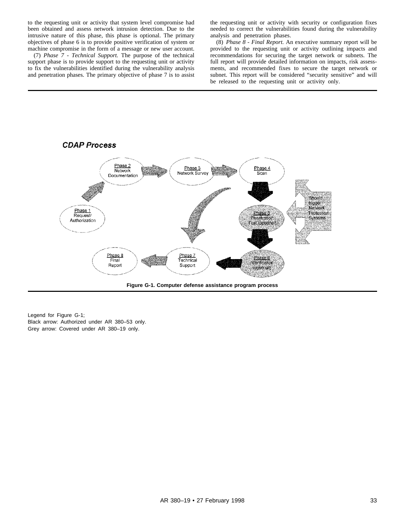to the requesting unit or activity that system level compromise had been obtained and assess network intrusion detection. Due to the intrusive nature of this phase, this phase is optional. The primary objectives of phase 6 is to provide positive verification of system or machine compromise in the form of a message or new user account.

(7) *Phase 7 - Technical Support.* The purpose of the technical support phase is to provide support to the requesting unit or activity to fix the vulnerabilities identified during the vulnerability analysis and penetration phases. The primary objective of phase 7 is to assist the requesting unit or activity with security or configuration fixes needed to correct the vulnerabilities found during the vulnerability analysis and penetration phases.

(8) *Phase 8 - Final Report.* An executive summary report will be provided to the requesting unit or activity outlining impacts and recommendations for securing the target network or subnets. The full report will provide detailed information on impacts, risk assessments, and recommended fixes to secure the target network or subnet. This report will be considered "security sensitive" and will be released to the requesting unit or activity only.



Legend for Figure G-1; Black arrow: Authorized under AR 380–53 only. Grey arrow: Covered under AR 380–19 only.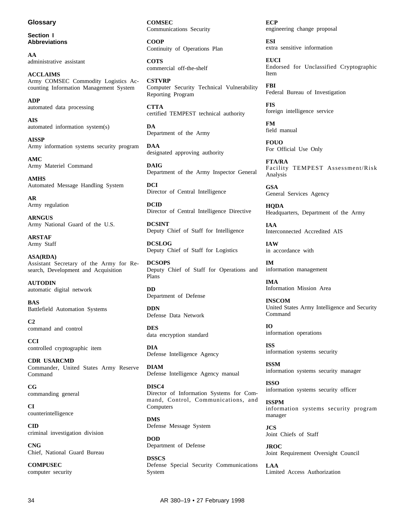#### **Glossary**

**Section I Abbreviations**

**AA** administrative assistant

**ACCLAIMS** Army COMSEC Commodity Logistics Accounting Information Management System

**ADP** automated data processing

**AIS** automated information system(s)

**AISSP** Army information systems security program

**AMC** Army Materiel Command

**AMHS** Automated Message Handling System

**AR** Army regulation

**ARNGUS** Army National Guard of the U.S.

**ARSTAF** Army Staff

**ASA(RDA)** Assistant Secretary of the Army for Research, Development and Acquisition

**AUTODIN** automatic digital network

**BAS** Battlefield Automation Systems

**C2** command and control

**CCI** controlled cryptographic item

**CDR USARCMD** Commander, United States Army Reserve Command

**CG** commanding general

**CI** counterintelligence

**CID** criminal investigation division

**CNG** Chief, National Guard Bureau

**COMPUSEC** computer security **COMSEC** Communications Security

**COOP** Continuity of Operations Plan

**COTS** commercial off-the-shelf

**CSTVRP** Computer Security Technical Vulnerability Reporting Program

**CTTA** certified TEMPEST technical authority

**DA** Department of the Army

**DAA** designated approving authority

**DAIG** Department of the Army Inspector General

**DCI** Director of Central Intelligence

**DCID** Director of Central Intelligence Directive

**DCSINT** Deputy Chief of Staff for Intelligence

**DCSLOG** Deputy Chief of Staff for Logistics

**DCSOPS** Deputy Chief of Staff for Operations and Plans

**DD** Department of Defense

**DDN** Defense Data Network

**DES** data encryption standard

**DIA** Defense Intelligence Agency

**DIAM** Defense Intelligence Agency manual

**DISC4** Director of Information Systems for Command, Control, Communications, and Computers

**DMS** Defense Message System

**DOD** Department of Defense

**DSSCS** Defense Special Security Communications System

**ECP** engineering change proposal

**ESI** extra sensitive information

**EUCI** Endorsed for Unclassified Cryptographic Item

**FBI** Federal Bureau of Investigation

**FIS** foreign intelligence service

**FM** field manual

**FOUO** For Official Use Only

**FTA/RA** Facility TEMPEST Assessment/Risk Analysis

**GSA** General Services Agency

**HQDA** Headquarters, Department of the Army

**IAA** Interconnected Accredited AIS

**IAW** in accordance with

**IM** information management

**IMA** Information Mission Area

**INSCOM** United States Army Intelligence and Security Command

**IO** information operations

**ISS** information systems security

**ISSM** information systems security manager

**ISSO** information systems security officer

**ISSPM** information systems security program manager

**JCS** Joint Chiefs of Staff

**JROC** Joint Requirement Oversight Council

**LAA** Limited Access Authorization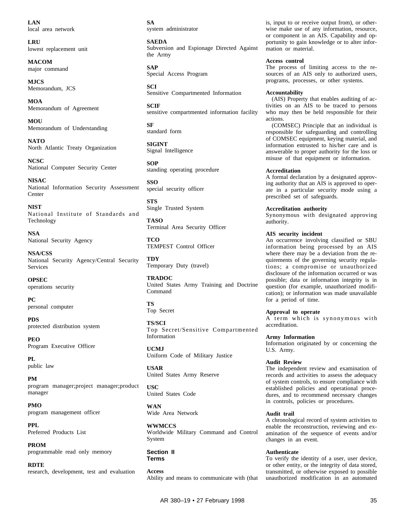**LAN** local area network

**LRU** lowest replacement unit

**MACOM** major command

**MJCS** Memorandum, JCS

**MOA** Memorandum of Agreement

**MOU** Memorandum of Understanding

**NATO** North Atlantic Treaty Organization

**NCSC** National Computer Security Center

**NISAC** National Information Security Assessment Center

**NIST** National Institute of Standards and Technology

**NSA** National Security Agency

**NSA/CSS** National Security Agency/Central Security Services

**OPSEC** operations security

**PC** personal computer

**PDS** protected distribution system

**PEO** Program Executive Officer

**PL** public law

**PM** program manager; project manager; product manager

**PMO** program management officer

**PPL** Preferred Products List

**PROM** programmable read only memory

**RDTE** research, development, test and evaluation **SA** system administrator

**SAEDA** Subversion and Espionage Directed Against the Army

**SAP** Special Access Program

**SCI** Sensitive Compartmented Information

**SCIF** sensitive compartmented information facility

**SF** standard form

**SIGINT** Signal Intelligence

**SOP** standing operating procedure

**SSO** special security officer

**STS** Single Trusted System

**TASO** Terminal Area Security Officer

**TCO** TEMPEST Control Officer

**TDY** Temporary Duty (travel)

**TRADOC** United States Army Training and Doctrine Command

**TS** Top Secret

**TS/SCI** Top Secret/Sensitive Compartmented Information

**UCMJ** Uniform Code of Military Justice

**USAR** United States Army Reserve

**USC** United States Code

**WAN** Wide Area Network

**WWMCCS** Worldwide Military Command and Control System

**Section II Terms**

**Access** Ability and means to communicate with (that is, input to or receive output from), or otherwise make use of any information, resource, or component in an AIS. Capability and opportunity to gain knowledge or to alter information or material.

#### **Access control**

The process of limiting access to the resources of an AIS only to authorized users, programs, processes, or other systems.

#### **Accountability**

(AIS) Property that enables auditing of activities on an AIS to be traced to persons who may then be held responsible for their actions.

(COMSEC) Principle that an individual is responsible for safeguarding and controlling of COMSEC equipment, keying material, and information entrusted to his/her care and is answerable to proper authority for the loss or misuse of that equipment or information.

#### **Accreditation**

A formal declaration by a designated approving authority that an AIS is approved to operate in a particular security mode using a prescribed set of safeguards.

#### **Accreditation authority**

Synonymous with designated approving authority.

#### **AIS security incident**

An occurrence involving classified or SBU information being processed by an AIS where there may be a deviation from the requirements of the governing security regulations; a compromise or unauthorized disclosure of the information occurred or was possible; data or information integrity is in question (for example, unauthorized modification); or information was made unavailable for a period of time.

#### **Approval to operate**

A term which is synonymous with accreditation.

**Army Information**

Information originated by or concerning the U.S. Army.

#### **Audit Review**

The independent review and examination of records and activities to assess the adequacy of system controls, to ensure compliance with established policies and operational procedures, and to recommend necessary changes in controls, policies or procedures.

#### **Audit trail**

A chronological record of system activities to enable the reconstruction, reviewing and examination of the sequence of events and/or changes in an event.

#### **Authenticate**

To verify the identity of a user, user device, or other entity, or the integrity of data stored, transmitted, or otherwise exposed to possible unauthorized modification in an automated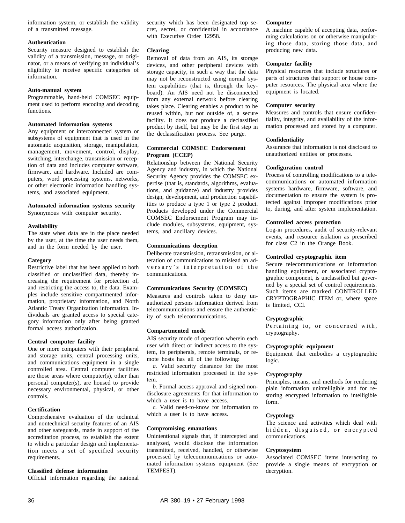information system, or establish the validity of a transmitted message.

#### **Authentication**

Security measure designed to establish the validity of a transmission, message, or originator, or a means of verifying an individual's eligibility to receive specific categories of information.

#### **Auto-manual system**

Programmable, hand-held COMSEC equipment used to perform encoding and decoding functions.

#### **Automated information systems**

Any equipment or interconnected system or subsystems of equipment that is used in the automatic acquisition, storage, manipulation, management, movement, control, display, switching, interchange, transmission or reception of data and includes computer software, firmware, and hardware. Included are computers, word processing systems, networks, or other electronic information handling systems, and associated equipment.

#### **Automated information systems security**

Synonymous with computer security.

#### **Availability**

The state when data are in the place needed by the user, at the time the user needs them, and in the form needed by the user.

#### **Category**

Restrictive label that has been applied to both classified or unclassified data, thereby increasing the requirement for protection of, and restricting the access to, the data. Examples include sensitive compartmented information, proprietary information, and North Atlantic Treaty Organization information. Individuals are granted access to special category information only after being granted formal access authorization.

#### **Central computer facility**

One or more computers with their peripheral and storage units, central processing units, and communications equipment in a single controlled area. Central computer facilities are those areas where computer(s), other than personal computer(s), are housed to provide necessary environmental, physical, or other controls.

#### **Certification**

Comprehensive evaluation of the technical and nontechnical security features of an AIS and other safeguards, made in support of the accreditation process, to establish the extent to which a particular design and implementation meets a set of specified security requirements.

#### **Classified defense information**

Official information regarding the national

security which has been designated top secret, secret, or confidential in accordance with Executive Order 12958.

#### **Clearing**

Removal of data from an AIS, its storage devices, and other peripheral devices with storage capacity, in such a way that the data may not be reconstructed using normal system capabilities (that is, through the keyboard). An AIS need not be disconnected from any external network before clearing takes place. Clearing enables a product to be reused within, but not outside of, a secure facility. It does not produce a declassified product by itself, but may be the first step in the declassification process. See purge.

#### **Commercial COMSEC Endorsement Program (CCEP)**

Relationship between the National Security Agency and industry, in which the National Security Agency provides the COMSEC expertise (that is, standards, algorithms, evaluations, and guidance) and industry provides design, development, and production capabilities to produce a type 1 or type 2 product. Products developed under the Commercial COMSEC Endorsement Program may include modules, subsystems, equipment, systems, and ancillary devices.

#### **Communications deception**

Deliberate transmission, retransmission, or alteration of communications to mislead an adversary's interpretation of the communications.

#### **Communications Security (COMSEC)**

Measures and controls taken to deny unauthorized persons information derived from telecommunications and ensure the authenticity of such telecommunications.

#### **Compartmented mode**

AIS security mode of operation wherein each user with direct or indirect access to the system, its peripherals, remote terminals, or remote hosts has all of the following:

*a.* Valid security clearance for the most restricted information processed in the system.

*b.* Formal access approval and signed nondisclosure agreements for that information to which a user is to have access.

*c.* Valid need-to-know for information to which a user is to have access.

#### **Compromising emanations**

Unintentional signals that, if intercepted and analyzed, would disclose the information transmitted, received, handled, or otherwise processed by telecommunications or automated information systems equipment (See TEMPEST).

#### **Computer**

A machine capable of accepting data, performing calculations on or otherwise manipulating those data, storing those data, and producing new data.

#### **Computer facility**

Physical resources that include structures or parts of structures that support or house computer resources. The physical area where the equipment is located.

#### **Computer security**

Measures and controls that ensure confidentiality, integrity, and availability of the information processed and stored by a computer.

#### **Confidentiality**

Assurance that information is not disclosed to unauthorized entities or processes.

#### **Configuration control**

Process of controlling modifications to a telecommunications or automated information systems hardware, firmware, software, and documentation to ensure the system is protected against improper modifications prior to, during, and after system implementation.

#### **Controlled access protection**

Log-in procedures, audit of security-relevant events, and resource isolation as prescribed for class C2 in the Orange Book.

#### **Controlled cryptographic item**

Secure telecommunications or information handling equipment, or associated cryptographic component, is unclassified but governed by a special set of control requirements. Such items are marked CONTROLLED CRYPTOGRAPHIC ITEM or, where space is limited, CCI.

#### **Cryptographic**

Pertaining to, or concerned with, cryptography.

#### **Cryptographic equipment**

Equipment that embodies a cryptographic logic.

#### **Cryptography**

Principles, means, and methods for rendering plain information unintelligible and for restoring encrypted information to intelligible form.

#### **Cryptology**

The science and activities which deal with hidden, disguised, or encrypted communications.

#### **Cryptosystem**

Associated COMSEC items interacting to provide a single means of encryption or decryption.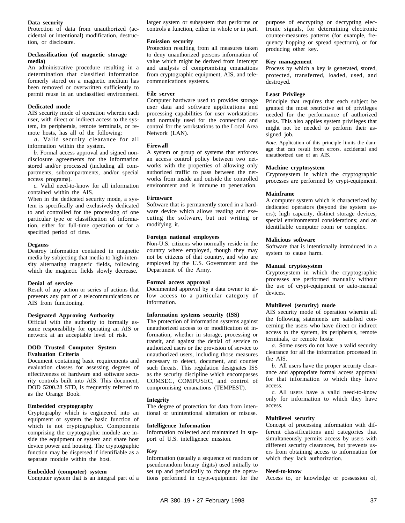#### **Data security**

Protection of data from unauthorized (accidental or intentional) modification, destruction, or disclosure.

#### **Declassification (of magnetic storage media)**

An administrative procedure resulting in a determination that classified information formerly stored on a magnetic medium has been removed or overwritten sufficiently to permit reuse in an unclassified environment.

#### **Dedicated mode**

AIS security mode of operation wherein each user, with direct or indirect access to the system, its peripherals, remote terminals, or remote hosts, has all of the following:

*a*. Valid security clearance for all information within the system.

*b.* Formal access approval and signed nondisclosure agreements for the information stored and/or processed (including all compartments, subcompartments, and/or special access programs).

*c.* Valid need-to-know for all information contained within the AIS.

When in the dedicated security mode, a system is specifically and exclusively dedicated to and controlled for the processing of one particular type or classification of information, either for full-time operation or for a specified period of time.

#### **Degauss**

Destroy information contained in magnetic media by subjecting that media to high-intensity alternating magnetic fields, following which the magnetic fields slowly decrease.

#### **Denial of service**

Result of any action or series of actions that prevents any part of a telecommunications or AIS from functioning.

#### **Designated Approving Authority**

Official with the authority to formally assume responsibility for operating an AIS or network at an acceptable level of risk.

#### **DOD Trusted Computer System Evaluation Criteria**

Document containing basic requirements and evaluation classes for assessing degrees of effectiveness of hardware and software security controls built into AIS. This document, DOD 5200.28 STD, is frequently referred to as the Orange Book.

#### **Embedded cryptography**

Cryptography which is engineered into an equipment or system the basic function of which is not cryptographic. Components comprising the cryptographic module are inside the equipment or system and share host device power and housing. The cryptographic function may be dispersed if identifiable as a separate module within the host.

#### **Embedded (computer) system**

Computer system that is an integral part of a

larger system or subsystem that performs or controls a function, either in whole or in part.

#### **Emission security**

Protection resulting from all measures taken to deny unauthorized persons information of value which might be derived from intercept and analysis of compromising emanations from cryptographic equipment, AIS, and telecommunications systems.

#### **File server**

Computer hardware used to provides storage user data and software applications and processing capabilities for user workstations and normally used for the connection and control for the workstations to the Local Area Network (LAN).

#### **Firewall**

A system or group of systems that enforces an access control policy between two networks with the properties of allowing only authorized traffic to pass between the networks from inside and outside the controlled environment and is immune to penetration.

#### **Firmware**

Software that is permanently stored in a hardware device which allows reading and executing the software, but not writing or modifying it.

#### **Foreign national employees**

Non-U.S. citizens who normally reside in the country where employed, though they may not be citizens of that country, and who are employed by the U.S. Government and the Department of the Army.

#### **Formal access approval**

Documented approval by a data owner to allow access to a particular category of information.

#### **Information systems security (ISS)**

The protection of information systems against unauthorized access to or modification of information, whether in storage, processing or transit, and against the denial of service to authorized users or the provision of service to unauthorized users, including those measures necessary to detect, document, and counter such threats. This regulation designates ISS as the security discipline which encompasses COMSEC, COMPUSEC, and control of compromising emanations (TEMPEST).

#### **Integrity**

The degree of protection for data from intentional or unintentional alteration or misuse.

#### **Intelligence Information**

Information collected and maintained in support of U.S. intelligence mission.

#### **Key**

Information (usually a sequence of random or pseudorandom binary digits) used initially to set up and periodically to change the operations performed in crypt-equipment for the

purpose of encrypting or decrypting electronic signals, for determining electronic counter-measures patterns (for example, frequency hopping or spread spectrum), or for producing other key.

#### **Key management**

Process by which a key is generated, stored, protected, transferred, loaded, used, and destroyed.

#### **Least Privilege**

Principle that requires that each subject be granted the most restrictive set of privileges needed for the performance of authorized tasks. This also applies system privileges that might not be needed to perform their assigned job.

*Note.* Application of this principle limits the damage that can result from errors, accidental and unauthorized use of an AIS.

#### **Machine cryptosystem**

Cryptosystem in which the cryptographic processes are performed by crypt-equipment.

#### **Mainframe**

A computer system which is characterized by dedicated operators (beyond the system users); high capacity, distinct storage devices; special environmental considerations; and an identifiable computer room or complex.

#### **Malicious software**

Software that is intentionally introduced in a system to cause harm.

#### **Manual cryptosystem**

Cryptosystem in which the cryptographic processes are performed manually without the use of crypt-equipment or auto-manual devices.

#### **Multilevel (security) mode**

AIS security mode of operation wherein all the following statements are satisfied concerning the users who have direct or indirect access to the system, its peripherals, remote terminals, or remote hosts:

*a.* Some users do not have a valid security clearance for all the information processed in the AIS.

*b.* All users have the proper security clearance and appropriate formal access approval for that information to which they have access.

*c*. All users have a valid need-to-know only for information to which they have access.

#### **Multilevel security**

Concept of processing information with different classifications and categories that simultaneously permits access by users with different security clearances, but prevents users from obtaining access to information for which they lack authorization.

#### **Need-to-know**

Access to, or knowledge or possession of,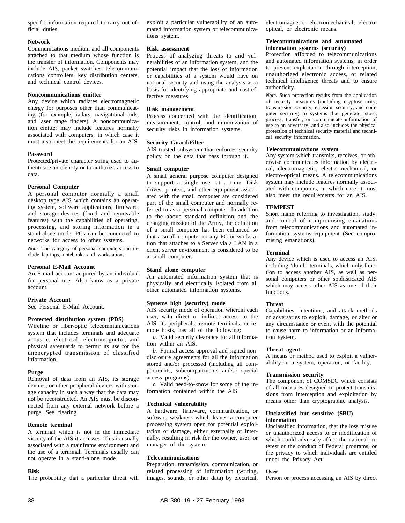specific information required to carry out official duties.

#### **Network**

Communications medium and all components attached to that medium whose function is the transfer of information. Components may include AIS, packet switches, telecommunications controllers, key distribution centers, and technical control devices.

#### **Noncommunications emitter**

Any device which radiates electromagnetic energy for purposes other than communicating (for example, radars, navigational aids, and laser range finders). A noncommunication emitter may include features normally associated with computers, in which case it must also meet the requirements for an AIS.

#### **Password**

Protected/private character string used to authenticate an identity or to authorize access to data.

#### **Personal Computer**

A personal computer normally a small desktop type AIS which contains an operating system, software applications, firmware, and storage devices (fixed and removable features) with the capabilities of operating, processing, and storing information in a stand-alone mode. PCs can be connected to networks for access to other systems.

*Note.* The category of personal computers can include lap-tops, notebooks and workstations.

#### **Personal E-Mail Account**

An E-mail account acquired by an individual for personal use. Also know as a private account.

#### **Private Account**

See Personal E-Mail Account.

#### **Protected distribution system (PDS)**

Wireline or fiber-optic telecommunications system that includes terminals and adequate acoustic, electrical, electromagnetic, and physical safeguards to permit its use for the unencrypted transmission of classified information.

#### **Purge**

Removal of data from an AIS, its storage devices, or other peripheral devices with storage capacity in such a way that the data may not be reconstructed. An AIS must be disconnected from any external network before a purge. See clearing.

#### **Remote terminal**

A terminal which is not in the immediate vicinity of the AIS it accesses. This is usually associated with a mainframe environment and the use of a terminal. Terminals usually can not operate in a stand-alone mode.

#### **Risk**

The probability that a particular threat will

exploit a particular vulnerability of an automated information system or telecommunications system.

#### **Risk assessment**

Process of analyzing threats to and vulnerabilities of an information system, and the potential impact that the loss of information or capabilities of a system would have on national security and using the analysis as a basis for identifying appropriate and cost-effective measures.

#### **Risk management**

Process concerned with the identification, measurement, control, and minimization of security risks in information systems.

#### **Security Guard/Filter**

AIS trusted subsystem that enforces security policy on the data that pass through it.

#### **Small computer**

A small general purpose computer designed to support a single user at a time. Disk drives, printers, and other equipment associated with the small computer are considered part of the small computer and normally referred to as a personal computer. In addition to the above standard definition and the changing mission of the Army, the definition of a small computer has been enhanced so that a small computer or any PC or workstation that attaches to a Server via a LAN in a client server environment is considered to be a small computer.

#### **Stand alone computer**

An automated information system that is physically and electrically isolated from all other automated information systems.

#### **Systems high (security) mode**

AIS security mode of operation wherein each user, with direct or indirect access to the AIS, its peripherals, remote terminals, or remote hosts, has all of the following:

*a.* Valid security clearance for all information within an AIS.

*b.* Formal access approval and signed nondisclosure agreements for all the information stored and/or processed (including all compartments, subcompartments and/or special access programs).

*c.* Valid need-to-know for some of the information contained within the AIS.

#### **Technical vulnerability**

A hardware, firmware, communication, or software weakness which leaves a computer processing system open for potential exploitation or damage, either externally or internally, resulting in risk for the owner, user, or manager of the system.

#### **Telecommunications**

Preparation, transmission, communication, or related processing of information (writing, images, sounds, or other data) by electrical,

electromagnetic, electromechanical, electrooptical, or electronic means.

#### **Telecommunications and automated information systems (security)**

Protection afforded to telecommunications and automated information systems, in order to prevent exploitation through interception, unauthorized electronic access, or related technical intelligence threats and to ensure authenticity.

*Note.* Such protection results from the application of security measures (including cryptosecurity, transmission security, emission security, and computer security) to systems that generate, store, process, transfer, or communicate information of use to an adversary, and also includes the physical protection of technical security material and technical security information.

#### **Telecommunications system**

Any system which transmits, receives, or otherwise communicates information by electrical, electromagnetic, electro-mechanical, or electro-optical means. A telecommunications system may include features normally associated with computers, in which case it must also meet the requirements for an AIS.

#### **TEMPEST**

Short name referring to investigation, study, and control of compromising emanations from telecommunications and automated information systems equipment (See compromising emanations).

#### **Terminal**

Any device which is used to access an AIS, including 'dumb' terminals, which only function to access another AIS, as well as personal computers or other sophisticated AIS which may access other AIS as one of their functions.

#### **Threat**

Capabilities, intentions, and attack methods of adversaries to exploit, damage, or alter or any circumstance or event with the potential to cause harm to information or an information system.

#### **Threat agent**

A means or method used to exploit a vulnerability in a system, operation, or facility.

#### **Transmission security**

The component of COMSEC which consists of all measures designed to protect transmissions from interception and exploitation by means other than cryptographic analysis.

#### **Unclassified but sensitive (SBU) information**

Unclassified information, that the loss misuse or unauthorized access to or modification of which could adversely affect the national interest or the conduct of Federal programs, or the privacy to which individuals are entitled under the Privacy Act.

#### **User**

Person or process accessing an AIS by direct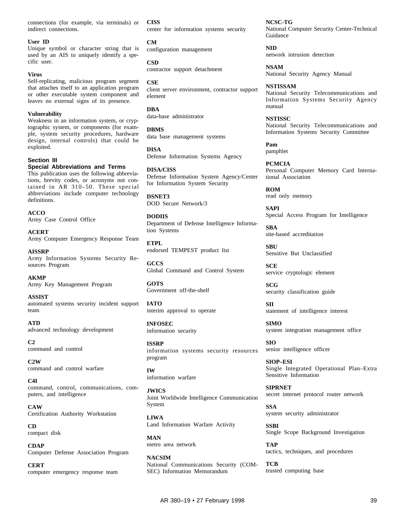connections (for example, via terminals) or indirect connections.

#### **User ID**

Unique symbol or character string that is used by an AIS to uniquely identify a specific user.

#### **Virus**

Self-replicating, malicious program segment that attaches itself to an application program or other executable system component and leaves no external signs of its presence.

#### **Vulnerability**

Weakness in an information system, or cryptographic system, or components (for example, system security procedures, hardware design, internal controls) that could be exploited.

#### **Section III**

#### **Special Abbreviations and Terms**

This publication uses the following abbreviations, brevity codes, or acronyms not contained in AR  $310-50$ . These special abbreviations include computer technology definitions.

**ACCO** Army Case Control Office

**ACERT** Army Computer Emergency Response Team

**AISSRP** Army Information Systems Security Resources Program

**AKMP** Army Key Management Program

**ASSIST** automated systems security incident support team

#### **ATD**

advanced technology development

**C2** command and control

**C2W** command and control warfare

**C4I** command, control, communications, computers, and intelligence

**CAW** Certification Authority Workstation

**CD** compact disk

**CDAP** Computer Defense Association Program

**CERT** computer emergency response team **CISS** center for information systems security

**CM** configuration management

**CSD** contractor support detachment

**CSE** client server environment, contractor support element

**DBA** data-base administrator

**DBMS** data base management systems

**DISA** Defense Information Systems Agency

**DISA/CISS** Defense Information System Agency/Center for Information System Security

**DSNET3** DOD Secure Network/3

**DODIIS** Department of Defense Intelligence Information Systems

**ETPL** endorsed TEMPEST product list

**GCCS** Global Command and Control System

**GOTS** Government off-the-shelf

**IATO** interim approval to operate

**INFOSEC** information security

**ISSRP** information systems security resources program

**IW** information warfare

**JWICS** Joint Worldwide Intelligence Communication System

**LIWA** Land Information Warfare Activity

**MAN** metro area network

**NACSIM** National Communications Security (COM-SEC) Information Memorandum

**NCSC-TG** National Computer Security Center-Technical Guidance

**NID** network intrusion detection

**NSAM** National Security Agency Manual

**NSTISSAM** National Security Telecommunications and Information Systems Security Agency manual

**NSTISSC** National Security Telecommunications and Information Systems Security Committee

**Pam** pamphlet

**PCMCIA** Personal Computer Memory Card International Association

**ROM** read only memory

**SAPI** Special Access Program for Intelligence

**SBA** site-based accreditation

**SBU** Sensitive But Unclassified

**SCE** service cryptologic element

**SCG** security classification guide

**SII** statement of intelligence interest

**SIMO** system integration management office

**SIO** senior intelligence officer

**SIOP–ESI** Single Integrated Operational Plan-Extra Sensitive Information

**SIPRNET** secret internet protocol router network

**SSA** system security administrator

**SSBI** Single Scope Background Investigation

**TAP** tactics, techniques, and procedures

**TCB** trusted computing base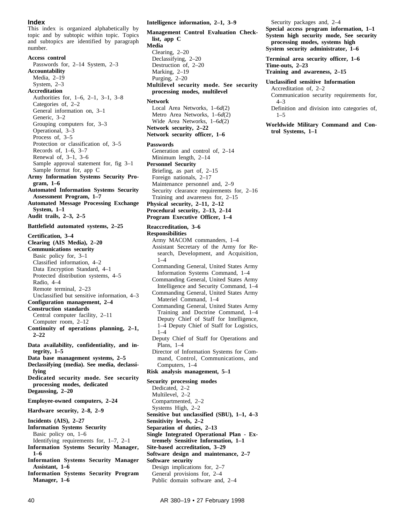#### **Index**

This index is organized alphabetically by topic and by subtopic within topic. Topics and subtopics are identified by paragraph number.

**Access control** Passwords for, 2–14 System, 2–3 **Accountability** Media, 2–19 System, 2–3 **Accreditation** Authorities for, 1–6, 2–1, 3–1, 3–8 Categories of, 2–2 General information on, 3–1 Generic, 3–2 Grouping computers for, 3–3 Operational, 3–3 Process of, 3–5 Protection or classification of, 3–5 Records of, 1–6, 3–7 Renewal of, 3–1, 3–6 Sample approval statement for, fig 3–1 Sample format for, app C **Army Information Systems Security Program, 1–6 Automated Information Systems Security Assessment Program, 1–7 Automated Message Processing Exchange System, 1–1 Audit trails, 2–3, 2–5 Battlefield automated systems, 2–25 Certification, 3–4 Clearing (AIS Media), 2–20 Communications security** Basic policy for, 3–1 Classified information, 4–2 Data Encryption Standard, 4–1 Protected distribution systems, 4–5 Radio, 4–4 Remote terminal, 2–23 Unclassified but sensitive information, 4–3 **Configuration management, 2–4 Construction standards** Central computer facility, 2–11 Computer room, 2–12 Continuity of operations planning, 2-1, **2–22 Data availability, confidentiality, and integrity, 1–5 Data base management systems, 2–5 Declassifying (media). See media, declassifying Dedicated security mode. See security processing modes, dedicated Degaussing, 2–20 Employee-owned computers, 2–24 Hardware security, 2–8, 2–9 Incidents (AIS), 2–27 Information Systems Security** Basic policy on, 1–6 Identifying requirements for, 1–7, 2–1 **Information Systems Security Manager, 1–6 Information Systems Security Manager Assistant, 1–6 Information Systems Security Program Manager, 1–6**

**Intelligence information, 2–1, 3–9**

**Management Control Evaluation Checklist, app C Media** Clearing, 2–20 Declassifying, 2–20 Destruction of, 2–20 Marking, 2–19 Purging, 2–20 **Multilevel security mode. See security processing modes, multilevel Network** Local Area Networks, 1–6*d*(2) Metro Area Networks, 1–6*d*(2) Wide Area Networks, 1–6*d*(2) **Network security, 2–22 Network security officer, 1–6 Passwords**

Generation and control of, 2–14 Minimum length, 2–14 **Personnel Security** Briefing, as part of, 2–15 Foreign nationals, 2–17 Maintenance personnel and, 2–9 Security clearance requirements for, 2–16 Training and awareness for, 2–15 **Physical security, 2–11, 2–12 Procedural security, 2–13, 2–14**

**Program Executive Officer, 1–4**

#### **Reaccreditation, 3–6**

- **Responsibilities** Army MACOM commanders, 1–4 Assistant Secretary of the Army for Research, Development, and Acquisition, 1–4 Commanding General, United States Army
	- Information Systems Command, 1–4
	- Commanding General, United States Army Intelligence and Security Command, 1–4 Commanding General, United States Army
	- Materiel Command, 1–4 Commanding General, United States Army
	- Training and Doctrine Command, 1-4 Deputy Chief of Staff for Intelligence, 1–4 Deputy Chief of Staff for Logistics, 1–4
	- Deputy Chief of Staff for Operations and Plans, 1–4
	- Director of Information Systems for Command, Control, Communications, and Computers, 1–4

#### **Risk analysis management, 5–1**

**Security processing modes** Dedicated, 2–2 Multilevel, 2–2 Compartmented, 2–2 Systems High, 2–2 **Sensitive but unclassified (SBU), 1–1, 4–3 Sensitivity levels, 2–2 Separation of duties, 2–13 Single Integrated Operational Plan - Extremely Sensitive Information, 1–1 Site-based accreditation, 3–29 Software design and maintenance, 2–7 Software security** Design implications for, 2–7 General provisions for, 2–4 Public domain software and, 2–4

Security packages and, 2–4

**Special access program information, 1–1 System high security mode, See security processing modes, systems high System security administrator, 1–6**

**Terminal area security officer, 1–6 Time-outs, 2–23 Training and awareness, 2–15**

#### **Unclassified sensitive Information**

Accreditation of, 2–2 Communication security requirements for, 4–3 Definition and division into categories of,  $1 - 5$ 

**Worldwide Military Command and Control Systems, 1–1**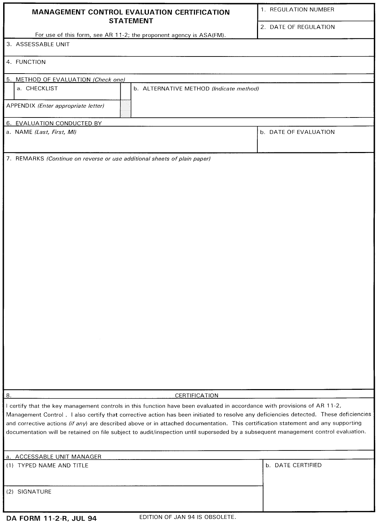| MANAGEMENT CONTROL EVALUATION CERTIFICATION                                                                                                                                                                                                                                                                                                                                                             | 1. REGULATION NUMBER  |  |
|---------------------------------------------------------------------------------------------------------------------------------------------------------------------------------------------------------------------------------------------------------------------------------------------------------------------------------------------------------------------------------------------------------|-----------------------|--|
| <b>STATEMENT</b><br>For use of this form, see AR 11-2; the proponent agency is ASA(FM).                                                                                                                                                                                                                                                                                                                 | 2. DATE OF REGULATION |  |
| 3. ASSESSABLE UNIT                                                                                                                                                                                                                                                                                                                                                                                      |                       |  |
|                                                                                                                                                                                                                                                                                                                                                                                                         |                       |  |
| 4. FUNCTION                                                                                                                                                                                                                                                                                                                                                                                             |                       |  |
| 5. METHOD OF EVALUATION (Check one)                                                                                                                                                                                                                                                                                                                                                                     |                       |  |
| a. CHECKLIST<br>b. ALTERNATIVE METHOD (Indicate method)                                                                                                                                                                                                                                                                                                                                                 |                       |  |
| APPENDIX (Enter appropriate letter)                                                                                                                                                                                                                                                                                                                                                                     |                       |  |
| 6. EVALUATION CONDUCTED BY                                                                                                                                                                                                                                                                                                                                                                              |                       |  |
| a. NAME (Last, First, MI)                                                                                                                                                                                                                                                                                                                                                                               | b. DATE OF EVALUATION |  |
| 7. REMARKS (Continue on reverse or use additional sheets of plain paper)                                                                                                                                                                                                                                                                                                                                |                       |  |
|                                                                                                                                                                                                                                                                                                                                                                                                         |                       |  |
|                                                                                                                                                                                                                                                                                                                                                                                                         |                       |  |
|                                                                                                                                                                                                                                                                                                                                                                                                         |                       |  |
|                                                                                                                                                                                                                                                                                                                                                                                                         |                       |  |
|                                                                                                                                                                                                                                                                                                                                                                                                         |                       |  |
|                                                                                                                                                                                                                                                                                                                                                                                                         |                       |  |
|                                                                                                                                                                                                                                                                                                                                                                                                         |                       |  |
|                                                                                                                                                                                                                                                                                                                                                                                                         |                       |  |
|                                                                                                                                                                                                                                                                                                                                                                                                         |                       |  |
|                                                                                                                                                                                                                                                                                                                                                                                                         |                       |  |
|                                                                                                                                                                                                                                                                                                                                                                                                         |                       |  |
|                                                                                                                                                                                                                                                                                                                                                                                                         |                       |  |
|                                                                                                                                                                                                                                                                                                                                                                                                         |                       |  |
|                                                                                                                                                                                                                                                                                                                                                                                                         |                       |  |
|                                                                                                                                                                                                                                                                                                                                                                                                         |                       |  |
|                                                                                                                                                                                                                                                                                                                                                                                                         |                       |  |
|                                                                                                                                                                                                                                                                                                                                                                                                         |                       |  |
| 8.<br>CERTIFICATION                                                                                                                                                                                                                                                                                                                                                                                     |                       |  |
| I certify that the key management controls in this function have been evaluated in accordance with provisions of AR 11-2,<br>Management Control. I also certify that corrective action has been initiated to resolve any deficiencies detected. These deficiencies<br>and corrective actions (if any) are described above or in attached documentation. This certification statement and any supporting |                       |  |
| documentation will be retained on file subject to audit/inspection until superseded by a subsequent management control evaluation.                                                                                                                                                                                                                                                                      |                       |  |
| a. ACCESSABLE UNIT MANAGER                                                                                                                                                                                                                                                                                                                                                                              |                       |  |
| (1) TYPED NAME AND TITLE                                                                                                                                                                                                                                                                                                                                                                                | b. DATE CERTIFIED     |  |
| (2) SIGNATURE                                                                                                                                                                                                                                                                                                                                                                                           |                       |  |
|                                                                                                                                                                                                                                                                                                                                                                                                         |                       |  |
|                                                                                                                                                                                                                                                                                                                                                                                                         |                       |  |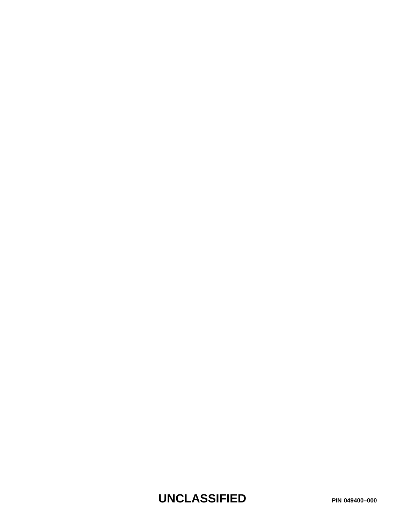**UNCLASSIFIED PIN 049400–000**